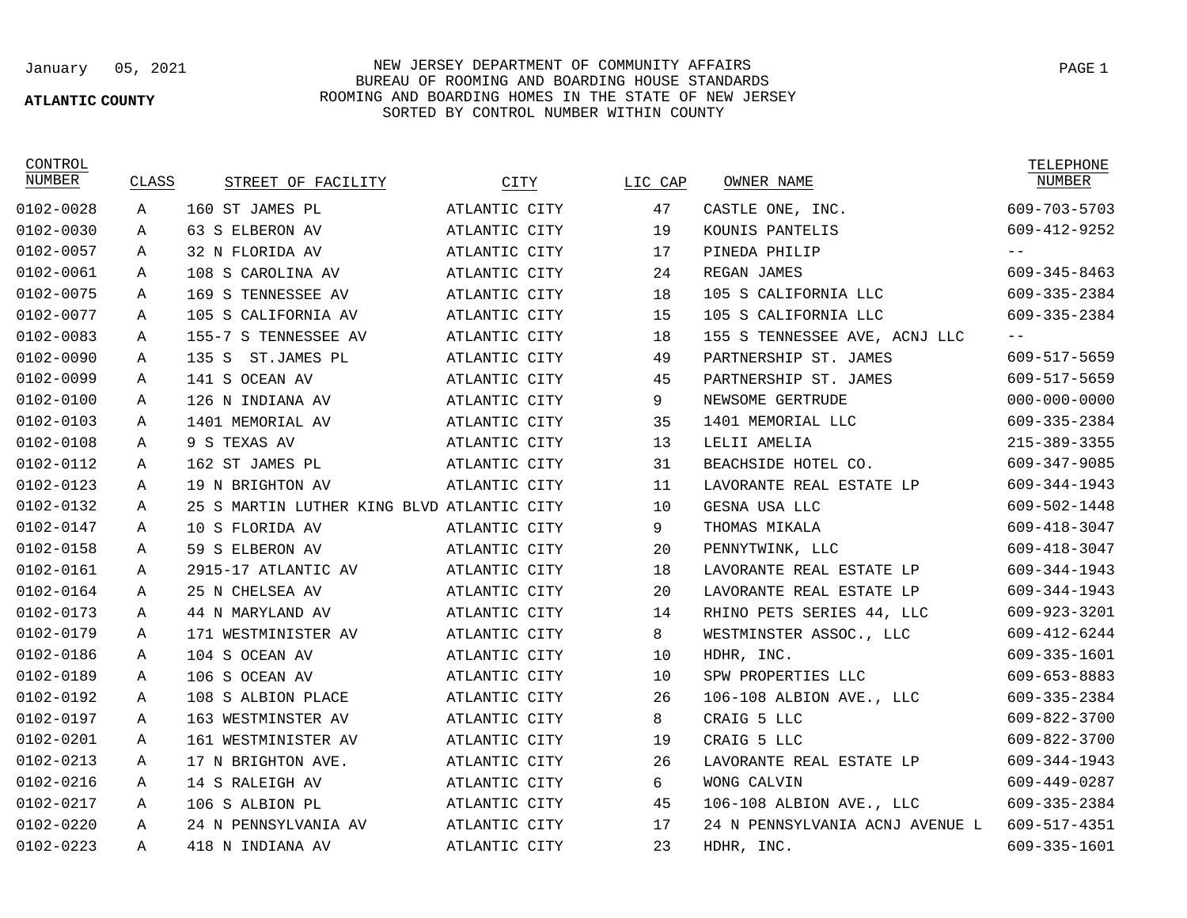## **ATLANTIC COUNTY**

January 05, 2021 NEW JERSEY DEPARTMENT OF COMMUNITY AFFAIRS BUREAU OF ROOMING AND BOARDING HOUSE STANDARDS ROOMING AND BOARDING HOMES IN THE STATE OF NEW JERSEY SORTED BY CONTROL NUMBER WITHIN COUNTY

**CONTROL** 

| NUMBER        | CLASS       | STREET OF FACILITY                         | CITY          | LIC CAP | OWNER NAME                      | NUMBER             |
|---------------|-------------|--------------------------------------------|---------------|---------|---------------------------------|--------------------|
| 0102-0028     | Α           | 160 ST JAMES PL                            | ATLANTIC CITY | 47      | CASTLE ONE, INC.                | 609-703-5703       |
| 0102-0030     | Α           | 63 S ELBERON AV                            | ATLANTIC CITY | 19      | KOUNIS PANTELIS                 | 609-412-9252       |
| 0102-0057     | Α           | 32 N FLORIDA AV                            | ATLANTIC CITY | 17      | PINEDA PHILIP                   | $- -$              |
| 0102-0061     | Α           | 108 S CAROLINA AV                          | ATLANTIC CITY | 24      | REGAN JAMES                     | 609-345-8463       |
| 0102-0075     | Α           | 169 S TENNESSEE AV                         | ATLANTIC CITY | 18      | 105 S CALIFORNIA LLC            | 609-335-2384       |
| 0102-0077     | Α           | 105 S<br>CALIFORNIA AV                     | ATLANTIC CITY | 15      | 105 S CALIFORNIA LLC            | 609-335-2384       |
| 0102-0083     | Α           | 155-7 S TENNESSEE AV                       | ATLANTIC CITY | 18      | 155 S TENNESSEE AVE, ACNJ LLC   | $- -$              |
| 0102-0090     | Α           | ST.JAMES PL<br>135S                        | ATLANTIC CITY | 49      | PARTNERSHIP ST. JAMES           | 609-517-5659       |
| 0102-0099     | А           | 141 S OCEAN AV                             | ATLANTIC CITY | 45      | PARTNERSHIP ST. JAMES           | 609-517-5659       |
| 0102-0100     | Α           | 126 N INDIANA AV                           | ATLANTIC CITY | 9       | NEWSOME GERTRUDE                | $000 - 000 - 0000$ |
| 0102-0103     | Α           | 1401 MEMORIAL AV                           | ATLANTIC CITY | 35      | 1401 MEMORIAL LLC               | 609-335-2384       |
| 0102-0108     | Α           | 9 S TEXAS AV                               | ATLANTIC CITY | 13      | LELII AMELIA                    | $215 - 389 - 3355$ |
| 0102-0112     | Α           | 162 ST JAMES PL                            | ATLANTIC CITY | 31      | BEACHSIDE HOTEL CO.             | 609-347-9085       |
| $0102 - 0123$ | Α           | 19 N BRIGHTON AV                           | ATLANTIC CITY | 11      | LAVORANTE REAL ESTATE LP        | 609-344-1943       |
| 0102-0132     | Α           | 25 S MARTIN LUTHER KING BLVD ATLANTIC CITY |               | 10      | GESNA USA LLC                   | 609-502-1448       |
| 0102-0147     | $\mathbb A$ | 10 S FLORIDA AV                            | ATLANTIC CITY | 9       | THOMAS MIKALA                   | 609-418-3047       |
| 0102-0158     | Α           | 59 S ELBERON AV                            | ATLANTIC CITY | 20      | PENNYTWINK, LLC                 | 609-418-3047       |
| 0102-0161     | Α           | 2915-17 ATLANTIC AV                        | ATLANTIC CITY | 18      | LAVORANTE REAL ESTATE LP        | 609-344-1943       |
| 0102-0164     | Α           | 25 N CHELSEA AV                            | ATLANTIC CITY | 20      | LAVORANTE REAL ESTATE LP        | 609-344-1943       |
| 0102-0173     | Α           | 44 N MARYLAND AV                           | ATLANTIC CITY | 14      | RHINO PETS SERIES 44, LLC       | 609-923-3201       |
| 0102-0179     | Α           | 171 WESTMINISTER AV                        | ATLANTIC CITY | 8       | WESTMINSTER ASSOC., LLC         | 609-412-6244       |
| 0102-0186     | Α           | 104 S OCEAN AV                             | ATLANTIC CITY | 10      | HDHR, INC.                      | 609-335-1601       |
| 0102-0189     | Α           | 106 S OCEAN AV                             | ATLANTIC CITY | 10      | SPW PROPERTIES LLC              | 609-653-8883       |
| 0102-0192     | Α           | 108 S ALBION PLACE                         | ATLANTIC CITY | 26      | 106-108 ALBION AVE., LLC        | 609-335-2384       |
| 0102-0197     | Α           | 163 WESTMINSTER AV                         | ATLANTIC CITY | 8       | CRAIG 5 LLC                     | 609-822-3700       |
| $0102 - 0201$ | Α           | 161 WESTMINISTER AV                        | ATLANTIC CITY | 19      | CRAIG 5 LLC                     | 609-822-3700       |
| $0102 - 0213$ | Α           | 17 N BRIGHTON AVE.                         | ATLANTIC CITY | 26      | LAVORANTE REAL ESTATE LP        | 609-344-1943       |
| 0102-0216     | Α           | 14 S RALEIGH AV                            | ATLANTIC CITY | 6       | WONG CALVIN                     | 609-449-0287       |
| 0102-0217     | Α           | 106 S ALBION PL                            | ATLANTIC CITY | 45      | 106-108 ALBION AVE., LLC        | 609-335-2384       |
| 0102-0220     | Α           | 24 N PENNSYLVANIA AV                       | ATLANTIC CITY | 17      | 24 N PENNSYLVANIA ACNJ AVENUE L | 609-517-4351       |
| $0102 - 0223$ | Α           | 418 N INDIANA AV                           | ATLANTIC CITY | 23      | HDHR, INC.                      | 609-335-1601       |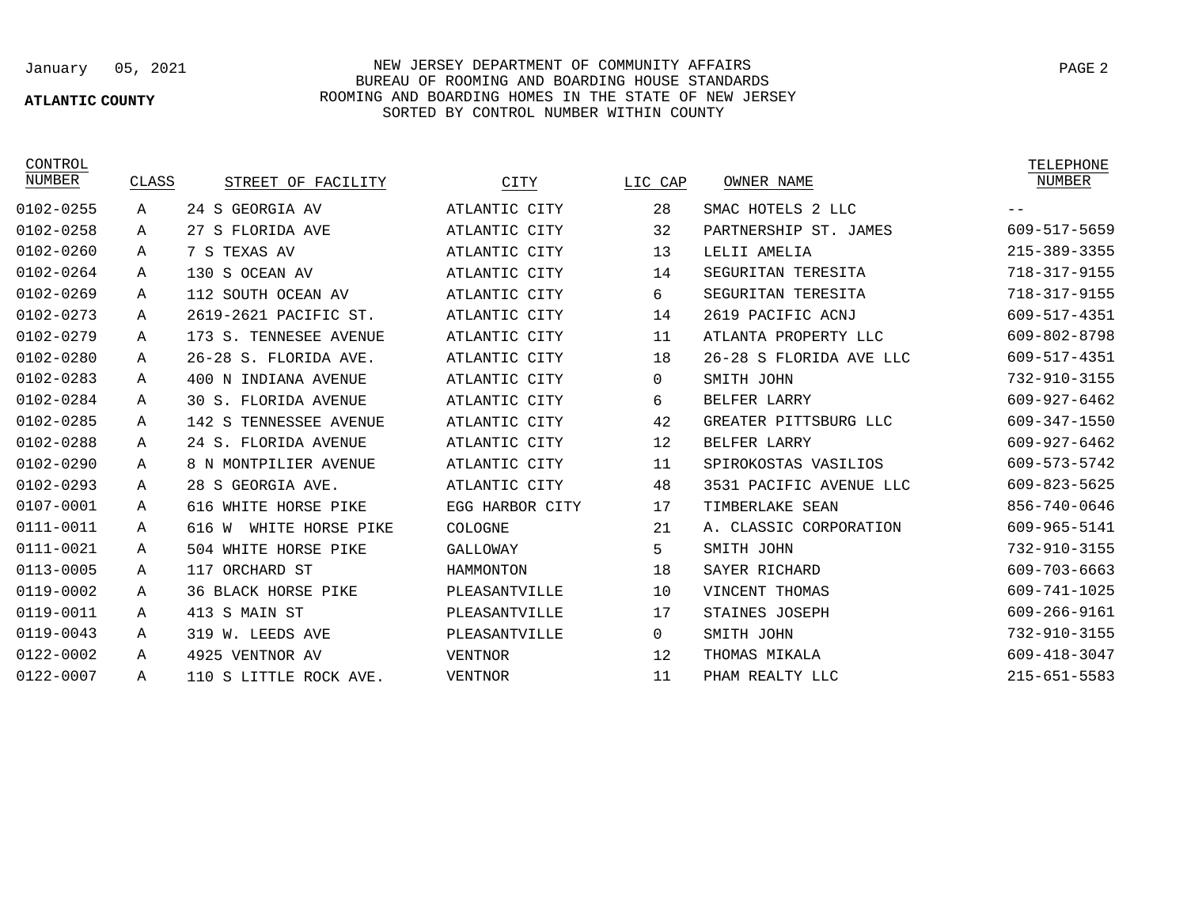## **ATLANTIC COUNTY**

January 05, 2021 NEW JERSEY DEPARTMENT OF COMMUNITY AFFAIRS PAGE 2 BUREAU OF ROOMING AND BOARDING HOUSE STANDARDS ROOMING AND BOARDING HOMES IN THE STATE OF NEW JERSEY SORTED BY CONTROL NUMBER WITHIN COUNTY

CONTROL<br>NUMBER

| NUMBER        | CLASS | STREET OF FACILITY           | CITY            | LIC CAP      | OWNER NAME              | NUMBER             |
|---------------|-------|------------------------------|-----------------|--------------|-------------------------|--------------------|
| 0102-0255     | Α     | 24 S GEORGIA AV              | ATLANTIC CITY   | 28           | SMAC HOTELS 2 LLC       |                    |
| 0102-0258     | Α     | 27 S FLORIDA AVE             | ATLANTIC CITY   | 32           | PARTNERSHIP ST. JAMES   | 609-517-5659       |
| 0102-0260     | А     | 7 S TEXAS AV                 | ATLANTIC CITY   | 13           | LELII AMELIA            | $215 - 389 - 3355$ |
| 0102-0264     | A     | 130 S OCEAN AV               | ATLANTIC CITY   | 14           | SEGURITAN TERESITA      | 718-317-9155       |
| 0102-0269     | Α     | 112 SOUTH OCEAN AV           | ATLANTIC CITY   | 6            | SEGURITAN TERESITA      | 718-317-9155       |
| $0102 - 0273$ | А     | 2619-2621 PACIFIC ST.        | ATLANTIC CITY   | 14           | 2619 PACIFIC ACNJ       | 609-517-4351       |
| 0102-0279     | Α     | 173 S. TENNESEE AVENUE       | ATLANTIC CITY   | 11           | ATLANTA PROPERTY LLC    | 609-802-8798       |
| 0102-0280     | А     | 26-28 S. FLORIDA AVE.        | ATLANTIC CITY   | 18           | 26-28 S FLORIDA AVE LLC | 609-517-4351       |
| $0102 - 0283$ | Α     | 400 N INDIANA AVENUE         | ATLANTIC CITY   | $\mathbf{0}$ | SMITH JOHN              | 732-910-3155       |
| 0102-0284     | Α     | 30 S. FLORIDA AVENUE         | ATLANTIC CITY   | 6            | BELFER LARRY            | 609-927-6462       |
| 0102-0285     | Α     | TENNESSEE AVENUE<br>142 S    | ATLANTIC CITY   | 42           | GREATER PITTSBURG LLC   | 609-347-1550       |
| 0102-0288     | Α     | 24 S. FLORIDA AVENUE         | ATLANTIC CITY   | 12           | BELFER LARRY            | 609-927-6462       |
| 0102-0290     | А     | 8 N MONTPILIER AVENUE        | ATLANTIC CITY   | 11           | SPIROKOSTAS VASILIOS    | 609-573-5742       |
| 0102-0293     | Α     | 28 S GEORGIA AVE.            | ATLANTIC CITY   | 48           | 3531 PACIFIC AVENUE LLC | $609 - 823 - 5625$ |
| 0107-0001     | Α     | 616 WHITE HORSE PIKE         | EGG HARBOR CITY | 17           | TIMBERLAKE SEAN         | 856-740-0646       |
| 0111-0011     | Α     | 616<br>WHITE HORSE PIKE<br>W | COLOGNE         | 21           | A. CLASSIC CORPORATION  | 609-965-5141       |
| 0111-0021     | Α     | 504 WHITE HORSE PIKE         | GALLOWAY        | 5            | SMITH JOHN              | 732-910-3155       |
| 0113-0005     | Α     | 117<br>ORCHARD ST            | HAMMONTON       | 18           | SAYER RICHARD           | 609-703-6663       |
| 0119-0002     | Α     | <b>36 BLACK HORSE PIKE</b>   | PLEASANTVILLE   | 10           | VINCENT THOMAS          | 609-741-1025       |
| 0119-0011     | Α     | 413 S MAIN ST                | PLEASANTVILLE   | 17           | STAINES JOSEPH          | 609-266-9161       |
| 0119-0043     | Α     | 319 W. LEEDS AVE             | PLEASANTVILLE   | $\Omega$     | SMITH JOHN              | 732-910-3155       |
| 0122-0002     | Α     | 4925 VENTNOR AV              | <b>VENTNOR</b>  | 12           | THOMAS MIKALA           | $609 - 418 - 3047$ |
| 0122-0007     | Α     | 110 S LITTLE ROCK AVE.       | <b>VENTNOR</b>  | 11           | PHAM REALTY LLC         | $215 - 651 - 5583$ |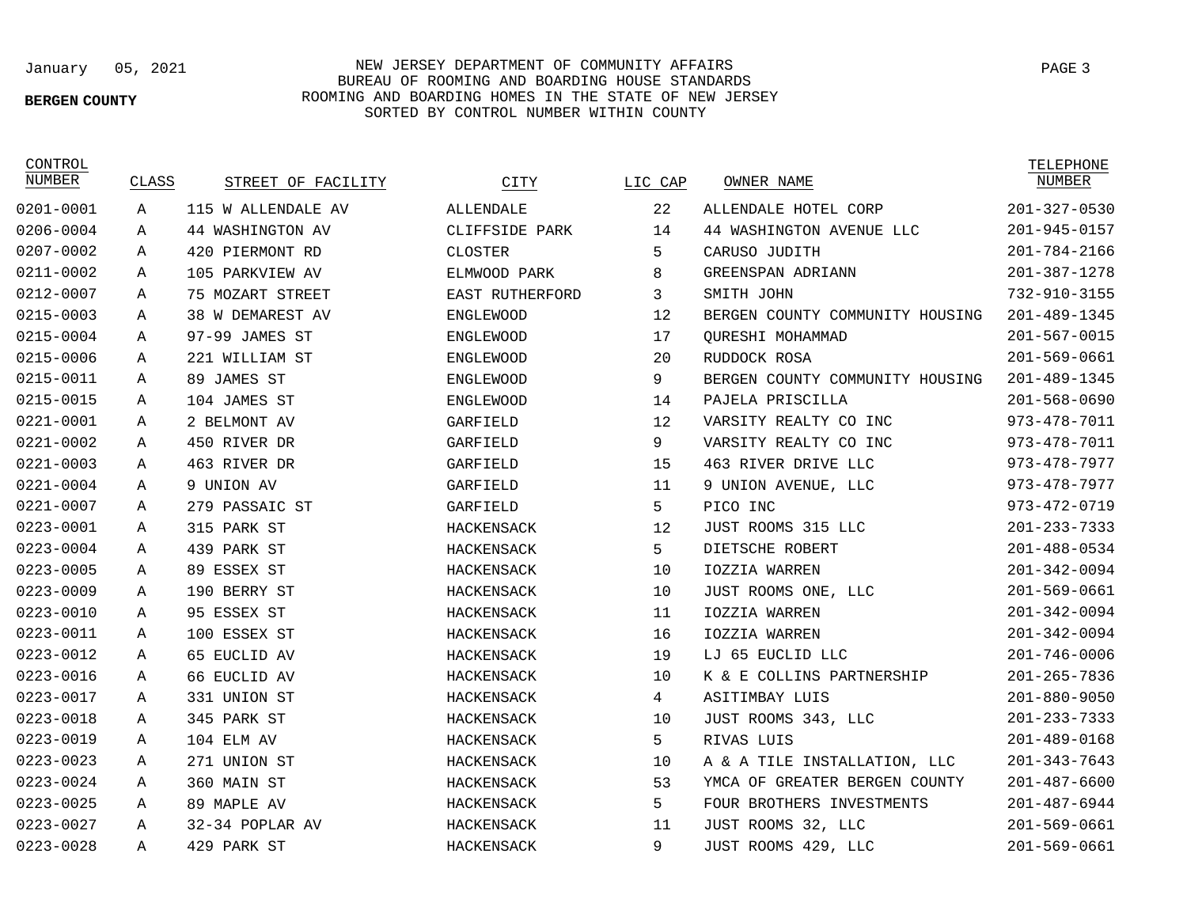### **BERGEN COUNTY**

# January 05, 2021 NEW JERSEY DEPARTMENT OF COMMUNITY AFFAIRS BUREAU OF ROOMING AND BOARDING HOUSE STANDARDS ROOMING AND BOARDING HOMES IN THE STATE OF NEW JERSEY SORTED BY CONTROL NUMBER WITHIN COUNTY

CONTROL

| NUMBER        | CLASS | STREET OF FACILITY | CITY             | LIC CAP | OWNER NAME                      | NUMBER             |
|---------------|-------|--------------------|------------------|---------|---------------------------------|--------------------|
| $0201 - 0001$ | Α     | 115 W ALLENDALE AV | <b>ALLENDALE</b> | 22      | ALLENDALE HOTEL CORP            | $201 - 327 - 0530$ |
| 0206-0004     | Α     | 44 WASHINGTON AV   | CLIFFSIDE PARK   | 14      | 44 WASHINGTON AVENUE LLC        | $201 - 945 - 0157$ |
| 0207-0002     | Α     | 420 PIERMONT RD    | CLOSTER          | 5       | CARUSO JUDITH                   | $201 - 784 - 2166$ |
| 0211-0002     | Α     | 105 PARKVIEW AV    | ELMWOOD PARK     | 8       | GREENSPAN ADRIANN               | $201 - 387 - 1278$ |
| 0212-0007     | Α     | 75 MOZART STREET   | EAST RUTHERFORD  | 3       | SMITH JOHN                      | 732-910-3155       |
| 0215-0003     | Α     | 38 W DEMAREST AV   | <b>ENGLEWOOD</b> | 12      | BERGEN COUNTY COMMUNITY HOUSING | 201-489-1345       |
| 0215-0004     | Α     | 97-99 JAMES ST     | <b>ENGLEWOOD</b> | 17      | OURESHI MOHAMMAD                | $201 - 567 - 0015$ |
| 0215-0006     | Α     | 221 WILLIAM ST     | <b>ENGLEWOOD</b> | 20      | RUDDOCK ROSA                    | $201 - 569 - 0661$ |
| 0215-0011     | А     | 89 JAMES ST        | <b>ENGLEWOOD</b> | 9       | BERGEN COUNTY COMMUNITY HOUSING | 201-489-1345       |
| 0215-0015     | Α     | 104 JAMES ST       | <b>ENGLEWOOD</b> | 14      | PAJELA PRISCILLA                | $201 - 568 - 0690$ |
| 0221-0001     | Α     | 2 BELMONT AV       | GARFIELD         | 12      | VARSITY REALTY CO INC           | 973-478-7011       |
| 0221-0002     | Α     | 450 RIVER DR       | GARFIELD         | 9       | VARSITY REALTY CO INC           | 973-478-7011       |
| $0221 - 0003$ | Α     | 463 RIVER DR       | GARFIELD         | 15      | 463 RIVER DRIVE LLC             | 973-478-7977       |
| $0221 - 0004$ | Α     | 9 UNION AV         | GARFIELD         | 11      | 9 UNION AVENUE, LLC             | 973-478-7977       |
| $0221 - 0007$ | Α     | 279 PASSAIC ST     | GARFIELD         | 5       | PICO INC                        | $973 - 472 - 0719$ |
| 0223-0001     | Α     | 315 PARK ST        | HACKENSACK       | 12      | JUST ROOMS 315 LLC              | $201 - 233 - 7333$ |
| $0223 - 0004$ | Α     | 439 PARK ST        | HACKENSACK       | 5       | DIETSCHE ROBERT                 | $201 - 488 - 0534$ |
| 0223-0005     | Α     | 89 ESSEX ST        | HACKENSACK       | 10      | IOZZIA WARREN                   | $201 - 342 - 0094$ |
| 0223-0009     | Α     | 190 BERRY ST       | HACKENSACK       | 10      | JUST ROOMS ONE, LLC             | $201 - 569 - 0661$ |
| $0223 - 0010$ | Α     | 95 ESSEX ST        | HACKENSACK       | 11      | IOZZIA WARREN                   | $201 - 342 - 0094$ |
| 0223-0011     | Α     | 100 ESSEX ST       | HACKENSACK       | 16      | IOZZIA WARREN                   | $201 - 342 - 0094$ |
| 0223-0012     | Α     | 65 EUCLID AV       | HACKENSACK       | 19      | LJ 65 EUCLID LLC                | $201 - 746 - 0006$ |
| 0223-0016     | Α     | 66 EUCLID AV       | HACKENSACK       | 10      | K & E COLLINS PARTNERSHIP       | $201 - 265 - 7836$ |
| 0223-0017     | Α     | 331 UNION ST       | HACKENSACK       | 4       | ASITIMBAY LUIS                  | $201 - 880 - 9050$ |
| 0223-0018     | Α     | 345 PARK ST        | HACKENSACK       | 10      | JUST ROOMS 343, LLC             | $201 - 233 - 7333$ |
| 0223-0019     | Α     | 104 ELM AV         | HACKENSACK       | 5       | RIVAS LUIS                      | $201 - 489 - 0168$ |
| 0223-0023     | Α     | 271 UNION ST       | HACKENSACK       | 10      | A & A TILE INSTALLATION, LLC    | $201 - 343 - 7643$ |
| 0223-0024     | Α     | 360 MAIN ST        | HACKENSACK       | 53      | YMCA OF GREATER BERGEN COUNTY   | $201 - 487 - 6600$ |
| 0223-0025     | Α     | 89 MAPLE AV        | HACKENSACK       | 5       | FOUR BROTHERS INVESTMENTS       | $201 - 487 - 6944$ |
| 0223-0027     | Α     | 32-34 POPLAR AV    | HACKENSACK       | 11      | JUST ROOMS 32, LLC              | $201 - 569 - 0661$ |
| $0223 - 0028$ | A     | 429 PARK ST        | HACKENSACK       | 9       | JUST ROOMS 429, LLC             | $201 - 569 - 0661$ |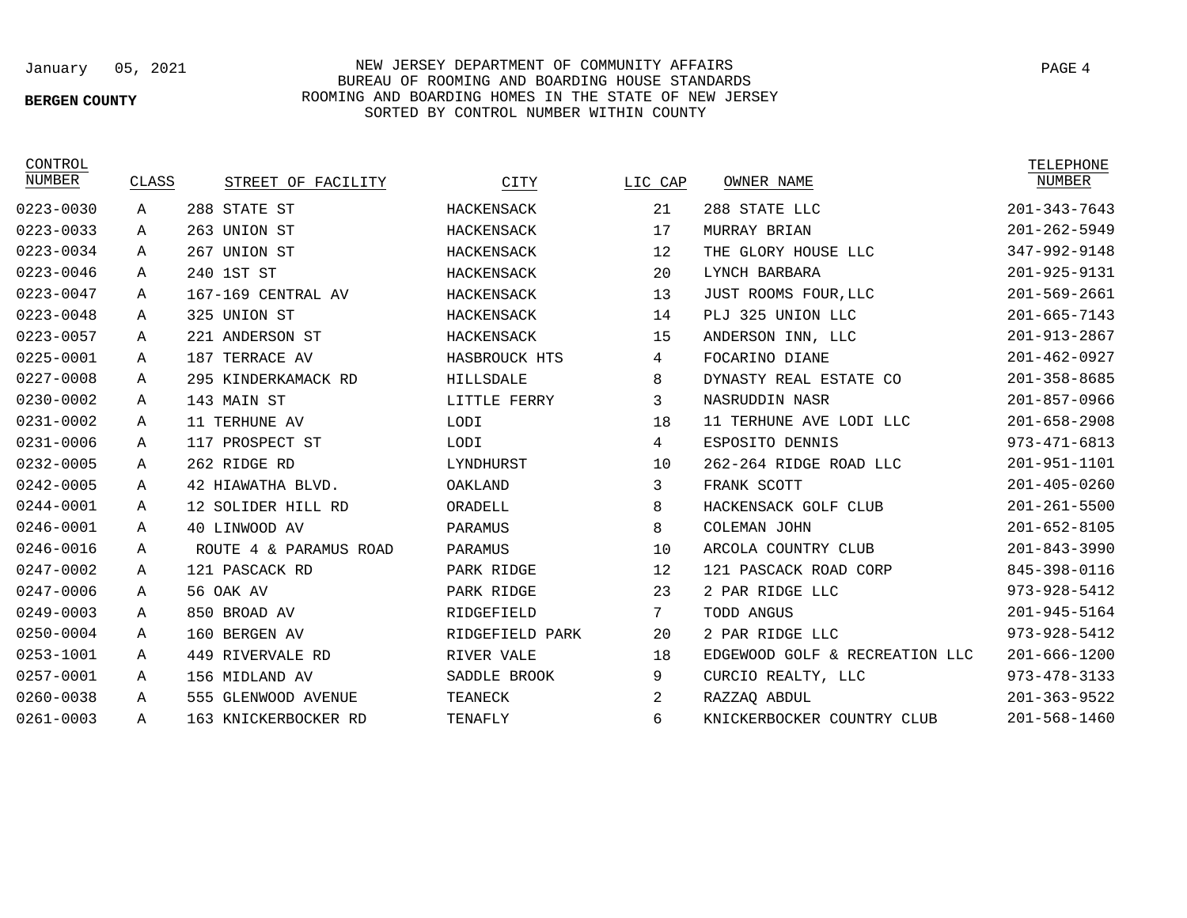# **BERGEN COUNTY**

## January 05, 2021 NEW JERSEY DEPARTMENT OF COMMUNITY AFFAIRS BUREAU OF ROOMING AND BOARDING HOUSE STANDARDS ROOMING AND BOARDING HOMES IN THE STATE OF NEW JERSEY SORTED BY CONTROL NUMBER WITHIN COUNTY

| CONTROL       |       |                        |                 |         |                                | TELEPHONE          |
|---------------|-------|------------------------|-----------------|---------|--------------------------------|--------------------|
| NUMBER        | CLASS | STREET OF FACILITY     | CITY            | LIC CAP | OWNER NAME                     | NUMBER             |
| 0223-0030     | Α     | 288 STATE ST           | HACKENSACK      | 21      | 288 STATE LLC                  | $201 - 343 - 7643$ |
| 0223-0033     | Α     | 263 UNION ST           | HACKENSACK      | 17      | MURRAY BRIAN                   | $201 - 262 - 5949$ |
| 0223-0034     | Α     | 267 UNION ST           | HACKENSACK      | 12      | THE GLORY HOUSE LLC            | 347-992-9148       |
| 0223-0046     | А     | 240 1ST ST             | HACKENSACK      | 20      | LYNCH BARBARA                  | 201-925-9131       |
| $0223 - 0047$ | Α     | 167-169 CENTRAL AV     | HACKENSACK      | 13      | JUST ROOMS FOUR, LLC           | $201 - 569 - 2661$ |
| 0223-0048     | Α     | 325 UNION ST           | HACKENSACK      | 14      | PLJ 325 UNION LLC              | $201 - 665 - 7143$ |
| 0223-0057     | Α     | 221 ANDERSON ST        | HACKENSACK      | 15      | ANDERSON INN, LLC              | $201 - 913 - 2867$ |
| 0225-0001     | Α     | 187 TERRACE AV         | HASBROUCK HTS   | 4       | FOCARINO DIANE                 | $201 - 462 - 0927$ |
| 0227-0008     | Α     | 295 KINDERKAMACK RD    | HILLSDALE       | 8       | DYNASTY REAL ESTATE CO         | $201 - 358 - 8685$ |
| 0230-0002     | Α     | 143 MAIN ST            | LITTLE FERRY    | 3       | NASRUDDIN NASR                 | $201 - 857 - 0966$ |
| 0231-0002     | Α     | 11 TERHUNE AV          | LODI            | 18      | 11 TERHUNE AVE LODI LLC        | $201 - 658 - 2908$ |
| 0231-0006     | Α     | 117<br>PROSPECT ST     | LODI            | 4       | ESPOSITO DENNIS                | $973 - 471 - 6813$ |
| 0232-0005     | A     | 262 RIDGE RD           | LYNDHURST       | 10      | 262-264 RIDGE ROAD LLC         | 201-951-1101       |
| 0242-0005     | Α     | 42 HIAWATHA BLVD.      | OAKLAND         | 3       | FRANK SCOTT                    | $201 - 405 - 0260$ |
| 0244-0001     | Α     | 12 SOLIDER HILL RD     | ORADELL         | 8       | HACKENSACK GOLF CLUB           | $201 - 261 - 5500$ |
| 0246-0001     | A     | 40 LINWOOD AV          | PARAMUS         | 8       | COLEMAN JOHN                   | $201 - 652 - 8105$ |
| 0246-0016     | Α     | ROUTE 4 & PARAMUS ROAD | PARAMUS         | 10      | ARCOLA COUNTRY CLUB            | $201 - 843 - 3990$ |
| 0247-0002     | Α     | 121 PASCACK RD         | PARK RIDGE      | 12      | 121 PASCACK ROAD CORP          | 845-398-0116       |
| 0247-0006     | Α     | 56 OAK AV              | PARK RIDGE      | 23      | 2 PAR RIDGE LLC                | $973 - 928 - 5412$ |
| 0249-0003     | Α     | 850 BROAD AV           | RIDGEFIELD      | 7       | TODD ANGUS                     | 201-945-5164       |
| 0250-0004     | А     | 160 BERGEN AV          | RIDGEFIELD PARK | 20      | 2 PAR RIDGE LLC                | $973 - 928 - 5412$ |
| 0253-1001     | Α     | 449 RIVERVALE RD       | RIVER VALE      | 18      | EDGEWOOD GOLF & RECREATION LLC | $201 - 666 - 1200$ |
| 0257-0001     | Α     | 156 MIDLAND AV         | SADDLE BROOK    | 9       | CURCIO REALTY, LLC             | $973 - 478 - 3133$ |
| 0260-0038     | Α     | 555 GLENWOOD AVENUE    | TEANECK         | 2       | RAZZAQ ABDUL                   | $201 - 363 - 9522$ |
| $0261 - 0003$ | Α     | 163 KNICKERBOCKER RD   | TENAFLY         | 6       | KNICKERBOCKER COUNTRY CLUB     | $201 - 568 - 1460$ |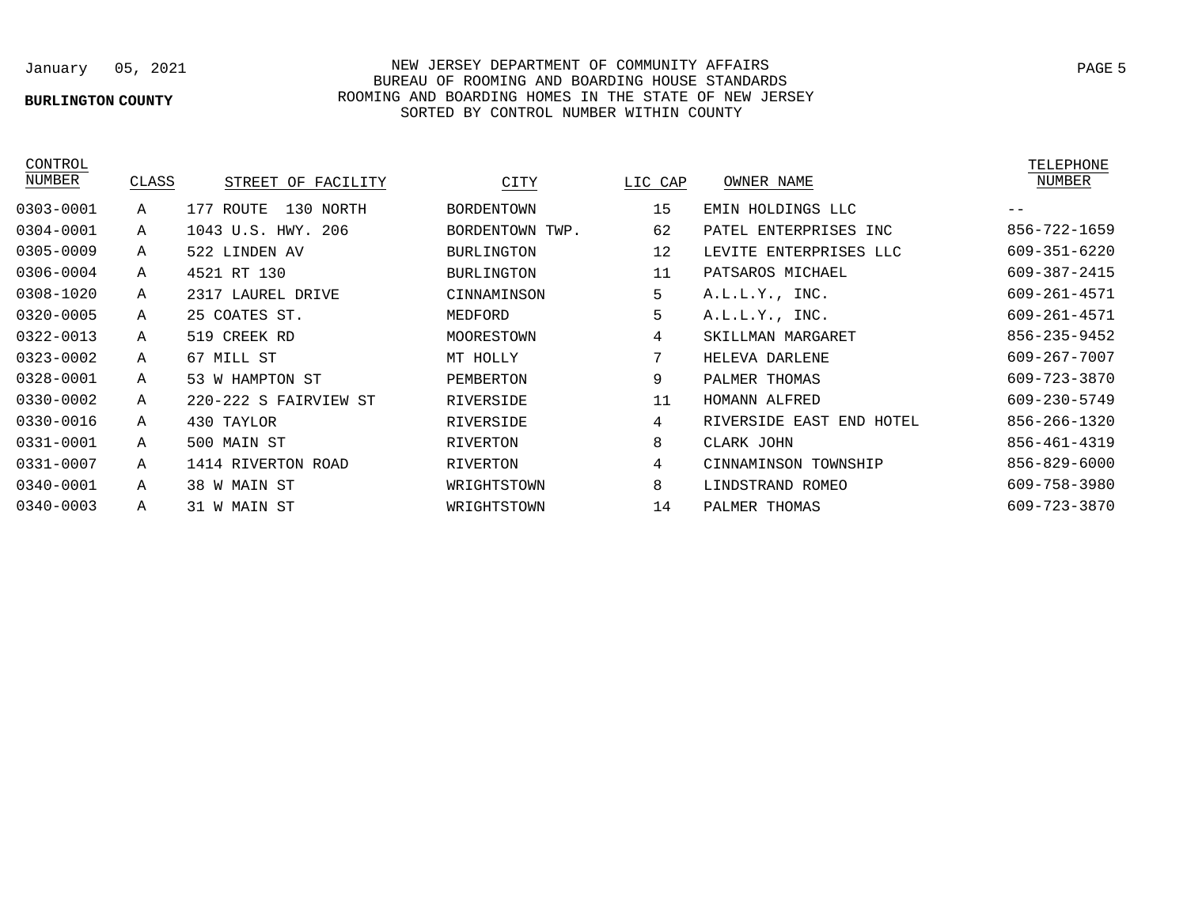### **BURLINGTON COUNTY**

A A A A A A A A A A A A A A A

38 W MAIN ST 31 W MAIN ST

January 05, 2021 NEW JERSEY DEPARTMENT OF COMMUNITY AFFAIRS BUREAU OF ROOMING AND BOARDING HOUSE STANDARDS ROOMING AND BOARDING HOMES IN THE STATE OF NEW JERSEY SORTED BY CONTROL NUMBER WITHIN COUNTY

> WRIGHTSTOWN WRIGHTSTOWN

CONTROL<br>NUMBER

0303-0001 0304-0001 0305-0009 0306-0004 0308-1020 0320-0005 0322-0013 0323-0002 0328-0001 0330-0002 0330-0016 0331-0001 0331-0007 0340-0001 0340-0003

| CLASS | STREET OF FACILITY     | CITY              | LIC CAP | OWNER NAME               | NUMBER       |
|-------|------------------------|-------------------|---------|--------------------------|--------------|
| Α     | 130 NORTH<br>177 ROUTE | BORDENTOWN        | 15      | EMIN HOLDINGS LLC        |              |
| Α     | 1043 U.S. HWY. 206     | BORDENTOWN TWP.   | 62      | PATEL ENTERPRISES INC    | 856-722-1659 |
| A     | 522 LINDEN AV          | <b>BURLINGTON</b> | 12      | LEVITE ENTERPRISES LLC   | 609-351-6220 |
| Α     | 4521 RT 130            | <b>BURLINGTON</b> | 11      | PATSAROS MICHAEL         | 609-387-2415 |
| Α     | 2317 LAUREL DRIVE      | CINNAMINSON       | 5       | A.L.L.Y., INC.           | 609-261-4571 |
| Α     | 25 COATES ST.          | MEDFORD           | 5       | A.L.L.Y., INC.           | 609-261-4571 |
| Α     | 519 CREEK RD           | MOORESTOWN        | 4       | SKILLMAN MARGARET        | 856-235-9452 |
| Α     | 67 MILL ST             | MT HOLLY          | 7       | HELEVA DARLENE           | 609-267-7007 |
| Α     | 53 W HAMPTON ST        | PEMBERTON         | 9       | PALMER THOMAS            | 609-723-3870 |
| Α     | 220-222 S FAIRVIEW ST  | RIVERSIDE         | 11      | HOMANN ALFRED            | 609-230-5749 |
| Α     | 430 TAYLOR             | RIVERSIDE         | 4       | RIVERSIDE EAST END HOTEL | 856-266-1320 |
| A     | 500 MAIN ST            | RIVERTON          | 8       | CLARK JOHN               | 856-461-4319 |
| Α     | 1414 RIVERTON ROAD     | RIVERTON          | 4       | CINNAMINSON TOWNSHIP     | 856-829-6000 |

LINDSTRAND ROMEO PALMER THOMAS

8 14

TELEPHONE

609-758-3980 609-723-3870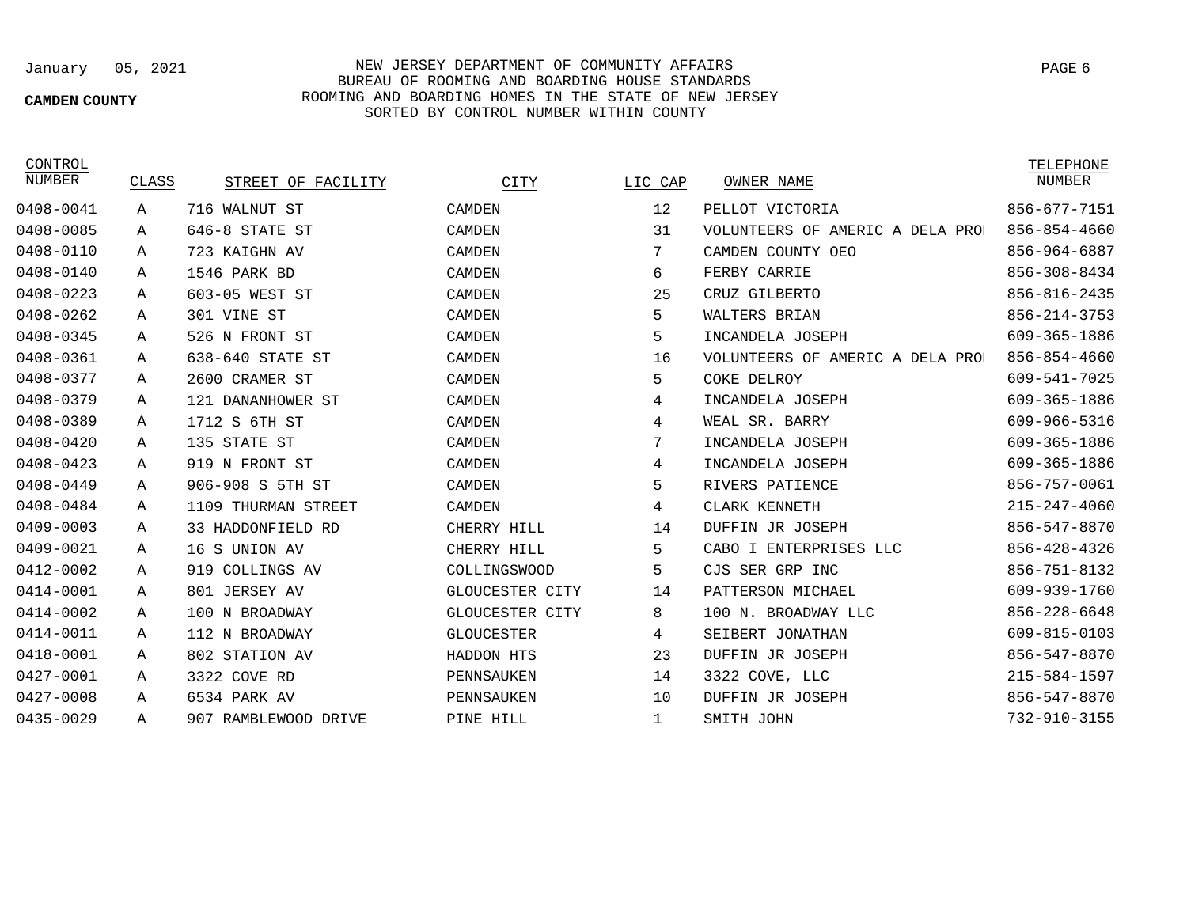## **CAMDEN COUNTY**

# January 05, 2021 NEW JERSEY DEPARTMENT OF COMMUNITY AFFAIRS BUREAU OF ROOMING AND BOARDING HOUSE STANDARDS ROOMING AND BOARDING HOMES IN THE STATE OF NEW JERSEY SORTED BY CONTROL NUMBER WITHIN COUNTY

CONTROL

| NUMBER    | CLASS | STREET OF FACILITY   | CITY              | LIC CAP | OWNER NAME                       | ----------<br>NUMBER |
|-----------|-------|----------------------|-------------------|---------|----------------------------------|----------------------|
| 0408-0041 | Α     | 716 WALNUT ST        | CAMDEN            | 12      | PELLOT VICTORIA                  | 856-677-7151         |
| 0408-0085 | Α     | 646-8 STATE ST       | CAMDEN            | 31      | VOLUNTEERS OF AMERIC A DELA PROJ | 856-854-4660         |
| 0408-0110 | Α     | 723 KAIGHN AV        | CAMDEN            | 7       | CAMDEN COUNTY OEO                | 856-964-6887         |
| 0408-0140 | А     | 1546 PARK BD         | CAMDEN            | 6       | FERBY CARRIE                     | 856-308-8434         |
| 0408-0223 | Α     | 603-05 WEST ST       | CAMDEN            | 25      | CRUZ GILBERTO                    | 856-816-2435         |
| 0408-0262 | А     | 301 VINE ST          | CAMDEN            | 5       | WALTERS BRIAN                    | 856-214-3753         |
| 0408-0345 | Α     | 526 N FRONT ST       | CAMDEN            | 5       | INCANDELA JOSEPH                 | 609-365-1886         |
| 0408-0361 | Α     | 638-640 STATE ST     | CAMDEN            | 16      | VOLUNTEERS OF AMERIC A DELA PRO  | 856-854-4660         |
| 0408-0377 | Α     | 2600 CRAMER ST       | CAMDEN            | 5       | COKE DELROY                      | 609-541-7025         |
| 0408-0379 | Α     | 121 DANANHOWER ST    | CAMDEN            | 4       | INCANDELA JOSEPH                 | 609-365-1886         |
| 0408-0389 | Α     | 1712 S 6TH ST        | CAMDEN            | 4       | WEAL SR. BARRY                   | 609-966-5316         |
| 0408-0420 | Α     | 135 STATE ST         | CAMDEN            | 7       | INCANDELA JOSEPH                 | 609-365-1886         |
| 0408-0423 | Α     | 919 N FRONT ST       | CAMDEN            | 4       | INCANDELA JOSEPH                 | 609-365-1886         |
| 0408-0449 | А     | 906-908 S 5TH ST     | CAMDEN            | 5       | RIVERS PATIENCE                  | 856-757-0061         |
| 0408-0484 | Α     | 1109 THURMAN STREET  | CAMDEN            | 4       | CLARK KENNETH                    | 215-247-4060         |
| 0409-0003 | А     | 33 HADDONFIELD RD    | CHERRY HILL       | 14      | DUFFIN JR JOSEPH                 | 856-547-8870         |
| 0409-0021 | Α     | 16 S UNION AV        | CHERRY HILL       | 5       | CABO I ENTERPRISES LLC           | 856-428-4326         |
| 0412-0002 | Α     | 919 COLLINGS AV      | COLLINGSWOOD      | 5       | CJS SER GRP INC                  | 856-751-8132         |
| 0414-0001 | Α     | 801 JERSEY AV        | GLOUCESTER CITY   | 14      | PATTERSON MICHAEL                | 609-939-1760         |
| 0414-0002 | Α     | 100 N BROADWAY       | GLOUCESTER CITY   | 8       | 100 N. BROADWAY LLC              | 856-228-6648         |
| 0414-0011 | А     | 112 N BROADWAY       | <b>GLOUCESTER</b> | 4       | SEIBERT JONATHAN                 | 609-815-0103         |
| 0418-0001 | A     | 802 STATION AV       | HADDON HTS        | 23      | DUFFIN JR JOSEPH                 | 856-547-8870         |
| 0427-0001 | A     | 3322 COVE RD         | PENNSAUKEN        | 14      | 3322 COVE, LLC                   | $215 - 584 - 1597$   |
| 0427-0008 | Α     | 6534 PARK AV         | PENNSAUKEN        | 10      | DUFFIN JR JOSEPH                 | 856-547-8870         |
| 0435-0029 | Α     | 907 RAMBLEWOOD DRIVE | PINE HILL         | 1       | SMITH JOHN                       | $732 - 910 - 3155$   |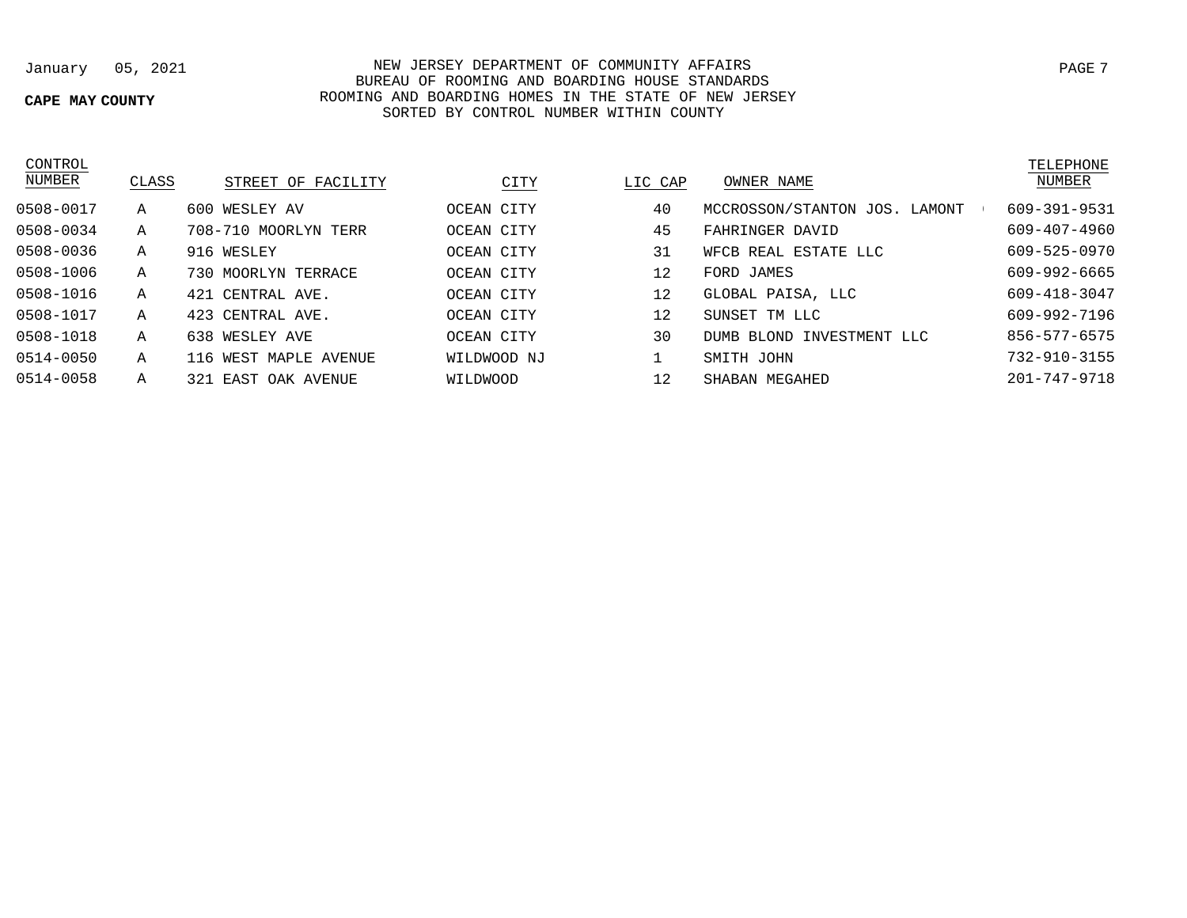# **CAPE MAY COUNTY**

January 05, 2021 NEW JERSEY DEPARTMENT OF COMMUNITY AFFAIRS PAGE 7 BUREAU OF ROOMING AND BOARDING HOUSE STANDARDS ROOMING AND BOARDING HOMES IN THE STATE OF NEW JERSEY SORTED BY CONTROL NUMBER WITHIN COUNTY

| CONTROL       |              |                       |             |         |                               | TELEPHONE    |
|---------------|--------------|-----------------------|-------------|---------|-------------------------------|--------------|
| <b>NUMBER</b> | CLASS        | STREET OF FACILITY    | CITY        | LIC CAP | OWNER NAME                    | NUMBER       |
| 0508-0017     | A            | 600 WESLEY AV         | OCEAN CITY  | 40      | MCCROSSON/STANTON JOS. LAMONT | 609-391-9531 |
| 0508-0034     | A            | 708-710 MOORLYN TERR  | OCEAN CITY  | 45      | FAHRINGER DAVID               | 609-407-4960 |
| 0508-0036     | A            | 916 WESLEY            | OCEAN CITY  | 31      | WFCB REAL ESTATE LLC          | 609-525-0970 |
| 0508-1006     | Α            | 730 MOORLYN TERRACE   | OCEAN CITY  | 12      | FORD JAMES                    | 609-992-6665 |
| 0508-1016     | A            | 421 CENTRAL AVE.      | OCEAN CITY  | 12      | GLOBAL PAISA, LLC             | 609-418-3047 |
| 0508-1017     | $\mathbf{A}$ | 423 CENTRAL AVE.      | OCEAN CITY  | 12      | SUNSET TM LLC                 | 609-992-7196 |
| 0508-1018     | A            | 638 WESLEY AVE        | OCEAN CITY  | 30      | INVESTMENT LLC<br>DUMB BLOND  | 856-577-6575 |
| 0514-0050     | A            | 116 WEST MAPLE AVENUE | WILDWOOD NJ |         | SMITH JOHN                    | 732-910-3155 |
| 0514-0058     | Α            | 321 EAST OAK AVENUE   | WILDWOOD    | 12      | SHABAN MEGAHED                | 201-747-9718 |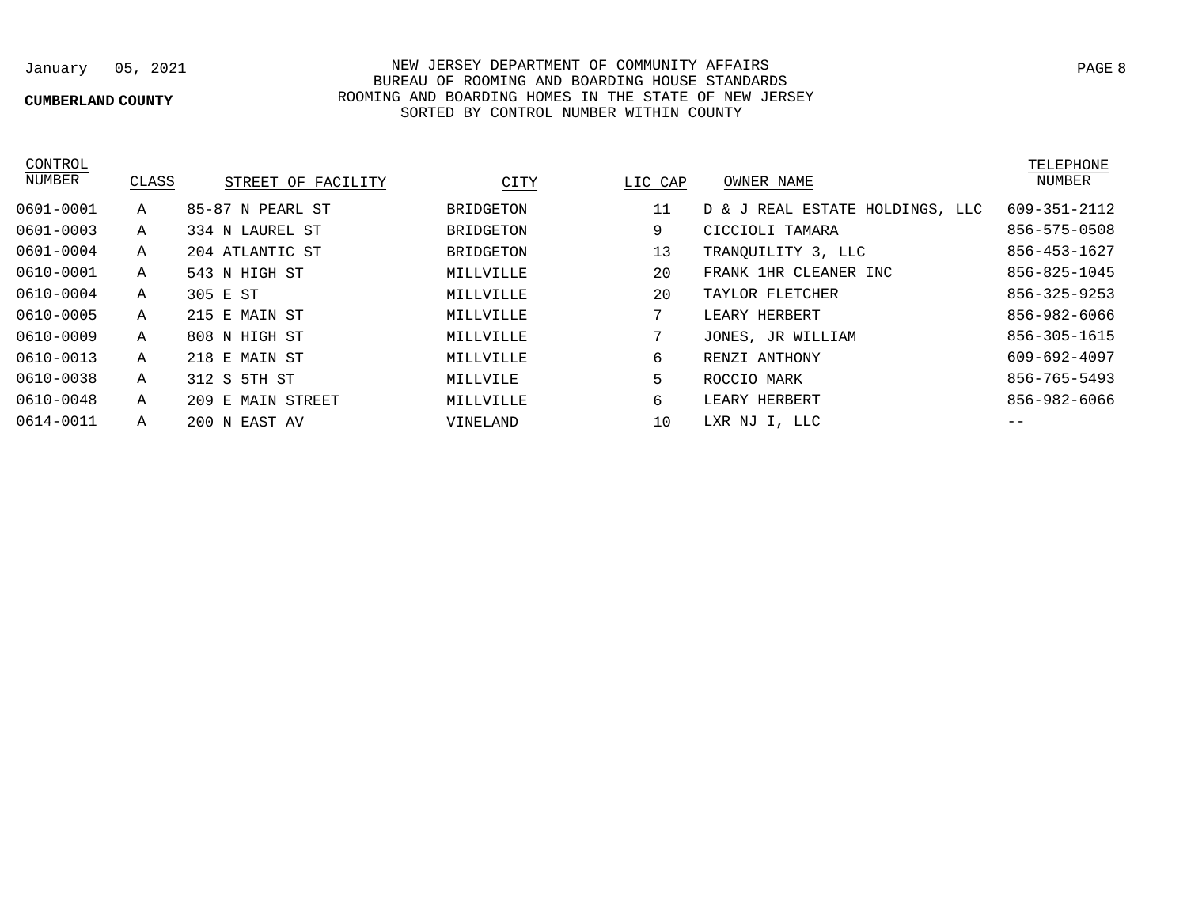## **CUMBERLAND COUNTY**

January 05, 2021 NEW JERSEY DEPARTMENT OF COMMUNITY AFFAIRS BUREAU OF ROOMING AND BOARDING HOUSE STANDARDS ROOMING AND BOARDING HOMES IN THE STATE OF NEW JERSEY SORTED BY CONTROL NUMBER WITHIN COUNTY

| CONTROL<br>NUMBER | CLASS | STREET OF FACILITY | CITY             | LIC CAP | OWNER NAME                      | TELEPHONE<br>NUMBER |
|-------------------|-------|--------------------|------------------|---------|---------------------------------|---------------------|
| 0601-0001         | Α     | 85-87 N PEARL ST   | <b>BRIDGETON</b> | 11      | D & J REAL ESTATE HOLDINGS, LLC | 609-351-2112        |
| $0601 - 0003$     | Α     | 334 N LAUREL ST    | BRIDGETON        | 9       | CICCIOLI TAMARA                 | 856-575-0508        |
| 0601-0004         | Α     | 204 ATLANTIC ST    | BRIDGETON        | 13      | TRANOUILITY 3, LLC              | 856-453-1627        |
| 0610-0001         | Α     | 543 N HIGH ST      | MILLVILLE        | 20      | FRANK 1HR CLEANER INC           | 856-825-1045        |
| 0610-0004         | Α     | 305 E ST           | MILLVILLE        | 20      | TAYLOR FLETCHER                 | 856-325-9253        |
| 0610-0005         | Α     | 215 E MAIN ST      | MILLVILLE        | 7       | LEARY HERBERT                   | 856-982-6066        |
| 0610-0009         | Α     | 808 N HIGH ST      | MILLVILLE        | 7       | JONES, JR WILLIAM               | 856-305-1615        |
| $0610 - 0013$     | Α     | 218 E MAIN ST      | MILLVILLE        | 6       | RENZI ANTHONY                   | 609-692-4097        |
| 0610-0038         | Α     | 312 S 5TH ST       | MILLVILE         | 5       | ROCCIO MARK                     | 856-765-5493        |
| 0610-0048         | Α     | 209 E MAIN STREET  | MILLVILLE        | 6       | LEARY HERBERT                   | 856-982-6066        |
| 0614-0011         | Α     | 200 N EAST AV      | VINELAND         | 10      | LXR NJ I, LLC                   |                     |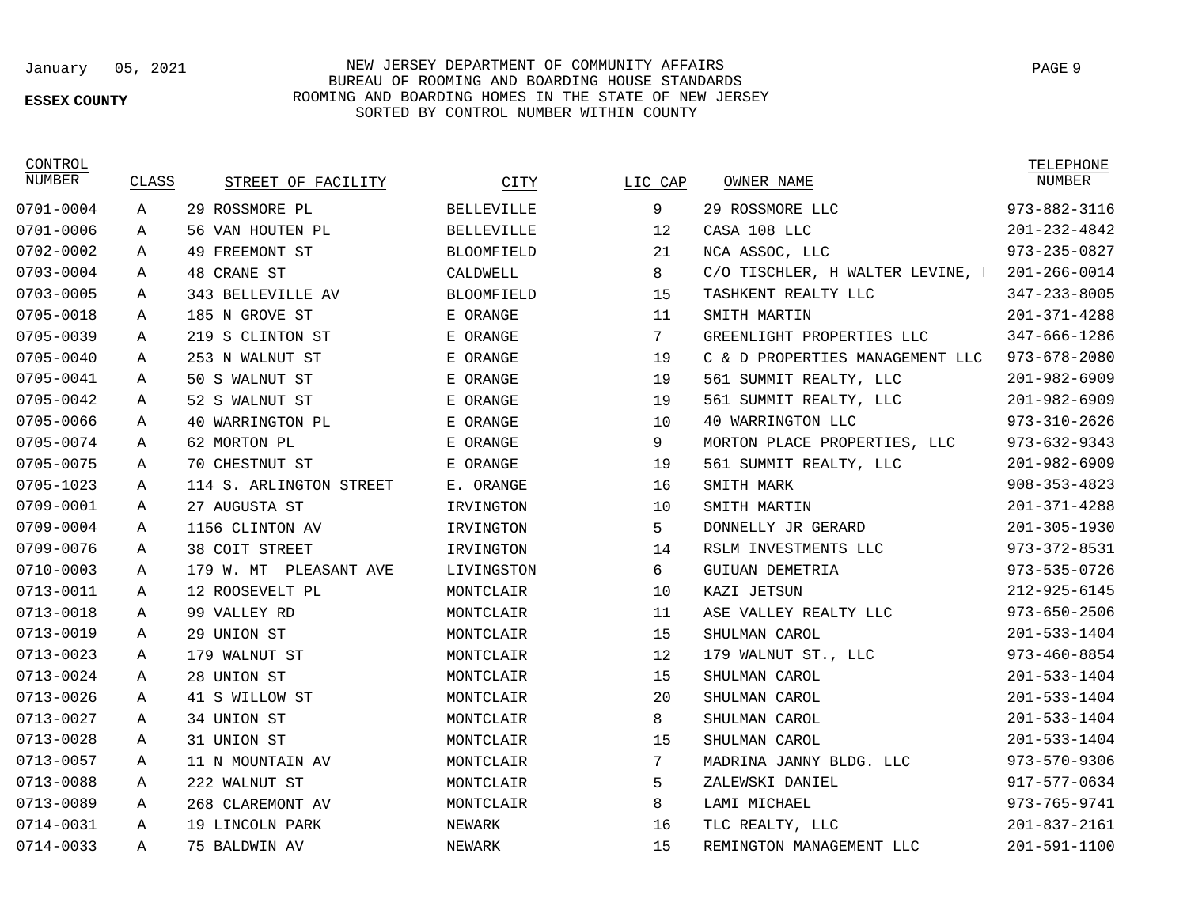75 BALDWIN AV

A

### **ESSEX COUNTY**

## January 05, 2021 NEW JERSEY DEPARTMENT OF COMMUNITY AFFAIRS PAGE 9 BUREAU OF ROOMING AND BOARDING HOUSE STANDARDS ROOMING AND BOARDING HOMES IN THE STATE OF NEW JERSEY SORTED BY CONTROL NUMBER WITHIN COUNTY

NEWARK

CONTROL

0701-0004 0701-0006 0702-0002 0703-0004 0703-0005 0705-0018 0705-0039 0705-0040 0705-0041 0705-0042 0705-0066 0705-0074 0705-0075 0705-1023 0709-0001 0709-0004 0709-0076 0710-0003 0713-0011 0713-0018 0713-0019 0713-0023 0713-0024 0713-0026 0713-0027 0713-0028 0713-0057 0713-0088 0713-0089 0714-0031 0714-0033

### 29 ROSSMORE LLC CASA 108 LLC NCA ASSOC, LLC C/O TISCHLER, H WALTER LEVINE, TASHKENT REALTY LLC SMITH MARTIN GREENLIGHT PROPERTIES LLC C & D PROPERTIES MANAGEMENT LLC 561 SUMMIT REALTY, LLC 561 SUMMIT REALTY, LLC 40 WARRINGTON LLC MORTON PLACE PROPERTIES, LLC 561 SUMMIT REALTY, LLC SMITH MARK SMITH MARTIN DONNELLY JR GERARD RSLM INVESTMENTS LLC GUIUAN DEMETRIA KAZI JETSUN ASE VALLEY REALTY LLC SHIILMAN CAROL 179 WALNUT ST., LLC SHIILMAN CAROL SHIILMAN CAROL SHULMAN CAROL SHULMAN CAROL MADRINA JANNY BLDG. LLC ZALEWSKI DANIEL LAMI MICHAEL TLC REALTY, LLC 29 ROSSMORE PL 56 VAN HOUTEN PL 49 FREEMONT ST 48 CRANE ST 343 BELLEVILLE AV 185 N GROVE ST 219 S CLINTON ST 253 N WALNUT ST 50 S WALNUT ST 52 S WALNUT ST 40 WARRINGTON PL 62 MORTON PL 70 CHESTNUT ST 114 S. ARLINGTON STREET 27 AUGUSTA ST 1156 CLINTON AV 38 COIT STREET 179 W. MT PLEASANT AVE 12 ROOSEVELT PL 99 VALLEY RD 29 UNION ST 179 WALNUT ST 28 UNION ST 41 S WILLOW ST 34 UNION ST 31 UNION ST 11 N MOUNTAIN AV 222 WALNUT ST 268 CLAREMONT AV 19 LINCOLN PARK BELLEVILLE BELLEVILLE BLOOMFIELD CALDWELL. BLOOMFIELD E ORANGE E ORANGE E ORANGE E ORANGE E ORANGE E ORANGE E ORANGE E ORANGE E. ORANGE IRVINGTON **TRVINGTON TRVINGTON** LIVINGSTON MONTCLAIR MONTCLAIR MONTCLAIR MONTCLAIR **MONTCLAIR MONTCLAIR MONTCLAIR** MONTCLAIR MONTCLAIR MONTCLAIR MONTCLAIR NEWARK A A A A A A A A A A A A A A A A A A A A A A A A A A A A A A 9 12 21 8 15 11 7 19 19 19 10 9 19 16 10 5 14 6 10 11 15 12 15  $20^{\circ}$ 8 15 7 5 8 16 NUMBER CLASS STREET OF FACILITY CITY LIC CAP 973-882-3116 201-232-4842 973-235-0827 201-266-0014 347-233-8005 201-371-4288 347-666-1286 973-678-2080 201-982-6909 201-982-6909 973-310-2626 973-632-9343 201-982-6909 908-353-4823 201-371-4288 201-305-1930 973-372-8531 973-535-0726 212-925-6145 973-650-2506 201-533-1404 973-460-8854 201-533-1404 201-533-1404 201-533-1404 201-533-1404 973-570-9306 917-577-0634 973-765-9741 201-837-2161 OWNER NAME WELL ASSESSED AND NUMBER

15

REMINGTON MANAGEMENT LLC

TELEPHONE

201-591-1100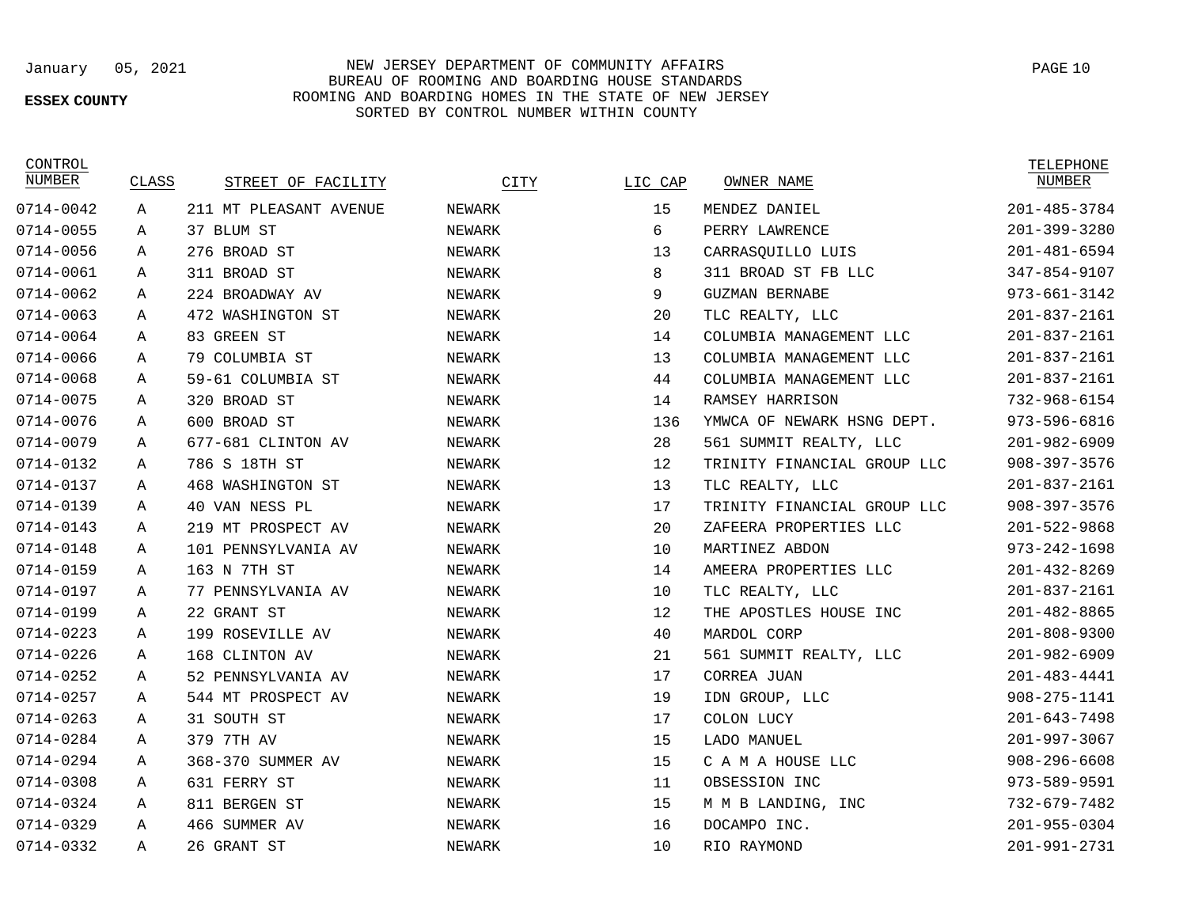### **ESSEX COUNTY**

January 05, 2021 NEW JERSEY DEPARTMENT OF COMMUNITY AFFAIRS BUREAU OF ROOMING AND BOARDING HOUSE STANDARDS ROOMING AND BOARDING HOMES IN THE STATE OF NEW JERSEY SORTED BY CONTROL NUMBER WITHIN COUNTY

CONTROL<br>NUMBER

# TELEPHONE<br>NUMBER

| NUMBER    | CLASS | STREET OF FACILITY     | CITY          | LIC CAP | OWNER NAME                  | NUMBER             |
|-----------|-------|------------------------|---------------|---------|-----------------------------|--------------------|
| 0714-0042 | A     | 211 MT PLEASANT AVENUE | NEWARK        | 15      | MENDEZ DANIEL               | $201 - 485 - 3784$ |
| 0714-0055 | Α     | 37 BLUM ST             | NEWARK        | 6       | PERRY LAWRENCE              | $201 - 399 - 3280$ |
| 0714-0056 | A     | 276 BROAD ST           | NEWARK        | 13      | CARRASOUILLO LUIS           | $201 - 481 - 6594$ |
| 0714-0061 | Α     | 311 BROAD ST           | NEWARK        | 8       | 311 BROAD ST FB LLC         | 347-854-9107       |
| 0714-0062 | Α     | 224 BROADWAY AV        | NEWARK        | 9       | <b>GUZMAN BERNABE</b>       | 973-661-3142       |
| 0714-0063 | Α     | 472 WASHINGTON ST      | NEWARK        | 20      | TLC REALTY, LLC             | $201 - 837 - 2161$ |
| 0714-0064 | A     | 83 GREEN ST            | NEWARK        | 14      | COLUMBIA MANAGEMENT LLC     | 201-837-2161       |
| 0714-0066 | Α     | 79 COLUMBIA ST         | NEWARK        | 13      | COLUMBIA MANAGEMENT LLC     | $201 - 837 - 2161$ |
| 0714-0068 | Α     | 59-61 COLUMBIA ST      | NEWARK        | 44      | COLUMBIA MANAGEMENT LLC     | $201 - 837 - 2161$ |
| 0714-0075 | A     | 320 BROAD ST           | NEWARK        | 14      | RAMSEY HARRISON             | 732-968-6154       |
| 0714-0076 | A     | 600 BROAD ST           | NEWARK        | 136     | YMWCA OF NEWARK HSNG DEPT.  | 973-596-6816       |
| 0714-0079 | Α     | 677-681 CLINTON AV     | NEWARK        | 28      | 561 SUMMIT REALTY, LLC      | 201-982-6909       |
| 0714-0132 | A     | 786 S 18TH ST          | NEWARK        | 12      | TRINITY FINANCIAL GROUP LLC | $908 - 397 - 3576$ |
| 0714-0137 | Α     | 468 WASHINGTON ST      | NEWARK        | 13      | TLC REALTY, LLC             | $201 - 837 - 2161$ |
| 0714-0139 | A     | 40 VAN NESS PL         | NEWARK        | 17      | TRINITY FINANCIAL GROUP LLC | $908 - 397 - 3576$ |
| 0714-0143 | A     | 219 MT PROSPECT AV     | NEWARK        | 20      | ZAFEERA PROPERTIES LLC      | $201 - 522 - 9868$ |
| 0714-0148 | Α     | 101 PENNSYLVANIA AV    | NEWARK        | 10      | MARTINEZ ABDON              | 973-242-1698       |
| 0714-0159 | A     | 163 N 7TH ST           | NEWARK        | 14      | AMEERA PROPERTIES LLC       | 201-432-8269       |
| 0714-0197 | Α     | 77 PENNSYLVANIA AV     | NEWARK        | 10      | TLC REALTY, LLC             | $201 - 837 - 2161$ |
| 0714-0199 | A     | 22 GRANT ST            | NEWARK        | 12      | THE APOSTLES HOUSE INC      | $201 - 482 - 8865$ |
| 0714-0223 | A     | 199 ROSEVILLE AV       | NEWARK        | 40      | MARDOL CORP                 | $201 - 808 - 9300$ |
| 0714-0226 | Α     | 168 CLINTON AV         | NEWARK        | 21      | 561 SUMMIT REALTY, LLC      | $201 - 982 - 6909$ |
| 0714-0252 | A     | 52 PENNSYLVANIA AV     | NEWARK        | 17      | <b>CORREA JUAN</b>          | $201 - 483 - 4441$ |
| 0714-0257 | Α     | 544 MT PROSPECT AV     | NEWARK        | 19      | IDN GROUP, LLC              | $908 - 275 - 1141$ |
| 0714-0263 | Α     | 31 SOUTH ST            | NEWARK        | 17      | COLON LUCY                  | $201 - 643 - 7498$ |
| 0714-0284 | Α     | 379 7TH AV             | NEWARK        | 15      | LADO MANUEL                 | 201-997-3067       |
| 0714-0294 | A     | 368-370 SUMMER AV      | NEWARK        | 15      | C A M A HOUSE LLC           | 908-296-6608       |
| 0714-0308 | A     | 631 FERRY ST           | NEWARK        | 11      | OBSESSION INC               | 973-589-9591       |
| 0714-0324 | Α     | 811 BERGEN ST          | NEWARK        | 15      | M M B LANDING, INC          | 732-679-7482       |
| 0714-0329 | Α     | 466 SUMMER AV          | NEWARK        | 16      | DOCAMPO INC.                | 201-955-0304       |
| 0714-0332 | A     | 26 GRANT ST            | <b>NEWARK</b> | 10      | RIO RAYMOND                 | 201-991-2731       |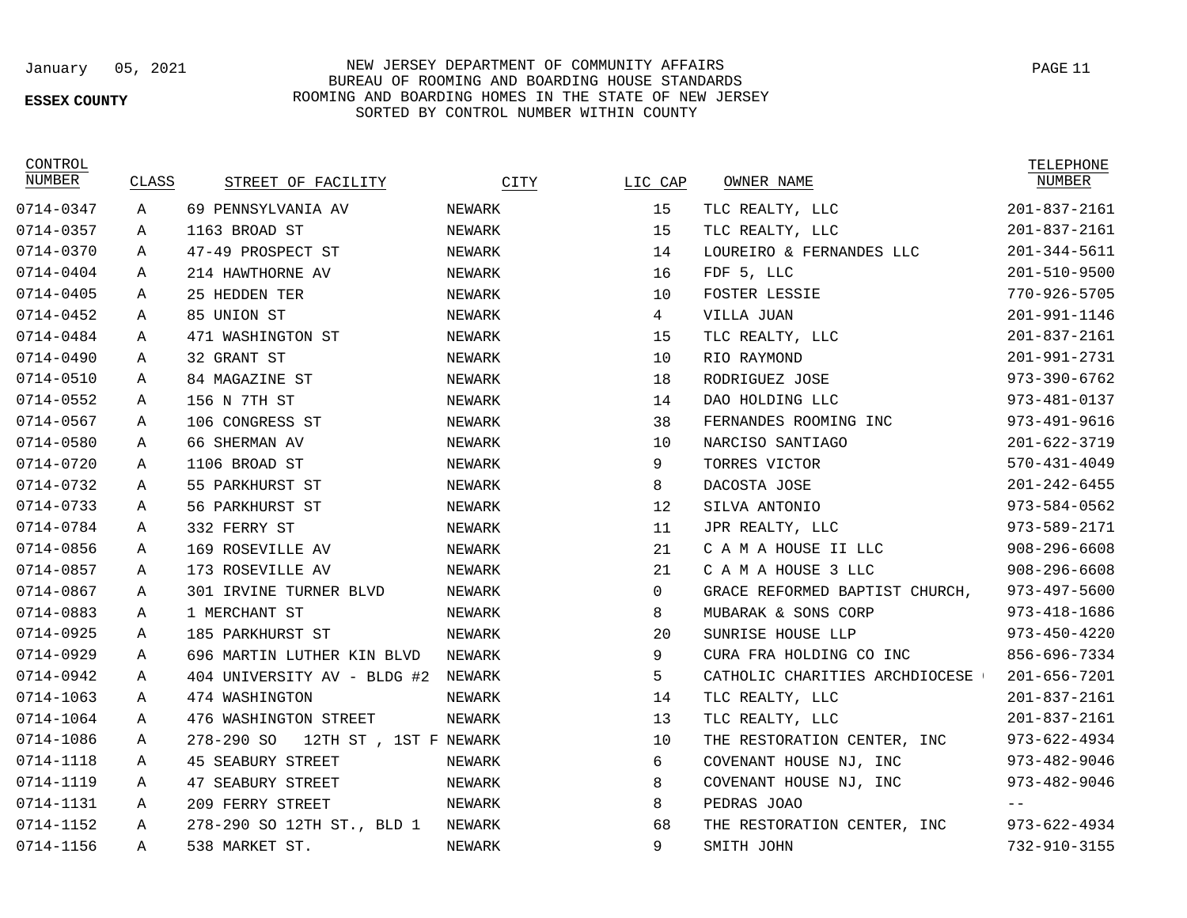### **ESSEX COUNTY**

January 05, 2021 NEW JERSEY DEPARTMENT OF COMMUNITY AFFAIRS BUREAU OF ROOMING AND BOARDING HOUSE STANDARDS ROOMING AND BOARDING HOMES IN THE STATE OF NEW JERSEY SORTED BY CONTROL NUMBER WITHIN COUNTY

**CONTROL**<br>NITIMBER

| NUMBER    | CLASS       | STREET OF FACILITY                   | CITY   | LIC CAP         | OWNER NAME                     | NUMBER             |
|-----------|-------------|--------------------------------------|--------|-----------------|--------------------------------|--------------------|
| 0714-0347 | $\mathbb A$ | 69 PENNSYLVANIA AV                   | NEWARK | 15              | TLC REALTY, LLC                | $201 - 837 - 2161$ |
| 0714-0357 | Α           | 1163 BROAD ST                        | NEWARK | 15              | TLC REALTY, LLC                | $201 - 837 - 2161$ |
| 0714-0370 | Α           | 47-49 PROSPECT ST                    | NEWARK | 14              | LOUREIRO & FERNANDES LLC       | $201 - 344 - 5611$ |
| 0714-0404 | Α           | 214 HAWTHORNE AV                     | NEWARK | 16              | FDF 5, LLC                     | $201 - 510 - 9500$ |
| 0714-0405 | Α           | 25 HEDDEN TER                        | NEWARK | 10              | FOSTER LESSIE                  | 770-926-5705       |
| 0714-0452 | Α           | 85 UNION ST                          | NEWARK | $4\overline{ }$ | VILLA JUAN                     | 201-991-1146       |
| 0714-0484 | A           | 471 WASHINGTON ST                    | NEWARK | 15              | TLC REALTY, LLC                | 201-837-2161       |
| 0714-0490 | Α           | 32 GRANT ST                          | NEWARK | 10              | RIO RAYMOND                    | 201-991-2731       |
| 0714-0510 | Α           | 84 MAGAZINE ST                       | NEWARK | 18              | RODRIGUEZ JOSE                 | $973 - 390 - 6762$ |
| 0714-0552 | Α           | 156 N 7TH ST                         | NEWARK | 14              | DAO HOLDING LLC                | 973-481-0137       |
| 0714-0567 | Α           | 106 CONGRESS ST                      | NEWARK | 38              | FERNANDES ROOMING INC          | $973 - 491 - 9616$ |
| 0714-0580 | A           | 66 SHERMAN AV                        | NEWARK | 10              | NARCISO SANTIAGO               | $201 - 622 - 3719$ |
| 0714-0720 | A           | 1106 BROAD ST                        | NEWARK | 9               | TORRES VICTOR                  | $570 - 431 - 4049$ |
| 0714-0732 | Α           | 55 PARKHURST ST                      | NEWARK | 8               | DACOSTA JOSE                   | $201 - 242 - 6455$ |
| 0714-0733 | A           | 56 PARKHURST ST                      | NEWARK | 12              | SILVA ANTONIO                  | 973-584-0562       |
| 0714-0784 | A           | 332 FERRY ST                         | NEWARK | 11              | JPR REALTY, LLC                | 973-589-2171       |
| 0714-0856 | Α           | 169 ROSEVILLE AV                     | NEWARK | 21              | C A M A HOUSE II LLC           | $908 - 296 - 6608$ |
| 0714-0857 | Α           | 173 ROSEVILLE AV                     | NEWARK | 21              | C A M A HOUSE 3 LLC            | $908 - 296 - 6608$ |
| 0714-0867 | Α           | 301 IRVINE TURNER BLVD               | NEWARK | $\mathbf 0$     | GRACE REFORMED BAPTIST CHURCH, | $973 - 497 - 5600$ |
| 0714-0883 | Α           | 1 MERCHANT ST                        | NEWARK | 8               | MUBARAK & SONS CORP            | $973 - 418 - 1686$ |
| 0714-0925 | A           | 185 PARKHURST ST                     | NEWARK | 20              | SUNRISE HOUSE LLP              | $973 - 450 - 4220$ |
| 0714-0929 | Α           | 696 MARTIN LUTHER KIN BLVD           | NEWARK | 9               | CURA FRA HOLDING CO INC        | 856-696-7334       |
| 0714-0942 | Α           | 404 UNIVERSITY AV - BLDG #2          | NEWARK | 5               | CATHOLIC CHARITIES ARCHDIOCESE | 201-656-7201       |
| 0714-1063 | Α           | 474 WASHINGTON                       | NEWARK | 14              | TLC REALTY, LLC                | $201 - 837 - 2161$ |
| 0714-1064 | Α           | 476 WASHINGTON STREET                | NEWARK | 13              | TLC REALTY, LLC                | $201 - 837 - 2161$ |
| 0714-1086 | A           | 278-290 SO<br>12TH ST , 1ST F NEWARK |        | 10              | THE RESTORATION CENTER, INC    | $973 - 622 - 4934$ |
| 0714-1118 | Α           | <b>45 SEABURY STREET</b>             | NEWARK | 6               | COVENANT HOUSE NJ, INC         | 973-482-9046       |
| 0714-1119 | Α           | 47 SEABURY STREET                    | NEWARK | 8               | COVENANT HOUSE NJ, INC         | $973 - 482 - 9046$ |
| 0714-1131 | Α           | 209 FERRY STREET                     | NEWARK | 8               | PEDRAS JOAO                    |                    |
| 0714-1152 | Α           | 278-290 SO 12TH ST., BLD 1           | NEWARK | 68              | THE RESTORATION CENTER, INC    | $973 - 622 - 4934$ |
| 0714-1156 | A           | 538 MARKET ST.                       | NEWARK | $\circ$         | SMITH JOHN                     | 732-910-3155       |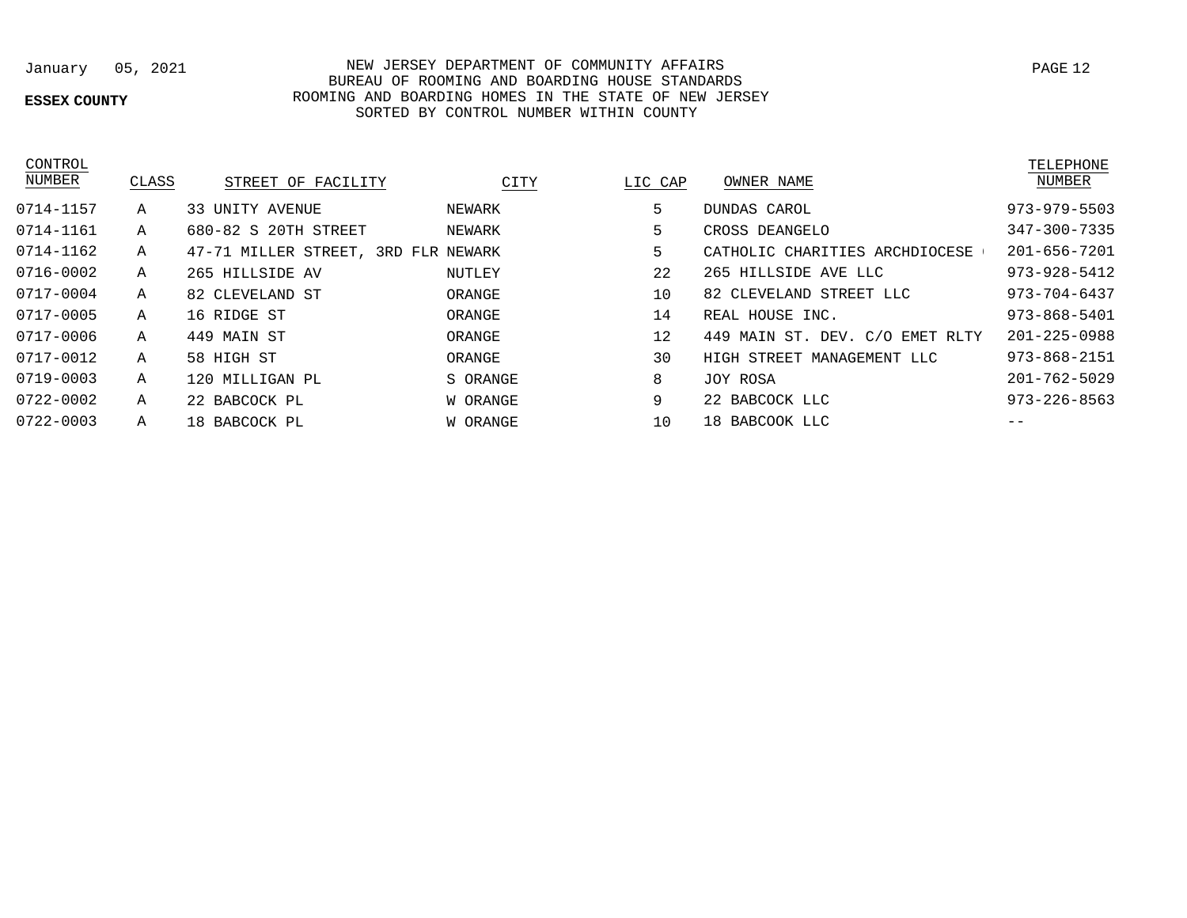## **ESSEX COUNTY**

## January 05, 2021 NEW JERSEY DEPARTMENT OF COMMUNITY AFFAIRS BUREAU OF ROOMING AND BOARDING HOUSE STANDARDS ROOMING AND BOARDING HOMES IN THE STATE OF NEW JERSEY SORTED BY CONTROL NUMBER WITHIN COUNTY

| CONTROL<br>NUMBER | CLASS | STREET OF FACILITY                  | CITY     | LIC CAP | OWNER NAME                      | TELEPHON<br>NUMBER |
|-------------------|-------|-------------------------------------|----------|---------|---------------------------------|--------------------|
| 0714-1157         | Α     | 33 UNITY AVENUE                     | NEWARK   | 5       | DUNDAS CAROL                    | $973 - 979 - 55$   |
| 0714-1161         | Α     | 680-82 S 20TH STREET                | NEWARK   | 5       | CROSS DEANGELO                  | $347 - 300 - 73$   |
| 0714-1162         | Α     | 47-71 MILLER STREET, 3RD FLR NEWARK |          | 5       | CATHOLIC CHARITIES ARCHDIOCESE  | $201 - 656 - 72$   |
| 0716-0002         | Α     | 265 HILLSIDE AV                     | NUTLEY   | 22      | 265 HILLSIDE AVE LLC            | $973 - 928 - 54$   |
| 0717-0004         | Α     | 82 CLEVELAND ST                     | ORANGE   | 10      | 82 CLEVELAND STREET LLC         | $973 - 704 - 64$   |
| 0717-0005         | Α     | 16 RIDGE ST                         | ORANGE   | 14      | REAL HOUSE INC.                 | $973 - 868 - 54$   |
| 0717-0006         | Α     | 449 MAIN ST                         | ORANGE   | 12      | 449 MAIN ST. DEV. C/O EMET RLTY | $201 - 225 - 09$   |
| 0717-0012         | Α     | 58 HIGH ST                          | ORANGE   | 30      | HIGH STREET MANAGEMENT LLC      | $973 - 868 - 21$   |
| 0719-0003         | Α     | 120 MILLIGAN PL                     | S ORANGE | 8       | JOY ROSA                        | $201 - 762 - 50$   |
| 0722-0002         | Α     | 22 BABCOCK PL                       | W ORANGE | 9       | 22 BABCOCK LLC                  | $973 - 226 - 85$   |
| 0722-0003         | Α     | 18 BABCOCK PL                       | W ORANGE | 10      | 18 BABCOOK LLC                  |                    |

| <b>LAP</b> | UWNLR NAML                      | wurden             |
|------------|---------------------------------|--------------------|
| 5          | DUNDAS CAROL                    | $973 - 979 - 5503$ |
| 5          | CROSS DEANGELO                  | $347 - 300 - 7335$ |
| 5          | CATHOLIC CHARITIES ARCHDIOCESE  | $201 - 656 - 7201$ |
| 22         | 265 HILLSIDE AVE LLC            | $973 - 928 - 5412$ |
| 10         | 82 CLEVELAND STREET LLC         | $973 - 704 - 6437$ |
| 14         | REAL HOUSE INC.                 | $973 - 868 - 5401$ |
| 12         | 449 MAIN ST. DEV. C/O EMET RLTY | $201 - 225 - 0988$ |
| 30         | HIGH STREET MANAGEMENT LLC      | $973 - 868 - 2151$ |
| 8          | JOY ROSA                        | $201 - 762 - 5029$ |
| 9          | 22 BABCOCK LLC                  | $973 - 226 - 8563$ |
| 10         | 18 BABCOOK LLC                  |                    |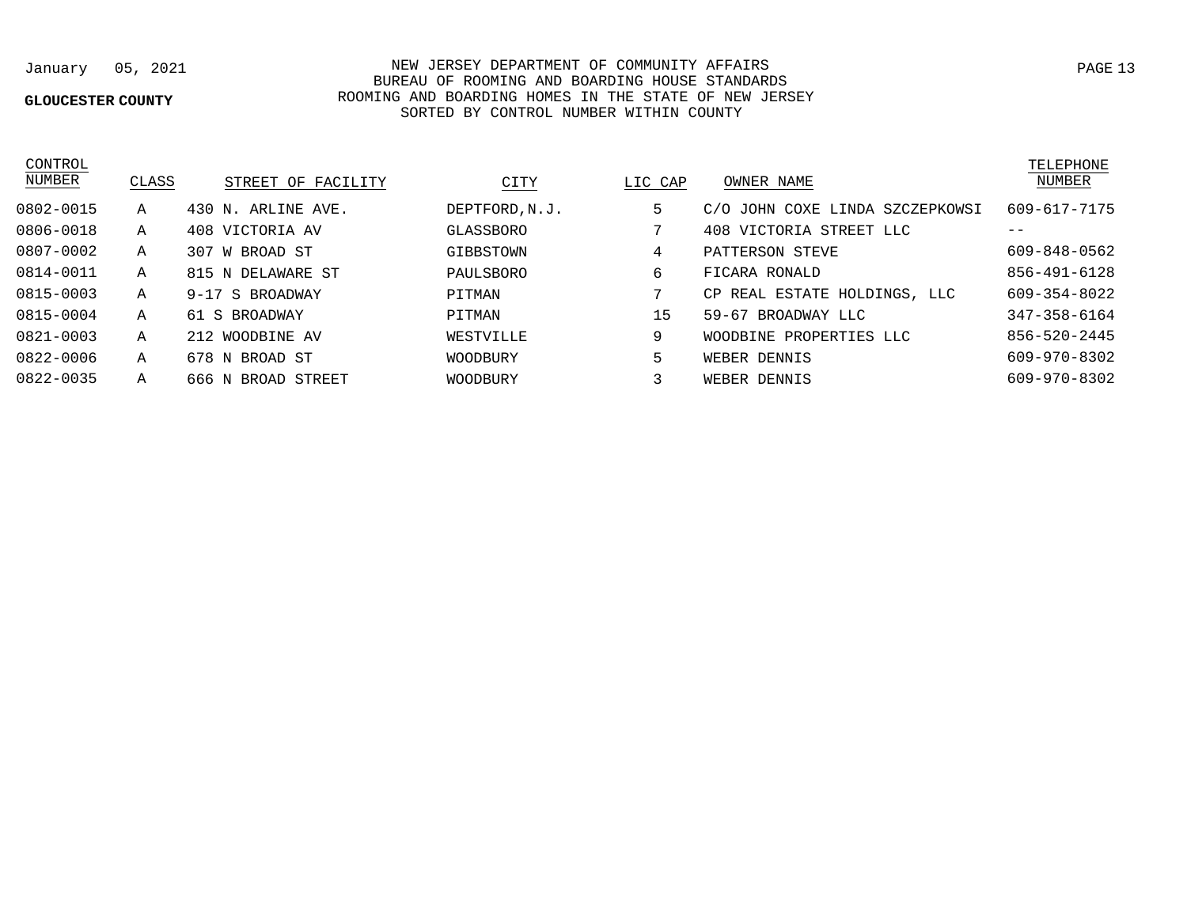## **GLOUCESTER COUNTY**

## January 05, 2021 NEW JERSEY DEPARTMENT OF COMMUNITY AFFAIRS BUREAU OF ROOMING AND BOARDING HOUSE STANDARDS ROOMING AND BOARDING HOMES IN THE STATE OF NEW JERSEY SORTED BY CONTROL NUMBER WITHIN COUNTY

| ראיויא      |
|-------------|
| ပ<br>. IV/L |

| <b>NUMBER</b> | CLASS | STREET OF FACILITY | CITY           | LIC CAP | OWNER NAME                      | NUMBER       |
|---------------|-------|--------------------|----------------|---------|---------------------------------|--------------|
| 0802-0015     | Α     | 430 N. ARLINE AVE. | DEPTFORD, N.J. | 5       | C/O JOHN COXE LINDA SZCZEPKOWSI | 609-617-7175 |
| 0806-0018     | Α     | 408 VICTORIA AV    | GLASSBORO      | 7       | 408 VICTORIA STREET LLC         | $- -$        |
| 0807-0002     | Α     | 307 W BROAD ST     | GIBBSTOWN      | 4       | PATTERSON STEVE                 | 609-848-0562 |
| 0814-0011     | Α     | 815 N DELAWARE ST  | PAULSBORO      | 6       | FICARA RONALD                   | 856-491-6128 |
| 0815-0003     | Α     | 9-17 S BROADWAY    | PITMAN         |         | CP REAL ESTATE HOLDINGS, LLC    | 609-354-8022 |
| 0815-0004     | Α     | 61 S BROADWAY      | PITMAN         | 15      | 59-67 BROADWAY LLC              | 347-358-6164 |
| 0821-0003     | Α     | 212 WOODBINE AV    | WESTVILLE      | 9       | WOODBINE PROPERTIES LLC         | 856-520-2445 |
| 0822-0006     | Α     | 678 N BROAD ST     | WOODBURY       | 5       | WEBER DENNIS                    | 609-970-8302 |
| 0822-0035     | Α     | 666 N BROAD STREET | WOODBURY       |         | WEBER DENNIS                    | 609-970-8302 |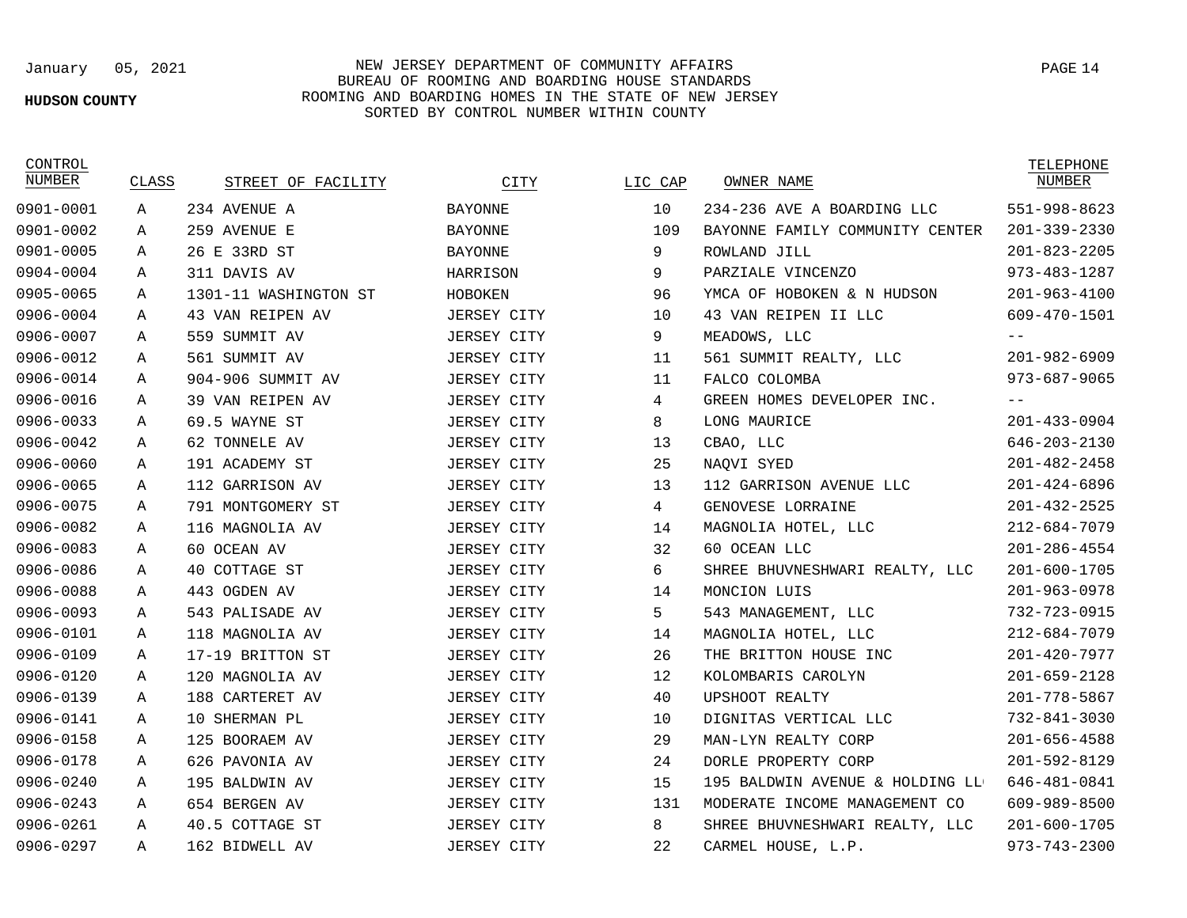### **HUDSON COUNTY**

## January 05, 2021 NEW JERSEY DEPARTMENT OF COMMUNITY AFFAIRS PAGE 14 BUREAU OF ROOMING AND BOARDING HOUSE STANDARDS ROOMING AND BOARDING HOMES IN THE STATE OF NEW JERSEY SORTED BY CONTROL NUMBER WITHIN COUNTY

| CONTROL<br>NUMBER | CLASS | STREET OF FACILITY    | CITY               | LIC CAP | OWNER NAME                      | TELEPHONE<br>NUMBER |
|-------------------|-------|-----------------------|--------------------|---------|---------------------------------|---------------------|
| 0901-0001         | Α     | 234 AVENUE A          | <b>BAYONNE</b>     | 10      | 234-236 AVE A BOARDING LLC      | 551-998-8623        |
| 0901-0002         | Α     | 259 AVENUE E          | <b>BAYONNE</b>     | 109     | BAYONNE FAMILY COMMUNITY CENTER | $201 - 339 - 2330$  |
| 0901-0005         | Α     | 26 E 33RD ST          | <b>BAYONNE</b>     | 9       | ROWLAND JILL                    | $201 - 823 - 2205$  |
| 0904-0004         | A     | 311 DAVIS AV          | HARRISON           | 9       | PARZIALE VINCENZO               | $973 - 483 - 1287$  |
| 0905-0065         | Α     | 1301-11 WASHINGTON ST | HOBOKEN            | 96      | YMCA OF HOBOKEN & N HUDSON      | $201 - 963 - 4100$  |
| 0906-0004         | A     | 43 VAN REIPEN AV      | JERSEY CITY        | 10      | 43 VAN REIPEN II LLC            | 609-470-1501        |
| 0906-0007         | Α     | 559 SUMMIT AV         | JERSEY CITY        | 9       | MEADOWS, LLC                    |                     |
| 0906-0012         | Α     | 561 SUMMIT AV         | <b>JERSEY CITY</b> | 11      | 561 SUMMIT REALTY, LLC          | $201 - 982 - 6909$  |
| 0906-0014         | Α     | 904-906 SUMMIT AV     | <b>JERSEY CITY</b> | 11      | FALCO COLOMBA                   | $973 - 687 - 9065$  |
| 0906-0016         | A     | 39 VAN REIPEN AV      | <b>JERSEY CITY</b> | 4       | GREEN HOMES DEVELOPER INC.      | $- -$               |
| 0906-0033         | Α     | 69.5 WAYNE ST         | JERSEY CITY        | 8       | LONG MAURICE                    | $201 - 433 - 0904$  |
| 0906-0042         | Α     | 62 TONNELE AV         | <b>JERSEY CITY</b> | 13      | CBAO, LLC                       | $646 - 203 - 2130$  |
| 0906-0060         | Α     | 191 ACADEMY ST        | <b>JERSEY CITY</b> | 25      | NAQVI SYED                      | $201 - 482 - 2458$  |
| 0906-0065         | Α     | 112 GARRISON AV       | <b>JERSEY CITY</b> | 13      | 112 GARRISON AVENUE LLC         | $201 - 424 - 6896$  |
| 0906-0075         | Α     | 791 MONTGOMERY ST     | <b>JERSEY CITY</b> | 4       | GENOVESE LORRAINE               | $201 - 432 - 2525$  |
| 0906-0082         | Α     | 116 MAGNOLIA AV       | <b>JERSEY CITY</b> | 14      | MAGNOLIA HOTEL, LLC             | $212 - 684 - 7079$  |
| 0906-0083         | Α     | 60 OCEAN AV           | <b>JERSEY CITY</b> | 32      | 60 OCEAN LLC                    | $201 - 286 - 4554$  |
| 0906-0086         | Α     | 40 COTTAGE ST         | <b>JERSEY CITY</b> | 6       | SHREE BHUVNESHWARI REALTY, LLC  | $201 - 600 - 1705$  |
| 0906-0088         | А     | 443 OGDEN AV          | <b>JERSEY CITY</b> | 14      | MONCION LUIS                    | $201 - 963 - 0978$  |
| 0906-0093         | Α     | 543 PALISADE AV       | JERSEY CITY        | 5       | 543 MANAGEMENT, LLC             | 732-723-0915        |
| 0906-0101         | Α     | 118 MAGNOLIA AV       | <b>JERSEY CITY</b> | 14      | MAGNOLIA HOTEL, LLC             | $212 - 684 - 7079$  |
| 0906-0109         | A     | 17-19 BRITTON ST      | <b>JERSEY CITY</b> | 26      | THE BRITTON HOUSE INC           | $201 - 420 - 7977$  |
| 0906-0120         | Α     | 120 MAGNOLIA AV       | <b>JERSEY CITY</b> | 12      | KOLOMBARIS CAROLYN              | $201 - 659 - 2128$  |
| 0906-0139         | A     | 188 CARTERET AV       | JERSEY CITY        | 40      | UPSHOOT REALTY                  | $201 - 778 - 5867$  |
| 0906-0141         | Α     | 10 SHERMAN PL         | JERSEY CITY        | 10      | DIGNITAS VERTICAL LLC           | $732 - 841 - 3030$  |
| 0906-0158         | Α     | 125 BOORAEM AV        | JERSEY CITY        | 29      | MAN-LYN REALTY CORP             | $201 - 656 - 4588$  |
| 0906-0178         | Α     | 626 PAVONIA AV        | JERSEY CITY        | 24      | DORLE PROPERTY CORP             | 201-592-8129        |
| 0906-0240         | Α     | 195 BALDWIN AV        | JERSEY CITY        | 15      | 195 BALDWIN AVENUE & HOLDING LL | 646-481-0841        |
| 0906-0243         | Α     | 654 BERGEN AV         | JERSEY CITY        | 131     | MODERATE INCOME MANAGEMENT CO   | 609-989-8500        |
| 0906-0261         | А     | 40.5 COTTAGE ST       | <b>JERSEY CITY</b> | 8       | SHREE BHUVNESHWARI REALTY, LLC  | $201 - 600 - 1705$  |
| 0906-0297         | Α     | 162 BIDWELL AV        | <b>JERSEY CITY</b> | 22      | CARMEL HOUSE, L.P.              | $973 - 743 - 2300$  |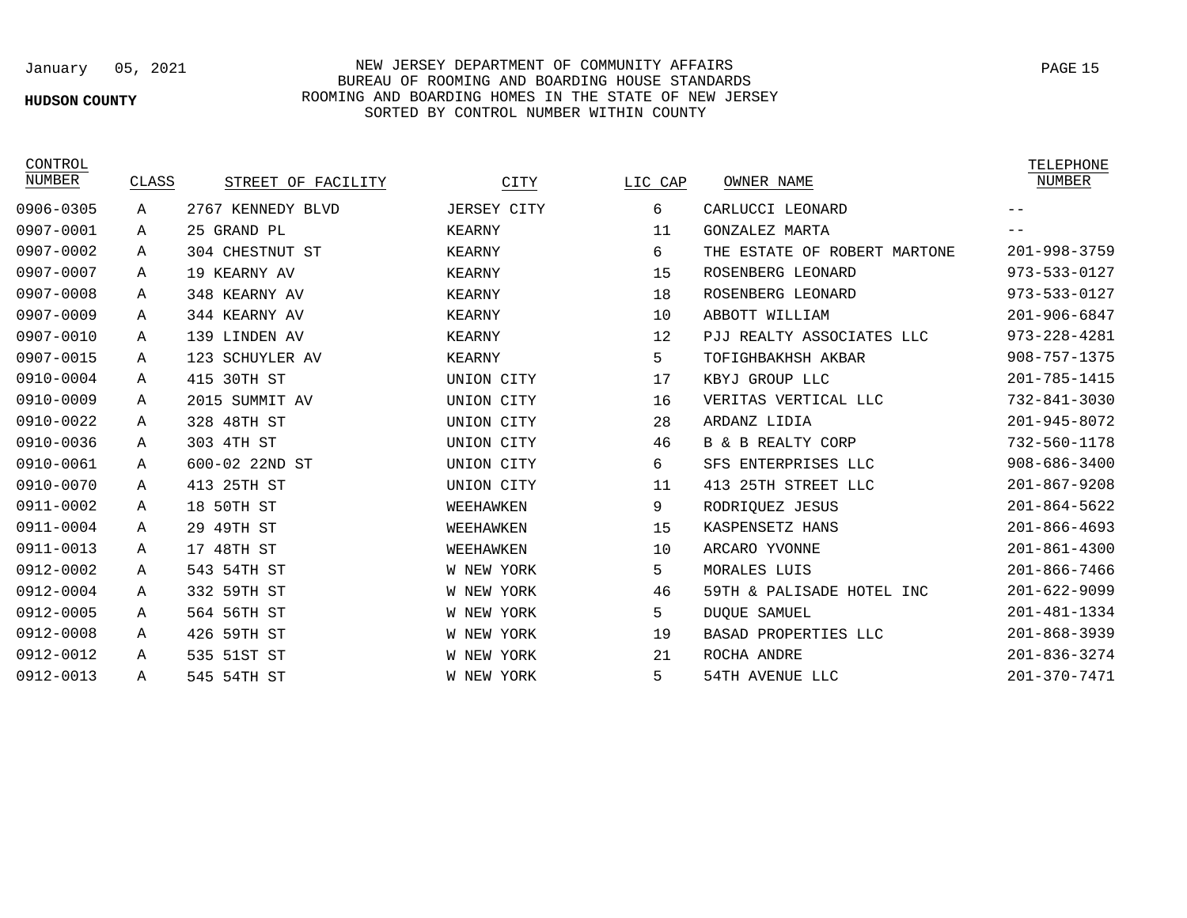### **HUDSON COUNTY**

## January 05, 2021 NEW JERSEY DEPARTMENT OF COMMUNITY AFFAIRS BUREAU OF ROOMING AND BOARDING HOUSE STANDARDS ROOMING AND BOARDING HOMES IN THE STATE OF NEW JERSEY SORTED BY CONTROL NUMBER WITHIN COUNTY

0906-0305 0907-0001 0907-0002 0907-0007 0907-0008 0907-0009 0907-0010 0907-0015 0910-0004 0910-0009 0910-0022 0910-0036 0910-0061 0910-0070 0911-0002 0911-0004 0911-0013 0912-0002 0912-0004 0912-0005 0912-0008 0912-0012 0912-0013

CONTROL<br>NUMBER

| CONTROL<br>NUMBER | CLASS | STREET OF FACILITY | CITY               | LIC CAP | OWNER NAME                   | TELEPHONE<br><b>NUMBER</b> |
|-------------------|-------|--------------------|--------------------|---------|------------------------------|----------------------------|
| 906-0305          | Α     | 2767 KENNEDY BLVD  | <b>JERSEY CITY</b> | 6       | CARLUCCI LEONARD             |                            |
| 907-0001          | Α     | 25 GRAND PL        | <b>KEARNY</b>      | 11      | GONZALEZ MARTA               |                            |
| 907-0002          | Α     | 304 CHESTNUT ST    | <b>KEARNY</b>      | 6       | THE ESTATE OF ROBERT MARTONE | $201 - 998 - 3759$         |
| 907-0007          | Α     | 19 KEARNY AV       | <b>KEARNY</b>      | 15      | ROSENBERG LEONARD            | 973-533-0127               |
| 907-0008          | Α     | 348 KEARNY AV      | <b>KEARNY</b>      | 18      | ROSENBERG LEONARD            | 973-533-0127               |
| 907-0009          | Α     | 344 KEARNY AV      | <b>KEARNY</b>      | 10      | ABBOTT WILLIAM               | $201 - 906 - 6847$         |
| 907-0010          | Α     | 139 LINDEN AV      | KEARNY             | 12      | PJJ REALTY ASSOCIATES LLC    | $973 - 228 - 4281$         |
| 907-0015          | Α     | 123 SCHUYLER AV    | <b>KEARNY</b>      | 5       | TOFIGHBAKHSH AKBAR           | $908 - 757 - 1375$         |
| 910-0004          | Α     | 415 30TH ST        | UNION CITY         | 17      | KBYJ GROUP LLC               | 201-785-1415               |
| 910-0009          | Α     | 2015 SUMMIT AV     | UNION CITY         | 16      | VERITAS VERTICAL LLC         | 732-841-3030               |
| 910-0022          | Α     | 328 48TH ST        | UNION CITY         | 28      | ARDANZ LIDIA                 | $201 - 945 - 8072$         |
| 910-0036          | Α     | 303 4TH ST         | UNION CITY         | 46      | B & B REALTY CORP            | 732-560-1178               |
| 910-0061          | Α     | 600-02 22ND ST     | UNION CITY         | 6       | SFS ENTERPRISES LLC          | $908 - 686 - 3400$         |
| 910-0070          | Α     | 25TH ST<br>413     | UNION CITY         | 11      | 413 25TH STREET LLC          | $201 - 867 - 9208$         |
| 911-0002          | Α     | 18 50TH ST         | WEEHAWKEN          | 9       | RODRIOUEZ JESUS              | $201 - 864 - 5622$         |
| 911-0004          | Α     | 29 49TH ST         | WEEHAWKEN          | 15      | KASPENSETZ HANS              | $201 - 866 - 4693$         |
| 911-0013          | Α     | 17 48TH ST         | WEEHAWKEN          | 10      | ARCARO YVONNE                | $201 - 861 - 4300$         |
| 912-0002          | Α     | 543<br>54TH ST     | W NEW YORK         | 5       | MORALES LUIS                 | $201 - 866 - 7466$         |
| 912-0004          | A     | 332 59TH ST        | W NEW YORK         | 46      | 59TH & PALISADE HOTEL INC    | $201 - 622 - 9099$         |
| 912-0005          | Α     | 564 56TH ST        | W NEW YORK         | 5       | <b>DUQUE SAMUEL</b>          | $201 - 481 - 1334$         |
| 912-0008          | Α     | 426 59TH ST        | W NEW YORK         | 19      | BASAD PROPERTIES LLC         | $201 - 868 - 3939$         |
| 912-0012          | A     | 535 51ST ST        | W NEW YORK         | 21      | ROCHA ANDRE                  | $201 - 836 - 3274$         |
| 912-0013          | А     | 545 54TH ST        | W NEW YORK         | 5.      | 54TH AVENUE LLC              | $201 - 370 - 7471$         |
|                   |       |                    |                    |         |                              |                            |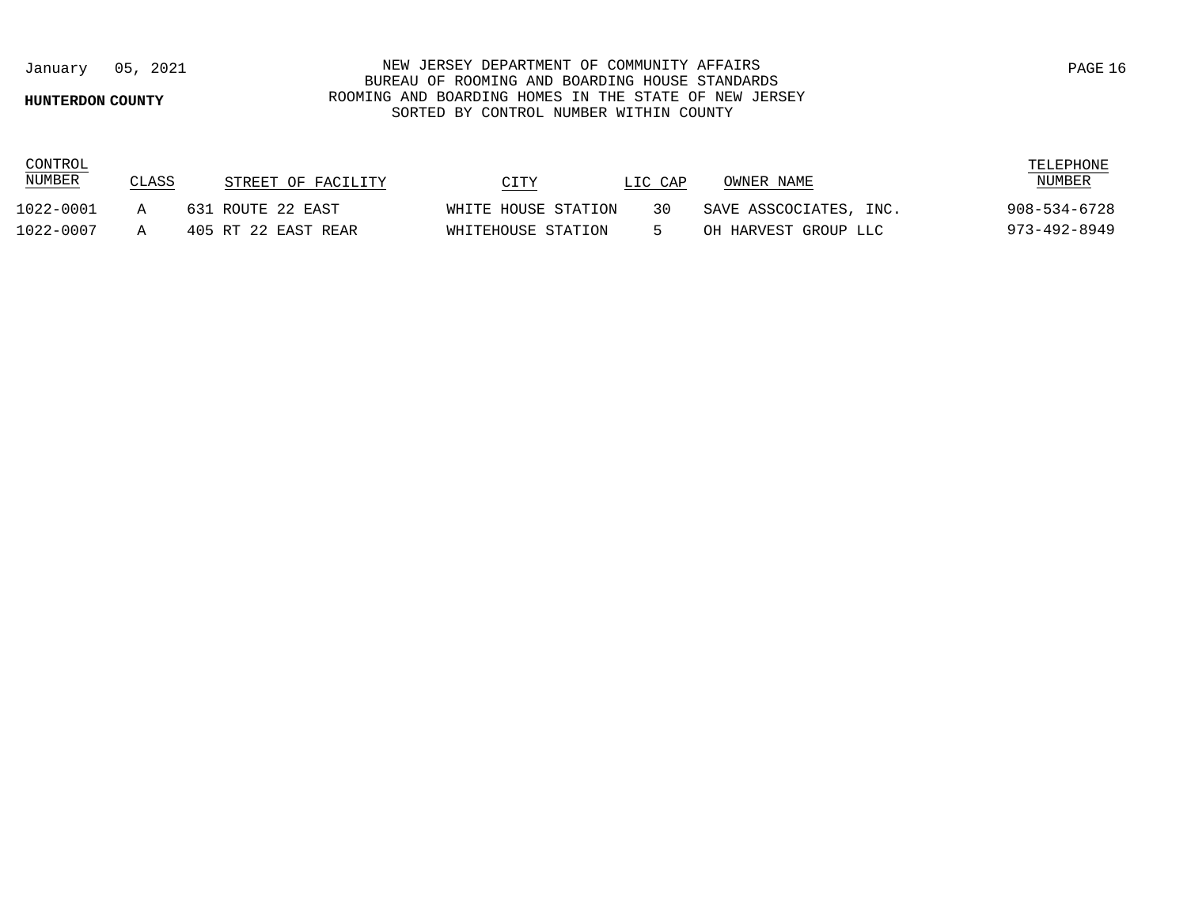### **HUNTERDON COUNTY**

CONTROL

## January 05, 2021 NEW JERSEY DEPARTMENT OF COMMUNITY AFFAIRS BUREAU OF ROOMING AND BOARDING HOUSE STANDARDS ROOMING AND BOARDING HOMES IN THE STATE OF NEW JERSEY SORTED BY CONTROL NUMBER WITHIN COUNTY

| <b>NUMBER</b> | CLASS | STREET OF FACILITY  | CITY                | LIC CAP | OWNER NAME             | <b>NUMBER</b> |
|---------------|-------|---------------------|---------------------|---------|------------------------|---------------|
| 1022-0001     |       | 631 ROUTE 22 EAST   | WHITE HOUSE STATION | 3 N     | SAVE ASSCOCIATES, INC. | 908-534-6728  |
| 1022-0007     |       | 405 RT 22 EAST REAR | WHITEHOUSE STATION  |         | OH HARVEST GROUP LLC   | 973–492–8949  |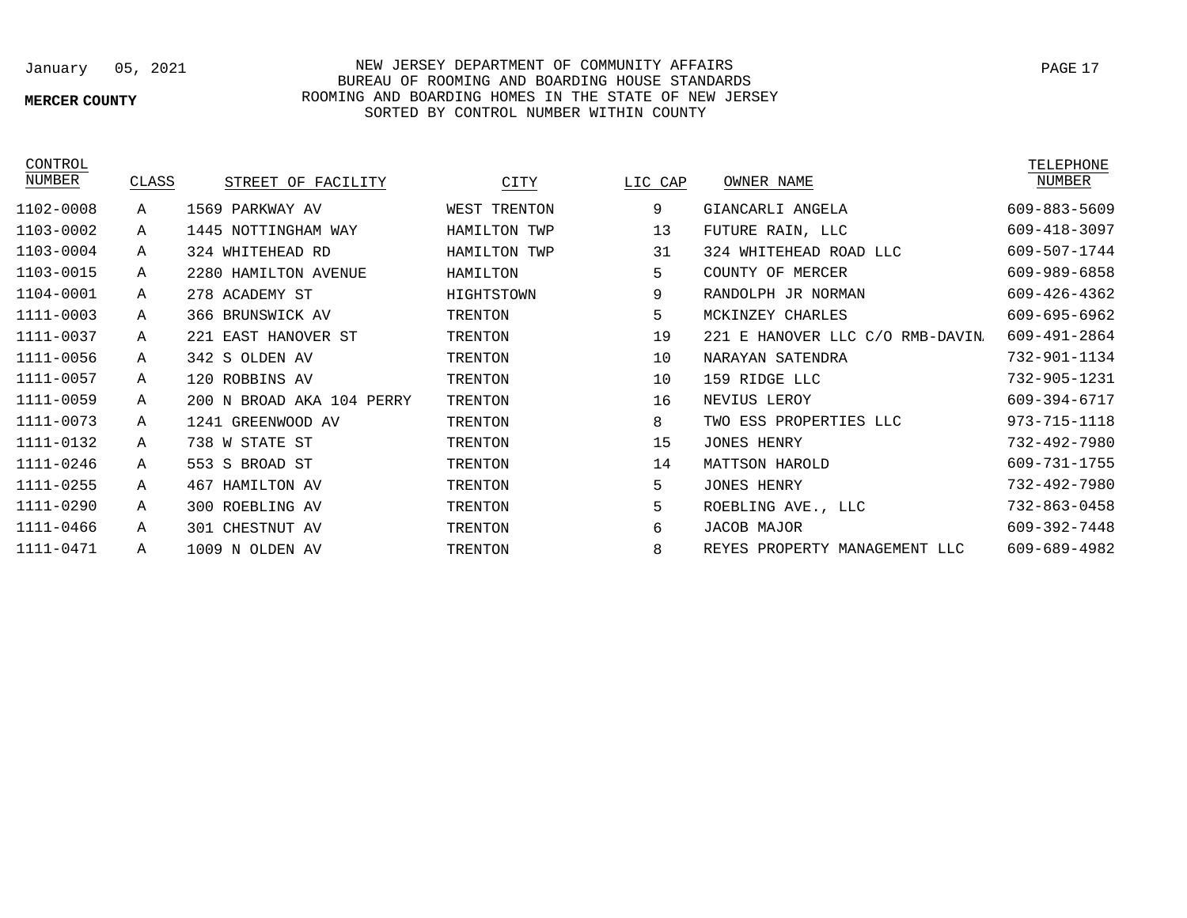## **MERCER COUNTY**

## January 05, 2021 NEW JERSEY DEPARTMENT OF COMMUNITY AFFAIRS BUREAU OF ROOMING AND BOARDING HOUSE STANDARDS ROOMING AND BOARDING HOMES IN THE STATE OF NEW JERSEY SORTED BY CONTROL NUMBER WITHIN COUNTY

**CONTROL** 

| NUMBER    | CLASS | STREET OF FACILITY        | CITY           | LIC CAP | OWNER NAME                       | NUMBER       |
|-----------|-------|---------------------------|----------------|---------|----------------------------------|--------------|
| 1102-0008 | Α     | 1569 PARKWAY AV           | WEST TRENTON   | 9       | GIANCARLI ANGELA                 | 609-883-5609 |
| 1103-0002 | Α     | 1445 NOTTINGHAM WAY       | HAMILTON TWP   | 13      | FUTURE RAIN, LLC                 | 609-418-3097 |
| 1103-0004 | Α     | 324 WHITEHEAD RD          | HAMILTON TWP   | 31      | 324 WHITEHEAD ROAD LLC           | 609-507-1744 |
| 1103-0015 | Α     | 2280 HAMILTON AVENUE      | HAMILTON       | 5       | COUNTY OF MERCER                 | 609-989-6858 |
| 1104-0001 | Α     | 278 ACADEMY ST            | HIGHTSTOWN     | 9       | RANDOLPH JR NORMAN               | 609-426-4362 |
| 1111-0003 | Α     | 366 BRUNSWICK AV          | <b>TRENTON</b> | 5       | MCKINZEY CHARLES                 | 609-695-6962 |
| 1111-0037 | Α     | 221 EAST HANOVER ST       | <b>TRENTON</b> | 19      | 221 E HANOVER LLC C/O RMB-DAVIN. | 609-491-2864 |
| 1111-0056 | Α     | 342 S OLDEN AV            | TRENTON        | 10      | NARAYAN SATENDRA                 | 732-901-1134 |
| 1111-0057 | А     | 120 ROBBINS AV            | TRENTON        | 10      | 159 RIDGE LLC                    | 732-905-1231 |
| 1111-0059 | Α     | 200 N BROAD AKA 104 PERRY | <b>TRENTON</b> | 16      | NEVIUS LEROY                     | 609-394-6717 |
| 1111-0073 | Α     | 1241 GREENWOOD AV         | <b>TRENTON</b> | 8       | TWO ESS PROPERTIES<br>LLC        | 973-715-1118 |
| 1111-0132 | Α     | 738 W STATE ST            | TRENTON        | 15      | <b>JONES HENRY</b>               | 732-492-7980 |
| 1111-0246 | Α     | BROAD ST<br>553 S         | TRENTON        | 14      | MATTSON HAROLD                   | 609-731-1755 |
| 1111-0255 | Α     | HAMILTON AV<br>467        | <b>TRENTON</b> | 5       | <b>JONES HENRY</b>               | 732-492-7980 |
| 1111-0290 | Α     | 300 ROEBLING AV           | <b>TRENTON</b> | 5       | ROEBLING AVE., LLC               | 732-863-0458 |
| 1111-0466 | А     | 301 CHESTNUT AV           | TRENTON        | 6       | JACOB MAJOR                      | 609-392-7448 |
| 1111-0471 | Α     | 1009 N OLDEN AV           | <b>TRENTON</b> | 8       | REYES PROPERTY MANAGEMENT LLC    | 609-689-4982 |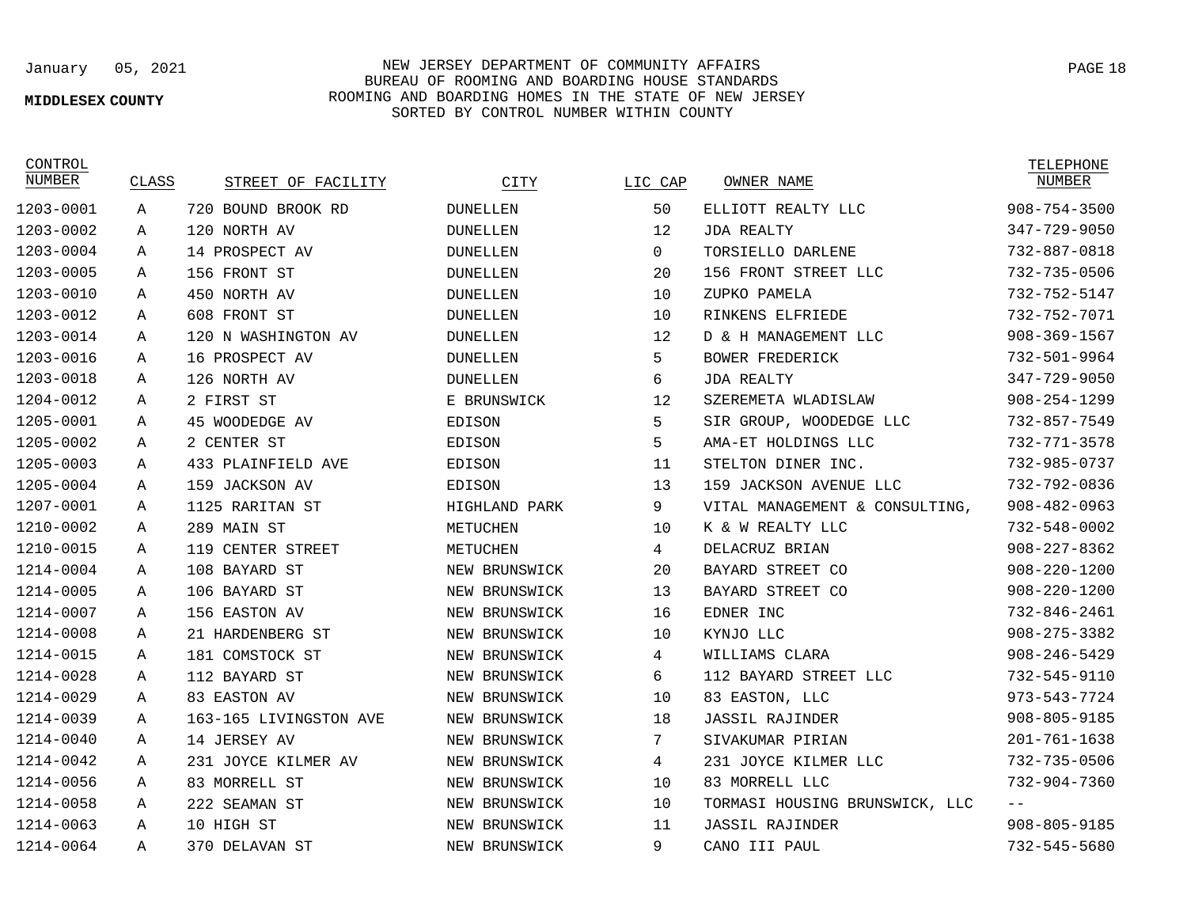## **MIDDLESEX COUNTY**

## January 05, 2021 NEW JERSEY DEPARTMENT OF COMMUNITY AFFAIRS BUREAU OF ROOMING AND BOARDING HOUSE STANDARDS ROOMING AND BOARDING HOMES IN THE STATE OF NEW JERSEY SORTED BY CONTROL NUMBER WITHIN COUNTY

CONTROL<br>NUMBER

| NUMBER    | CLASS | STREET OF FACILITY     | CITY            | LIC CAP  | OWNER NAME                     | NUMBER             |
|-----------|-------|------------------------|-----------------|----------|--------------------------------|--------------------|
| 1203-0001 | Α     | 720 BOUND BROOK RD     | <b>DUNELLEN</b> | 50       | ELLIOTT REALTY LLC             | $908 - 754 - 3500$ |
| 1203-0002 | Α     | 120 NORTH AV           | <b>DUNELLEN</b> | 12       | <b>JDA REALTY</b>              | 347-729-9050       |
| 1203-0004 | A     | 14 PROSPECT AV         | <b>DUNELLEN</b> | $\Omega$ | TORSIELLO DARLENE              | 732-887-0818       |
| 1203-0005 | Α     | 156 FRONT ST           | <b>DUNELLEN</b> | 20       | 156 FRONT STREET LLC           | $732 - 735 - 0506$ |
| 1203-0010 | A     | 450 NORTH AV           | <b>DUNELLEN</b> | 10       | ZUPKO PAMELA                   | 732-752-5147       |
| 1203-0012 | Α     | 608 FRONT ST           | <b>DUNELLEN</b> | 10       | RINKENS ELFRIEDE               | 732-752-7071       |
| 1203-0014 | Α     | 120 N WASHINGTON AV    | <b>DUNELLEN</b> | 12       | D & H MANAGEMENT LLC           | $908 - 369 - 1567$ |
| 1203-0016 | Α     | 16 PROSPECT AV         | <b>DUNELLEN</b> | 5        | <b>BOWER FREDERICK</b>         | 732-501-9964       |
| 1203-0018 | A     | 126 NORTH AV           | <b>DUNELLEN</b> | 6        | <b>JDA REALTY</b>              | 347-729-9050       |
| 1204-0012 | Α     | 2 FIRST ST             | E BRUNSWICK     | 12       | SZEREMETA WLADISLAW            | $908 - 254 - 1299$ |
| 1205-0001 | Α     | 45 WOODEDGE AV         | EDISON          | 5        | SIR GROUP, WOODEDGE LLC        | $732 - 857 - 7549$ |
| 1205-0002 | А     | 2 CENTER ST            | EDISON          | 5        | AMA-ET HOLDINGS LLC            | $732 - 771 - 3578$ |
| 1205-0003 | Α     | 433 PLAINFIELD AVE     | EDISON          | 11       | STELTON DINER INC.             | 732-985-0737       |
| 1205-0004 | Α     | 159 JACKSON AV         | EDISON          | 13       | 159 JACKSON AVENUE LLC         | 732-792-0836       |
| 1207-0001 | Α     | 1125 RARITAN ST        | HIGHLAND PARK   | 9        | VITAL MANAGEMENT & CONSULTING, | $908 - 482 - 0963$ |
| 1210-0002 | Α     | 289 MAIN ST            | METUCHEN        | 10       | K & W REALTY LLC               | 732-548-0002       |
| 1210-0015 | Α     | 119 CENTER STREET      | METUCHEN        | 4        | DELACRUZ BRIAN                 | $908 - 227 - 8362$ |
| 1214-0004 | Α     | 108 BAYARD ST          | NEW BRUNSWICK   | 20       | BAYARD STREET CO               | $908 - 220 - 1200$ |
| 1214-0005 | A     | 106 BAYARD ST          | NEW BRUNSWICK   | 13       | BAYARD STREET CO               | $908 - 220 - 1200$ |
| 1214-0007 | A     | 156 EASTON AV          | NEW BRUNSWICK   | 16       | EDNER INC                      | 732-846-2461       |
| 1214-0008 | Α     | 21 HARDENBERG ST       | NEW BRUNSWICK   | 10       | KYNJO LLC                      | $908 - 275 - 3382$ |
| 1214-0015 | Α     | 181 COMSTOCK ST        | NEW BRUNSWICK   | 4        | WILLIAMS CLARA                 | $908 - 246 - 5429$ |
| 1214-0028 | Α     | 112 BAYARD ST          | NEW BRUNSWICK   | 6        | 112 BAYARD STREET LLC          | 732-545-9110       |
| 1214-0029 | А     | 83 EASTON AV           | NEW BRUNSWICK   | 10       | 83 EASTON, LLC                 | 973-543-7724       |
| 1214-0039 | A     | 163-165 LIVINGSTON AVE | NEW BRUNSWICK   | 18       | <b>JASSIL RAJINDER</b>         | $908 - 805 - 9185$ |
| 1214-0040 | A     | 14 JERSEY AV           | NEW BRUNSWICK   | 7        | SIVAKUMAR PIRIAN               | $201 - 761 - 1638$ |
| 1214-0042 | Α     | 231 JOYCE KILMER AV    | NEW BRUNSWICK   | 4        | 231 JOYCE KILMER LLC           | $732 - 735 - 0506$ |
| 1214-0056 | Α     | 83 MORRELL ST          | NEW BRUNSWICK   | 10       | 83 MORRELL LLC                 | $732 - 904 - 7360$ |
| 1214-0058 | Α     | 222 SEAMAN ST          | NEW BRUNSWICK   | 10       | TORMASI HOUSING BRUNSWICK, LLC |                    |
| 1214-0063 | Α     | 10 HIGH ST             | NEW BRUNSWICK   | 11       | <b>JASSIL RAJINDER</b>         | $908 - 805 - 9185$ |
| 1214-0064 | A     | 370 DELAVAN ST         | NEW BRUNSWICK   | 9        | CANO III PAUL                  | 732-545-5680       |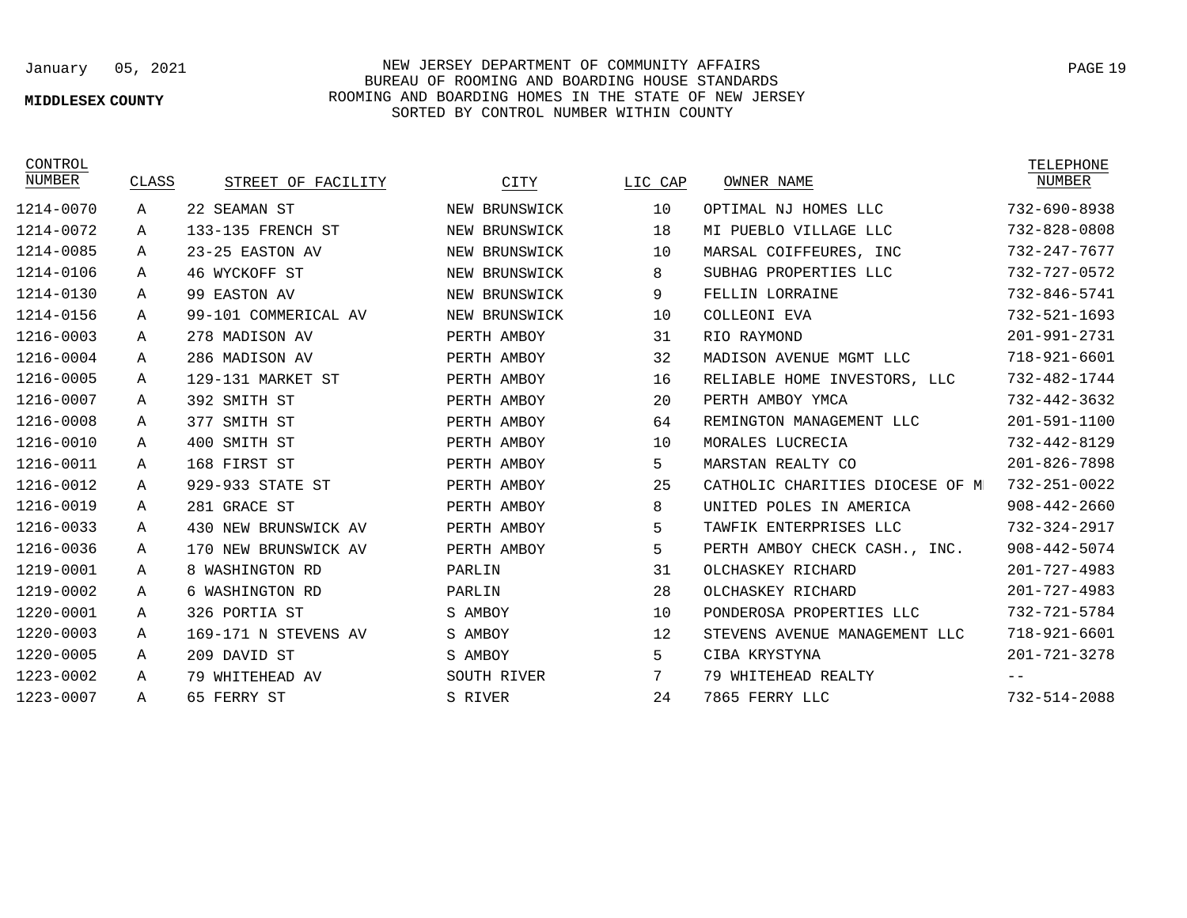## **MIDDLESEX COUNTY**

January 05, 2021 NEW JERSEY DEPARTMENT OF COMMUNITY AFFAIRS BUREAU OF ROOMING AND BOARDING HOUSE STANDARDS ROOMING AND BOARDING HOMES IN THE STATE OF NEW JERSEY SORTED BY CONTROL NUMBER WITHIN COUNTY

| CONTROL<br>NUMBER | CLASS | STREET OF FACILITY   | CITY          | LIC CAP | OWNER NAME                      | TELEPHONE<br><b>NUMBER</b> |
|-------------------|-------|----------------------|---------------|---------|---------------------------------|----------------------------|
| 1214-0070         | А     | 22 SEAMAN ST         | NEW BRUNSWICK | 10      | OPTIMAL NJ HOMES LLC            | 732-690-8938               |
| 1214-0072         | Α     | 133-135 FRENCH ST    | NEW BRUNSWICK | 18      | MI PUEBLO VILLAGE LLC           | 732-828-0808               |
| 1214-0085         | Α     | 23-25 EASTON AV      | NEW BRUNSWICK | 10      | MARSAL COIFFEURES, INC          | 732-247-7677               |
| 1214-0106         | A     | 46 WYCKOFF ST        | NEW BRUNSWICK | 8       | SUBHAG PROPERTIES LLC           | 732-727-0572               |
| 1214-0130         | Α     | 99 EASTON AV         | NEW BRUNSWICK | 9       | FELLIN LORRAINE                 | 732-846-5741               |
| 1214-0156         | Α     | 99-101 COMMERICAL AV | NEW BRUNSWICK | 10      | COLLEONI EVA                    | $732 - 521 - 1693$         |
| 1216-0003         | Α     | 278 MADISON AV       | PERTH AMBOY   | 31      | RIO RAYMOND                     | 201-991-2731               |
| 1216-0004         | Α     | 286 MADISON AV       | PERTH AMBOY   | 32      | MADISON AVENUE MGMT LLC         | 718-921-6601               |
| 1216-0005         | Α     | 129-131 MARKET ST    | PERTH AMBOY   | 16      | RELIABLE HOME INVESTORS, LLC    | 732-482-1744               |
| 1216-0007         | Α     | 392 SMITH ST         | PERTH AMBOY   | 20      | PERTH AMBOY YMCA                | $732 - 442 - 3632$         |
| 1216-0008         | Α     | 377 SMITH ST         | PERTH AMBOY   | 64      | REMINGTON MANAGEMENT LLC        | 201-591-1100               |
| 1216-0010         | Α     | 400 SMITH ST         | PERTH AMBOY   | 10      | MORALES LUCRECIA                | 732-442-8129               |
| 1216-0011         | Α     | 168 FIRST ST         | PERTH AMBOY   | 5       | MARSTAN REALTY CO               | $201 - 826 - 7898$         |
| 1216-0012         | Α     | 929-933 STATE ST     | PERTH AMBOY   | 25      | CATHOLIC CHARITIES DIOCESE OF M | 732-251-0022               |
| 1216-0019         | Α     | 281 GRACE ST         | PERTH AMBOY   | 8       | UNITED POLES IN AMERICA         | $908 - 442 - 2660$         |
| 1216-0033         | Α     | 430 NEW BRUNSWICK AV | PERTH AMBOY   | 5       | TAWFIK ENTERPRISES LLC          | 732-324-2917               |
| 1216-0036         | А     | 170 NEW BRUNSWICK AV | PERTH AMBOY   | 5       | PERTH AMBOY CHECK CASH., INC.   | $908 - 442 - 5074$         |
| 1219-0001         | Α     | 8 WASHINGTON RD      | PARLIN        | 31      | OLCHASKEY RICHARD               | $201 - 727 - 4983$         |
| 1219-0002         | Α     | 6 WASHINGTON RD      | PARLIN        | 28      | OLCHASKEY RICHARD               | 201-727-4983               |
| 1220-0001         | Α     | 326 PORTIA ST        | S AMBOY       | 10      | PONDEROSA PROPERTIES LLC        | 732-721-5784               |
| 1220-0003         | Α     | 169-171 N STEVENS AV | S AMBOY       | 12      | STEVENS AVENUE MANAGEMENT LLC   | 718-921-6601               |
| 1220-0005         | Α     | 209 DAVID ST         | S AMBOY       | 5       | CIBA KRYSTYNA                   | $201 - 721 - 3278$         |
| 1223-0002         | Α     | 79 WHITEHEAD AV      | SOUTH RIVER   | 7       | 79 WHITEHEAD REALTY             |                            |
| 1223-0007         | Α     | 65 FERRY ST          | S RIVER       | 24      | 7865 FERRY LLC                  | 732-514-2088               |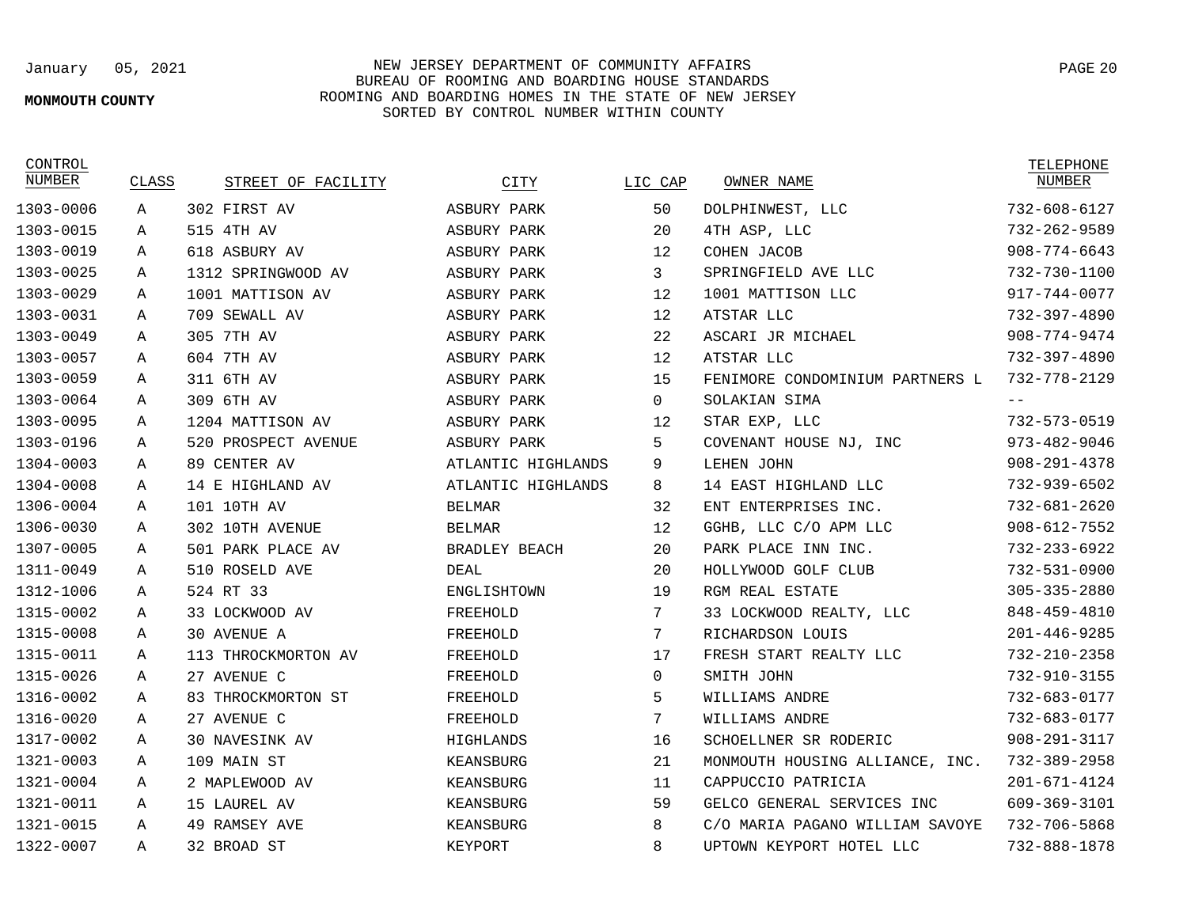## **MONMOUTH COUNTY**

January 05, 2021 NEW JERSEY DEPARTMENT OF COMMUNITY AFFAIRS BUREAU OF ROOMING AND BOARDING HOUSE STANDARDS ROOMING AND BOARDING HOMES IN THE STATE OF NEW JERSEY SORTED BY CONTROL NUMBER WITHIN COUNTY

| CONTROL<br>NUMBER | CLASS        | STREET OF FACILITY  | CITY                 | LIC CAP  | OWNER NAME                      | TELEPHONE<br>NUMBER |
|-------------------|--------------|---------------------|----------------------|----------|---------------------------------|---------------------|
| 1303-0006         | $\mathbf{A}$ | 302 FIRST AV        | ASBURY PARK          | 50       | DOLPHINWEST, LLC                | 732-608-6127        |
| 1303-0015         | Α            | 515 4TH AV          | ASBURY PARK          | 20       | 4TH ASP, LLC                    | 732-262-9589        |
| 1303-0019         | Α            | 618 ASBURY AV       | ASBURY PARK          | 12       | COHEN JACOB                     | $908 - 774 - 6643$  |
| 1303-0025         | Α            | 1312 SPRINGWOOD AV  | ASBURY PARK          | 3        | SPRINGFIELD AVE LLC             | 732-730-1100        |
| 1303-0029         | Α            | 1001 MATTISON AV    | ASBURY PARK          | 12       | 1001 MATTISON LLC               | 917-744-0077        |
| 1303-0031         | Α            | 709 SEWALL AV       | ASBURY PARK          | 12       | ATSTAR LLC                      | 732-397-4890        |
| 1303-0049         | Α            | 305 7TH AV          | ASBURY PARK          | 22       | ASCARI JR MICHAEL               | $908 - 774 - 9474$  |
| 1303-0057         | A            | 604 7TH AV          | ASBURY PARK          | 12       | ATSTAR LLC                      | 732-397-4890        |
| 1303-0059         | Α            | 311 6TH AV          | ASBURY PARK          | 15       | FENIMORE CONDOMINIUM PARTNERS L | 732-778-2129        |
| 1303-0064         | Α            | 309 6TH AV          | ASBURY PARK          | $\Omega$ | SOLAKIAN SIMA                   | $- -$               |
| 1303-0095         | Α            | 1204 MATTISON AV    | ASBURY PARK          | 12       | STAR EXP, LLC                   | 732-573-0519        |
| 1303-0196         | A            | 520 PROSPECT AVENUE | ASBURY PARK          | 5        | COVENANT HOUSE NJ, INC          | $973 - 482 - 9046$  |
| 1304-0003         | Α            | 89 CENTER AV        | ATLANTIC HIGHLANDS   | 9        | LEHEN JOHN                      | $908 - 291 - 4378$  |
| 1304-0008         | A            | 14 E HIGHLAND AV    | ATLANTIC HIGHLANDS   | 8        | 14 EAST HIGHLAND LLC            | 732-939-6502        |
| 1306-0004         | Α            | 101 10TH AV         | <b>BELMAR</b>        | 32       | ENT ENTERPRISES INC.            | 732-681-2620        |
| 1306-0030         | Α            | 302 10TH AVENUE     | <b>BELMAR</b>        | 12       | GGHB, LLC C/O APM LLC           | $908 - 612 - 7552$  |
| 1307-0005         | Α            | 501 PARK PLACE AV   | <b>BRADLEY BEACH</b> | 20       | PARK PLACE INN INC.             | $732 - 233 - 6922$  |
| 1311-0049         | Α            | 510 ROSELD AVE      | DEAL                 | 20       | HOLLYWOOD GOLF CLUB             | 732-531-0900        |
| 1312-1006         | Α            | 524 RT 33           | ENGLISHTOWN          | 19       | RGM REAL ESTATE                 | $305 - 335 - 2880$  |
| 1315-0002         | Α            | 33 LOCKWOOD AV      | FREEHOLD             | 7        | 33 LOCKWOOD REALTY, LLC         | 848-459-4810        |
| 1315-0008         | Α            | <b>30 AVENUE A</b>  | FREEHOLD             | 7        | RICHARDSON LOUIS                | $201 - 446 - 9285$  |
| 1315-0011         | A            | 113 THROCKMORTON AV | FREEHOLD             | 17       | FRESH START REALTY LLC          | 732-210-2358        |
| 1315-0026         | Α            | 27 AVENUE C         | FREEHOLD             | $\Omega$ | SMITH JOHN                      | 732-910-3155        |
| 1316-0002         | A            | 83 THROCKMORTON ST  | FREEHOLD             | 5        | WILLIAMS ANDRE                  | 732-683-0177        |
| 1316-0020         | Α            | 27 AVENUE C         | FREEHOLD             | 7        | WILLIAMS ANDRE                  | 732-683-0177        |
| 1317-0002         | A            | 30 NAVESINK AV      | HIGHLANDS            | 16       | SCHOELLNER SR RODERIC           | $908 - 291 - 3117$  |
| 1321-0003         | A            | 109 MAIN ST         | KEANSBURG            | 21       | MONMOUTH HOUSING ALLIANCE, INC. | 732-389-2958        |
| 1321-0004         | Α            | 2 MAPLEWOOD AV      | KEANSBURG            | 11       | CAPPUCCIO PATRICIA              | $201 - 671 - 4124$  |
| 1321-0011         | A            | 15 LAUREL AV        | KEANSBURG            | 59       | GELCO GENERAL SERVICES INC      | 609-369-3101        |
| 1321-0015         | Α            | 49 RAMSEY AVE       | KEANSBURG            | 8        | C/O MARIA PAGANO WILLIAM SAVOYE | 732-706-5868        |
| 1322-0007         | Α            | 32 BROAD ST         | KEYPORT              | 8        | UPTOWN KEYPORT HOTEL LLC        | 732-888-1878        |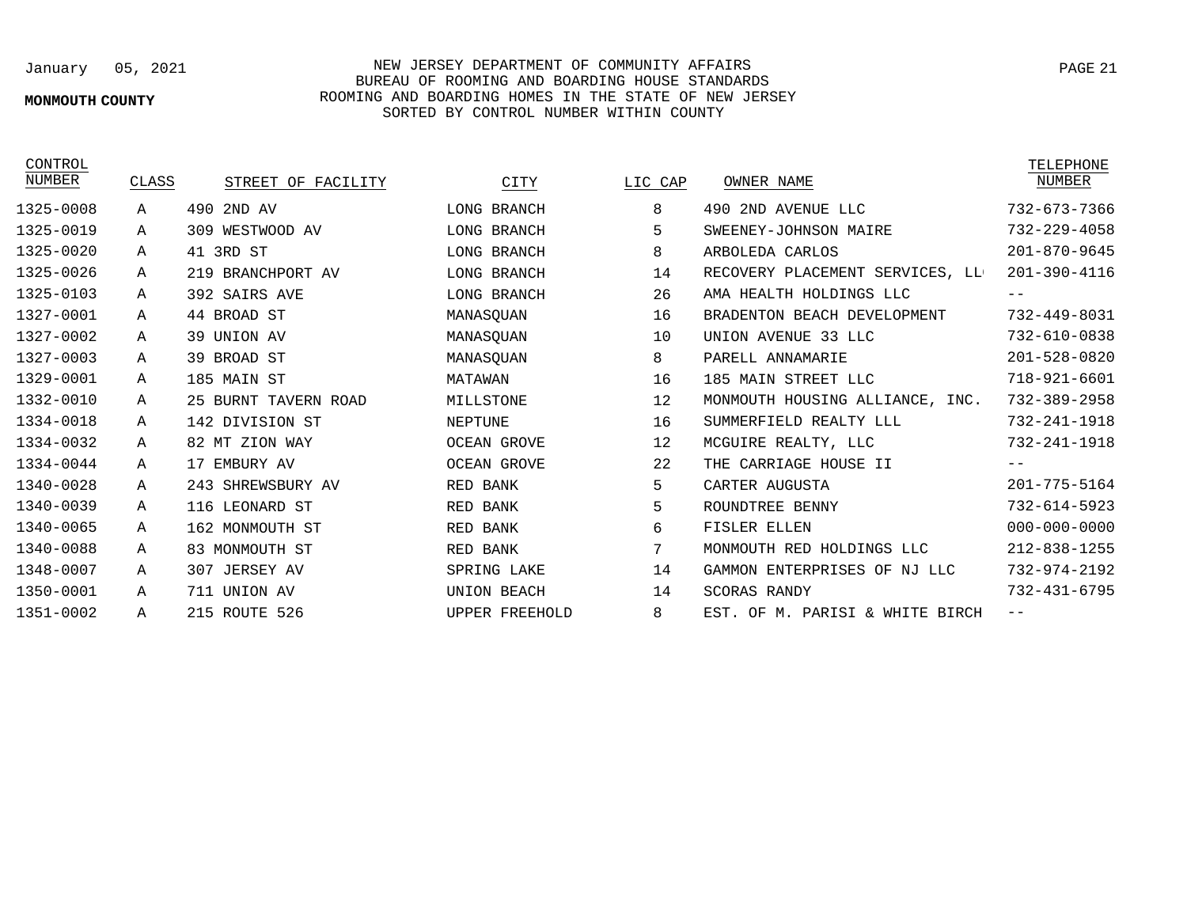## **MONMOUTH COUNTY**

## January 05, 2021 NEW JERSEY DEPARTMENT OF COMMUNITY AFFAIRS BUREAU OF ROOMING AND BOARDING HOUSE STANDARDS ROOMING AND BOARDING HOMES IN THE STATE OF NEW JERSEY SORTED BY CONTROL NUMBER WITHIN COUNTY

| CONTROL<br>NUMBER | CLASS        | STREET OF FACILITY   | CITY                  | LIC CAP | OWNER NAME                      | TELEPHONE<br>NUMBER |
|-------------------|--------------|----------------------|-----------------------|---------|---------------------------------|---------------------|
| 1325-0008         | $\mathbf{A}$ | 490 2ND AV           | LONG BRANCH           | 8       | 490 2ND AVENUE LLC              | 732-673-7366        |
| 1325-0019         | Α            | 309 WESTWOOD AV      | LONG BRANCH           | 5       | SWEENEY-JOHNSON MAIRE           | $732 - 229 - 4058$  |
| 1325-0020         | A            | 41 3RD ST            | <b>LONG BRANCH</b>    | 8       | ARBOLEDA CARLOS                 | $201 - 870 - 9645$  |
| 1325-0026         | Α            | 219 BRANCHPORT AV    | LONG BRANCH           | 14      | RECOVERY PLACEMENT SERVICES, LL | 201-390-4116        |
| 1325-0103         | Α            | 392 SAIRS AVE        | LONG BRANCH           | 26      | AMA HEALTH HOLDINGS LLC         | $- -$               |
| 1327-0001         | Α            | 44 BROAD ST          | MANASOUAN             | 16      | BRADENTON BEACH DEVELOPMENT     | 732-449-8031        |
| 1327-0002         | Α            | 39 UNION AV          | MANASQUAN             | 10      | UNION AVENUE 33 LLC             | 732-610-0838        |
| 1327-0003         | Α            | 39 BROAD ST          | MANASQUAN             | 8       | PARELL ANNAMARIE                | $201 - 528 - 0820$  |
| 1329-0001         | Α            | 185 MAIN ST          | MATAWAN               | 16      | 185 MAIN STREET LLC             | $718 - 921 - 6601$  |
| 1332-0010         | Α            | 25 BURNT TAVERN ROAD | MILLSTONE             | 12      | MONMOUTH HOUSING ALLIANCE, INC. | 732-389-2958        |
| 1334-0018         | Α            | 142 DIVISION ST      | NEPTUNE               | 16      | SUMMERFIELD REALTY LLL          | 732-241-1918        |
| 1334-0032         | Α            | 82 MT ZION WAY       | <b>OCEAN GROVE</b>    | 12      | MCGUIRE REALTY, LLC             | $732 - 241 - 1918$  |
| 1334-0044         | А            | 17<br>EMBURY AV      | <b>OCEAN GROVE</b>    | 22      | CARRIAGE HOUSE II<br>THE        |                     |
| 1340-0028         | A            | 243 SHREWSBURY AV    | RED BANK              | 5       | CARTER AUGUSTA                  | $201 - 775 - 5164$  |
| 1340-0039         | Α            | 116 LEONARD ST       | BANK<br>RED           | 5       | ROUNDTREE BENNY                 | $732 - 614 - 5923$  |
| 1340-0065         | Α            | 162 MONMOUTH ST      | RED BANK              | 6       | FISLER ELLEN                    | $000 - 000 - 0000$  |
| 1340-0088         | Α            | 83 MONMOUTH ST       | RED BANK              | 7       | MONMOUTH RED HOLDINGS LLC       | $212 - 838 - 1255$  |
| 1348-0007         | A            | 307<br>JERSEY AV     | SPRING LAKE           | 14      | GAMMON ENTERPRISES OF NJ LLC    | 732-974-2192        |
| 1350-0001         | Α            | 711 UNION AV         | UNION BEACH           | 14      | <b>SCORAS RANDY</b>             | $732 - 431 - 6795$  |
| 1351-0002         | Α            | 215 ROUTE 526        | <b>UPPER FREEHOLD</b> | 8       | EST. OF M. PARISI & WHITE BIRCH | $- -$               |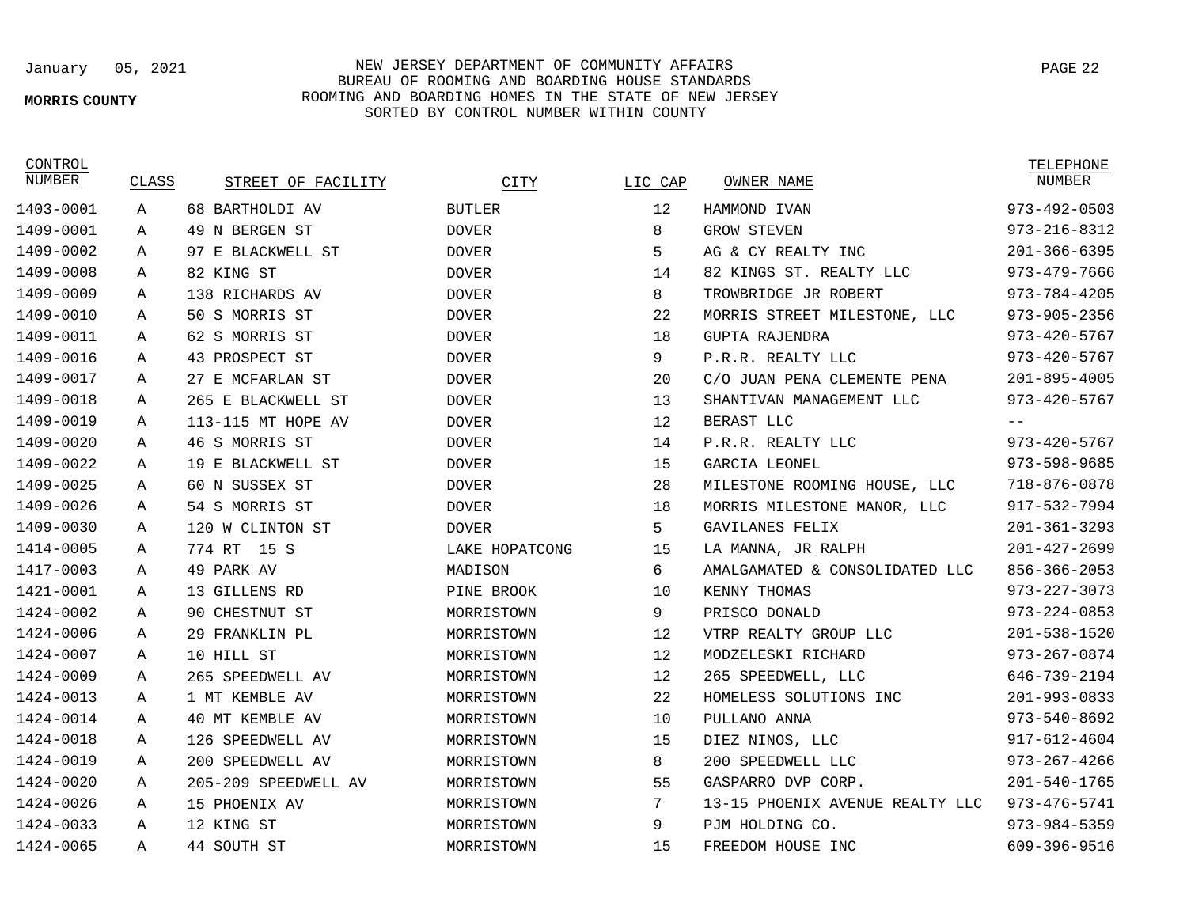### **MORRIS COUNTY**

January 05, 2021 NEW JERSEY DEPARTMENT OF COMMUNITY AFFAIRS BUREAU OF ROOMING AND BOARDING HOUSE STANDARDS ROOMING AND BOARDING HOMES IN THE STATE OF NEW JERSEY SORTED BY CONTROL NUMBER WITHIN COUNTY

CONTROL

| NUMBER    | CLASS | STREET OF FACILITY   | CITY           | LIC CAP | OWNER NAME                      | NUMBER             |
|-----------|-------|----------------------|----------------|---------|---------------------------------|--------------------|
| 1403-0001 | Α     | 68 BARTHOLDI AV      | <b>BUTLER</b>  | 12      | HAMMOND IVAN                    | $973 - 492 - 0503$ |
| 1409-0001 | Α     | 49 N BERGEN ST       | <b>DOVER</b>   | 8       | <b>GROW STEVEN</b>              | $973 - 216 - 8312$ |
| 1409-0002 | Α     | 97 E BLACKWELL ST    | <b>DOVER</b>   | 5       | AG & CY REALTY INC              | $201 - 366 - 6395$ |
| 1409-0008 | Α     | 82 KING ST           | <b>DOVER</b>   | 14      | 82 KINGS ST. REALTY LLC         | $973 - 479 - 7666$ |
| 1409-0009 | Α     | 138 RICHARDS AV      | <b>DOVER</b>   | 8       | TROWBRIDGE JR ROBERT            | $973 - 784 - 4205$ |
| 1409-0010 | Α     | 50 S MORRIS ST       | <b>DOVER</b>   | 22      | MORRIS STREET MILESTONE, LLC    | $973 - 905 - 2356$ |
| 1409-0011 | Α     | 62 S MORRIS ST       | <b>DOVER</b>   | 18      | <b>GUPTA RAJENDRA</b>           | $973 - 420 - 5767$ |
| 1409-0016 | Α     | 43 PROSPECT ST       | <b>DOVER</b>   | 9       | P.R.R. REALTY LLC               | $973 - 420 - 5767$ |
| 1409-0017 | Α     | 27 E MCFARLAN ST     | <b>DOVER</b>   | 20      | C/O JUAN PENA CLEMENTE PENA     | $201 - 895 - 4005$ |
| 1409-0018 | Α     | 265 E BLACKWELL ST   | <b>DOVER</b>   | 13      | SHANTIVAN MANAGEMENT LLC        | $973 - 420 - 5767$ |
| 1409-0019 | Α     | 113-115 MT HOPE AV   | <b>DOVER</b>   | 12      | BERAST LLC                      | $- -$              |
| 1409-0020 | Α     | 46 S MORRIS ST       | <b>DOVER</b>   | 14      | P.R.R. REALTY LLC               | $973 - 420 - 5767$ |
| 1409-0022 | Α     | 19 E BLACKWELL ST    | <b>DOVER</b>   | 15      | GARCIA LEONEL                   | 973-598-9685       |
| 1409-0025 | Α     | 60 N SUSSEX ST       | <b>DOVER</b>   | 28      | MILESTONE ROOMING HOUSE, LLC    | 718-876-0878       |
| 1409-0026 | Α     | 54 S MORRIS ST       | <b>DOVER</b>   | 18      | MORRIS MILESTONE MANOR, LLC     | 917-532-7994       |
| 1409-0030 | A     | 120 W CLINTON ST     | <b>DOVER</b>   | 5       | GAVILANES FELIX                 | $201 - 361 - 3293$ |
| 1414-0005 | Α     | 774 RT<br>15 S       | LAKE HOPATCONG | 15      | LA MANNA, JR RALPH              | $201 - 427 - 2699$ |
| 1417-0003 | Α     | 49 PARK AV           | MADISON        | 6       | AMALGAMATED & CONSOLIDATED LLC  | $856 - 366 - 2053$ |
| 1421-0001 | Α     | 13 GILLENS RD        | PINE BROOK     | 10      | KENNY THOMAS                    | $973 - 227 - 3073$ |
| 1424-0002 | Α     | 90 CHESTNUT ST       | MORRISTOWN     | 9       | PRISCO DONALD                   | $973 - 224 - 0853$ |
| 1424-0006 | Α     | 29 FRANKLIN PL       | MORRISTOWN     | 12      | VTRP REALTY GROUP LLC           | $201 - 538 - 1520$ |
| 1424-0007 | Α     | 10 HILL ST           | MORRISTOWN     | 12      | MODZELESKI RICHARD              | $973 - 267 - 0874$ |
| 1424-0009 | Α     | 265 SPEEDWELL AV     | MORRISTOWN     | 12      | 265 SPEEDWELL, LLC              | 646-739-2194       |
| 1424-0013 | Α     | 1 MT KEMBLE AV       | MORRISTOWN     | 22      | HOMELESS SOLUTIONS INC          | $201 - 993 - 0833$ |
| 1424-0014 | Α     | 40 MT KEMBLE AV      | MORRISTOWN     | 10      | PULLANO ANNA                    | $973 - 540 - 8692$ |
| 1424-0018 | Α     | 126 SPEEDWELL AV     | MORRISTOWN     | 15      | DIEZ NINOS, LLC                 | $917 - 612 - 4604$ |
| 1424-0019 | Α     | 200 SPEEDWELL AV     | MORRISTOWN     | 8       | 200 SPEEDWELL LLC               | $973 - 267 - 4266$ |
| 1424-0020 | Α     | 205-209 SPEEDWELL AV | MORRISTOWN     | 55      | GASPARRO DVP CORP.              | $201 - 540 - 1765$ |
| 1424-0026 | Α     | 15 PHOENIX AV        | MORRISTOWN     | 7       | 13-15 PHOENIX AVENUE REALTY LLC | $973 - 476 - 5741$ |
| 1424-0033 | Α     | 12 KING ST           | MORRISTOWN     | 9       | PJM HOLDING CO.                 | $973 - 984 - 5359$ |
| 1424-0065 | Α     | 44 SOUTH ST          | MORRISTOWN     | 15      | FREEDOM HOUSE INC               | 609-396-9516       |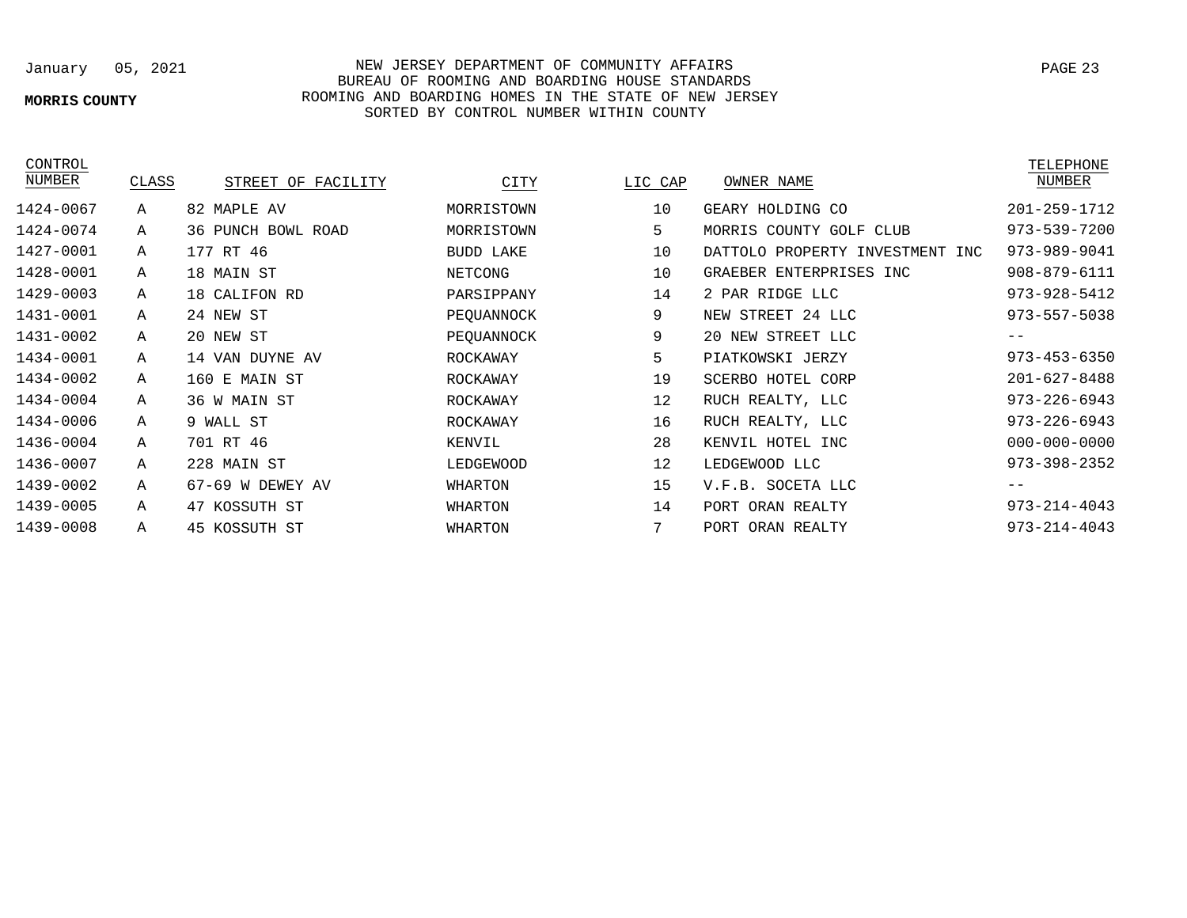# **MORRIS COUNTY**

## January 05, 2021 NEW JERSEY DEPARTMENT OF COMMUNITY AFFAIRS BUREAU OF ROOMING AND BOARDING HOUSE STANDARDS ROOMING AND BOARDING HOMES IN THE STATE OF NEW JERSEY SORTED BY CONTROL NUMBER WITHIN COUNTY

| CONTROL   |              |                       |                  |         |                                    | TELEPHONE          |
|-----------|--------------|-----------------------|------------------|---------|------------------------------------|--------------------|
| NUMBER    | CLASS        | STREET OF FACILITY    | CITY             | LIC CAP | OWNER NAME                         | NUMBER             |
| 1424-0067 | Α            | 82 MAPLE AV           | MORRISTOWN       | 10      | GEARY HOLDING CO                   | $201 - 259 - 1712$ |
| 1424-0074 | Α            | BOWL ROAD<br>36 PUNCH | MORRISTOWN       | 5       | MORRIS COUNTY GOLF<br>CLUB         | 973-539-7200       |
| 1427-0001 | Α            | 177 RT 46             | <b>BUDD LAKE</b> | 10      | DATTOLO PROPERTY INVESTMENT<br>INC | 973-989-9041       |
| 1428-0001 | Α            | 18 MAIN ST            | NETCONG          | 10      | GRAEBER ENTERPRISES INC            | 908-879-6111       |
| 1429-0003 | $\mathsf{A}$ | 18 CALIFON RD         | PARSIPPANY       | 14      | 2 PAR RIDGE LLC                    | $973 - 928 - 5412$ |
| 1431-0001 | Α            | 24 NEW ST             | PEQUANNOCK       | 9       | NEW STREET 24 LLC                  | $973 - 557 - 5038$ |
| 1431-0002 | Α            | 20 NEW ST             | PEQUANNOCK       | 9       | 20 NEW STREET LLC                  | $- -$              |
| 1434-0001 | Α            | 14 VAN DUYNE AV       | ROCKAWAY         | 5       | PIATKOWSKI JERZY                   | $973 - 453 - 6350$ |
| 1434-0002 | Α            | 160 E MAIN ST         | ROCKAWAY         | 19      | SCERBO HOTEL CORP                  | $201 - 627 - 8488$ |
| 1434-0004 | Α            | 36 W MAIN ST          | ROCKAWAY         | 12      | RUCH REALTY, LLC                   | $973 - 226 - 6943$ |
| 1434-0006 | Α            | 9 WALL ST             | ROCKAWAY         | 16      | RUCH REALTY, LLC                   | $973 - 226 - 6943$ |
| 1436-0004 | A            | 701 RT 46             | KENVIL           | 28      | KENVIL HOTEL<br>INC                | $000 - 000 - 0000$ |
| 1436-0007 | Α            | 228 MAIN ST           | LEDGEWOOD        | 12      | LEDGEWOOD LLC                      | $973 - 398 - 2352$ |
| 1439-0002 | Α            | 67-69<br>W DEWEY AV   | WHARTON          | 15      | SOCETA LLC<br>V.F.B.               | $- -$              |
| 1439-0005 | Α            | 47 KOSSUTH ST         | WHARTON          | 14      | PORT ORAN REALTY                   | $973 - 214 - 4043$ |
| 1439-0008 | Α            | 45 KOSSUTH ST         | WHARTON          | 7       | PORT ORAN REALTY                   | $973 - 214 - 4043$ |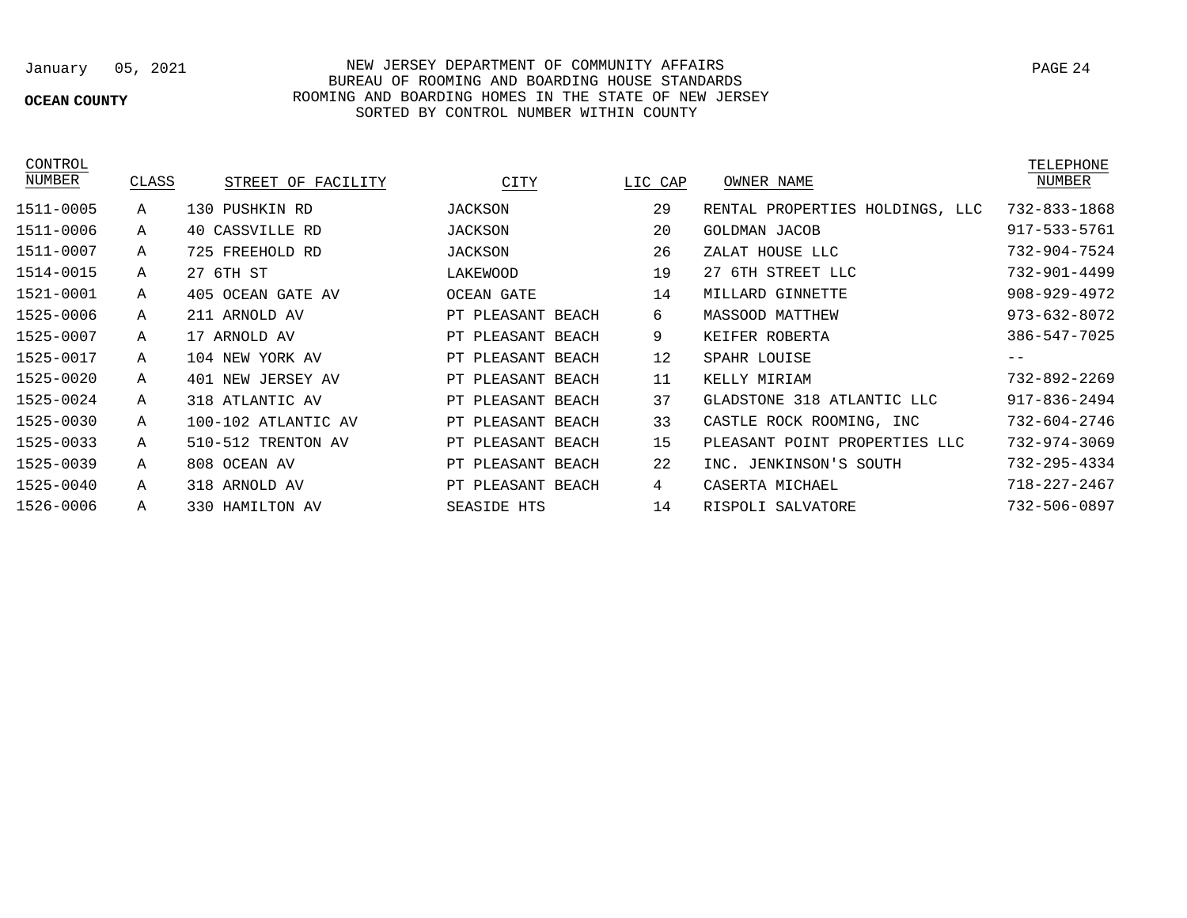# **OCEAN COUNTY**

## January 05, 2021 NEW JERSEY DEPARTMENT OF COMMUNITY AFFAIRS BUREAU OF ROOMING AND BOARDING HOUSE STANDARDS ROOMING AND BOARDING HOMES IN THE STATE OF NEW JERSEY SORTED BY CONTROL NUMBER WITHIN COUNTY

CONTROL

| NUMBER    | CLASS | STREET OF FACILITY  | CITY              | LIC CAP | OWNER NAME                      | NUMBER             |
|-----------|-------|---------------------|-------------------|---------|---------------------------------|--------------------|
| 1511-0005 | Α     | 130 PUSHKIN RD      | JACKSON           | 29      | RENTAL PROPERTIES HOLDINGS, LLC | 732-833-1868       |
| 1511-0006 | Α     | 40 CASSVILLE RD     | JACKSON           | 20      | <b>GOLDMAN JACOB</b>            | 917-533-5761       |
| 1511-0007 | Α     | 725 FREEHOLD RD     | JACKSON           | 26      | ZALAT HOUSE LLC                 | 732-904-7524       |
| 1514-0015 | Α     | 27 6TH ST           | LAKEWOOD          | 19      | 27 6TH STREET LLC               | 732-901-4499       |
| 1521-0001 | Α     | 405 OCEAN GATE AV   | OCEAN GATE        | 14      | MILLARD GINNETTE                | $908 - 929 - 4972$ |
| 1525-0006 | Α     | 211 ARNOLD AV       | PT PLEASANT BEACH | 6       | <b>MASSOOD MATTHEW</b>          | $973 - 632 - 8072$ |
| 1525-0007 | A     | 17 ARNOLD AV        | PT PLEASANT BEACH | 9       | KEIFER ROBERTA                  | 386-547-7025       |
| 1525-0017 | Α     | 104 NEW YORK AV     | PT PLEASANT BEACH | 12      | SPAHR LOUISE                    | $- -$              |
| 1525-0020 | A     | 401 NEW JERSEY AV   | PT PLEASANT BEACH | 11      | KELLY MIRIAM                    | 732-892-2269       |
| 1525-0024 | A     | 318 ATLANTIC AV     | PT PLEASANT BEACH | 37      | GLADSTONE 318 ATLANTIC LLC      | $917 - 836 - 2494$ |
| 1525-0030 | Α     | 100-102 ATLANTIC AV | PT PLEASANT BEACH | 33      | CASTLE ROCK ROOMING, INC        | 732-604-2746       |
| 1525-0033 | Α     | 510-512 TRENTON AV  | PT PLEASANT BEACH | 15      | PLEASANT POINT PROPERTIES LLC   | 732-974-3069       |
| 1525-0039 | Α     | 808 OCEAN AV        | PT PLEASANT BEACH | 22      | INC. JENKINSON'S SOUTH          | 732-295-4334       |
| 1525-0040 | Α     | 318 ARNOLD AV       | PT PLEASANT BEACH | 4       | CASERTA MICHAEL                 | $718 - 227 - 2467$ |
| 1526-0006 | Α     | 330 HAMILTON AV     | SEASIDE HTS       | 14      | RISPOLI SALVATORE               | 732-506-0897       |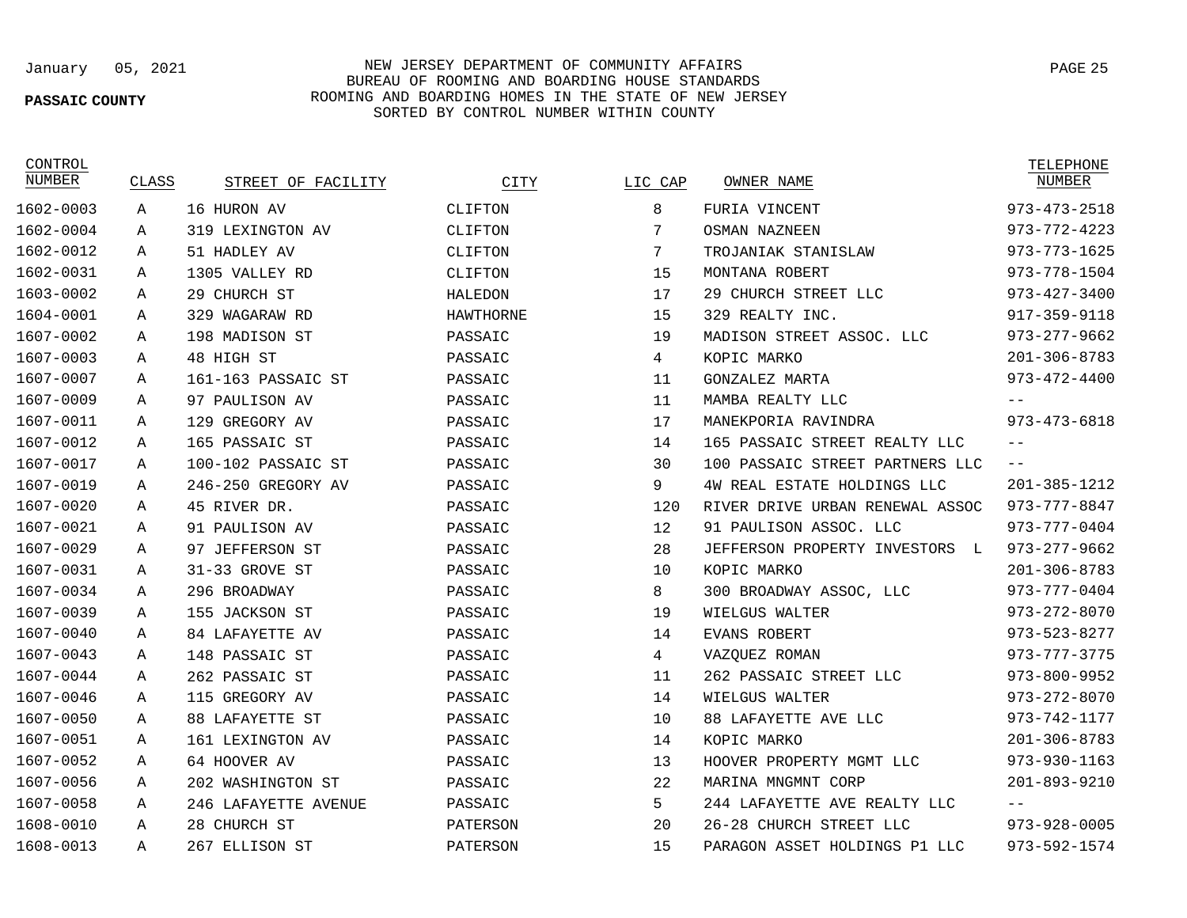### **PASSAIC COUNTY**

## January 05, 2021 NEW JERSEY DEPARTMENT OF COMMUNITY AFFAIRS PAGE 25 BUREAU OF ROOMING AND BOARDING HOUSE STANDARDS ROOMING AND BOARDING HOMES IN THE STATE OF NEW JERSEY SORTED BY CONTROL NUMBER WITHIN COUNTY

**CONTROL** 

| NUMBER    | CLASS | STREET OF FACILITY   | CITY             | LIC CAP | OWNER NAME                           | NUMBER             |
|-----------|-------|----------------------|------------------|---------|--------------------------------------|--------------------|
| 1602-0003 | A     | 16 HURON AV          | CLIFTON          | 8       | FURIA VINCENT                        | $973 - 473 - 2518$ |
| 1602-0004 | Α     | 319 LEXINGTON AV     | CLIFTON          | 7       | <b>OSMAN NAZNEEN</b>                 | $973 - 772 - 4223$ |
| 1602-0012 | Α     | 51 HADLEY AV         | CLIFTON          | 7       | TROJANIAK STANISLAW                  | $973 - 773 - 1625$ |
| 1602-0031 | Α     | 1305 VALLEY RD       | CLIFTON          | 15      | MONTANA ROBERT                       | 973-778-1504       |
| 1603-0002 | Α     | 29 CHURCH ST         | HALEDON          | 17      | 29 CHURCH STREET LLC                 | $973 - 427 - 3400$ |
| 1604-0001 | Α     | 329 WAGARAW RD       | <b>HAWTHORNE</b> | 15      | 329 REALTY INC.                      | $917 - 359 - 9118$ |
| 1607-0002 | Α     | 198 MADISON ST       | PASSAIC          | 19      | MADISON STREET ASSOC. LLC            | $973 - 277 - 9662$ |
| 1607-0003 | Α     | 48 HIGH ST           | PASSAIC          | 4       | KOPIC MARKO                          | $201 - 306 - 8783$ |
| 1607-0007 | Α     | 161-163 PASSAIC ST   | PASSAIC          | 11      | GONZALEZ MARTA                       | $973 - 472 - 4400$ |
| 1607-0009 | Α     | 97 PAULISON AV       | PASSAIC          | 11      | MAMBA REALTY LLC                     |                    |
| 1607-0011 | Α     | 129 GREGORY AV       | PASSAIC          | 17      | MANEKPORIA RAVINDRA                  | $973 - 473 - 6818$ |
| 1607-0012 | А     | 165 PASSAIC ST       | PASSAIC          | 14      | 165 PASSAIC STREET REALTY LLC        | $ -$               |
| 1607-0017 | A     | 100-102 PASSAIC ST   | PASSAIC          | 30      | 100 PASSAIC STREET PARTNERS LLC      | $\qquad \qquad -$  |
| 1607-0019 | Α     | 246-250 GREGORY AV   | PASSAIC          | 9       | 4W REAL ESTATE HOLDINGS LLC          | $201 - 385 - 1212$ |
| 1607-0020 | Α     | 45 RIVER DR.         | PASSAIC          | 120     | RIVER DRIVE URBAN RENEWAL ASSOC      | $973 - 777 - 8847$ |
| 1607-0021 | Α     | 91 PAULISON AV       | PASSAIC          | 12      | 91 PAULISON ASSOC. LLC               | $973 - 777 - 0404$ |
| 1607-0029 | Α     | 97 JEFFERSON ST      | PASSAIC          | 28      | JEFFERSON PROPERTY INVESTORS<br>- L. | $973 - 277 - 9662$ |
| 1607-0031 | Α     | 31-33 GROVE ST       | PASSAIC          | 10      | KOPIC MARKO                          | $201 - 306 - 8783$ |
| 1607-0034 | Α     | 296 BROADWAY         | PASSAIC          | 8       | 300 BROADWAY ASSOC, LLC              | $973 - 777 - 0404$ |
| 1607-0039 | Α     | 155 JACKSON ST       | PASSAIC          | 19      | WIELGUS WALTER                       | 973-272-8070       |
| 1607-0040 | Α     | 84 LAFAYETTE AV      | PASSAIC          | 14      | <b>EVANS ROBERT</b>                  | $973 - 523 - 8277$ |
| 1607-0043 | Α     | 148 PASSAIC ST       | PASSAIC          | 4       | VAZOUEZ ROMAN                        | $973 - 777 - 3775$ |
| 1607-0044 | Α     | 262 PASSAIC ST       | PASSAIC          | 11      | 262 PASSAIC STREET LLC               | $973 - 800 - 9952$ |
| 1607-0046 | Α     | 115 GREGORY AV       | PASSAIC          | 14      | WIELGUS WALTER                       | $973 - 272 - 8070$ |
| 1607-0050 | Α     | 88 LAFAYETTE ST      | PASSAIC          | 10      | 88 LAFAYETTE AVE LLC                 | 973-742-1177       |
| 1607-0051 | Α     | 161 LEXINGTON AV     | PASSAIC          | 14      | KOPIC MARKO                          | $201 - 306 - 8783$ |
| 1607-0052 | А     | 64 HOOVER AV         | PASSAIC          | 13      | HOOVER PROPERTY MGMT LLC             | $973 - 930 - 1163$ |
| 1607-0056 | Α     | 202 WASHINGTON ST    | PASSAIC          | 22      | MARINA MNGMNT CORP                   | $201 - 893 - 9210$ |
| 1607-0058 | Α     | 246 LAFAYETTE AVENUE | PASSAIC          | 5       | 244 LAFAYETTE AVE REALTY LLC         |                    |
| 1608-0010 | Α     | 28 CHURCH ST         | PATERSON         | 20      | 26-28 CHURCH STREET LLC              | $973 - 928 - 0005$ |
| 1608-0013 | Α     | 267 ELLISON ST       | PATERSON         | 15      | PARAGON ASSET HOLDINGS P1 LLC        | 973-592-1574       |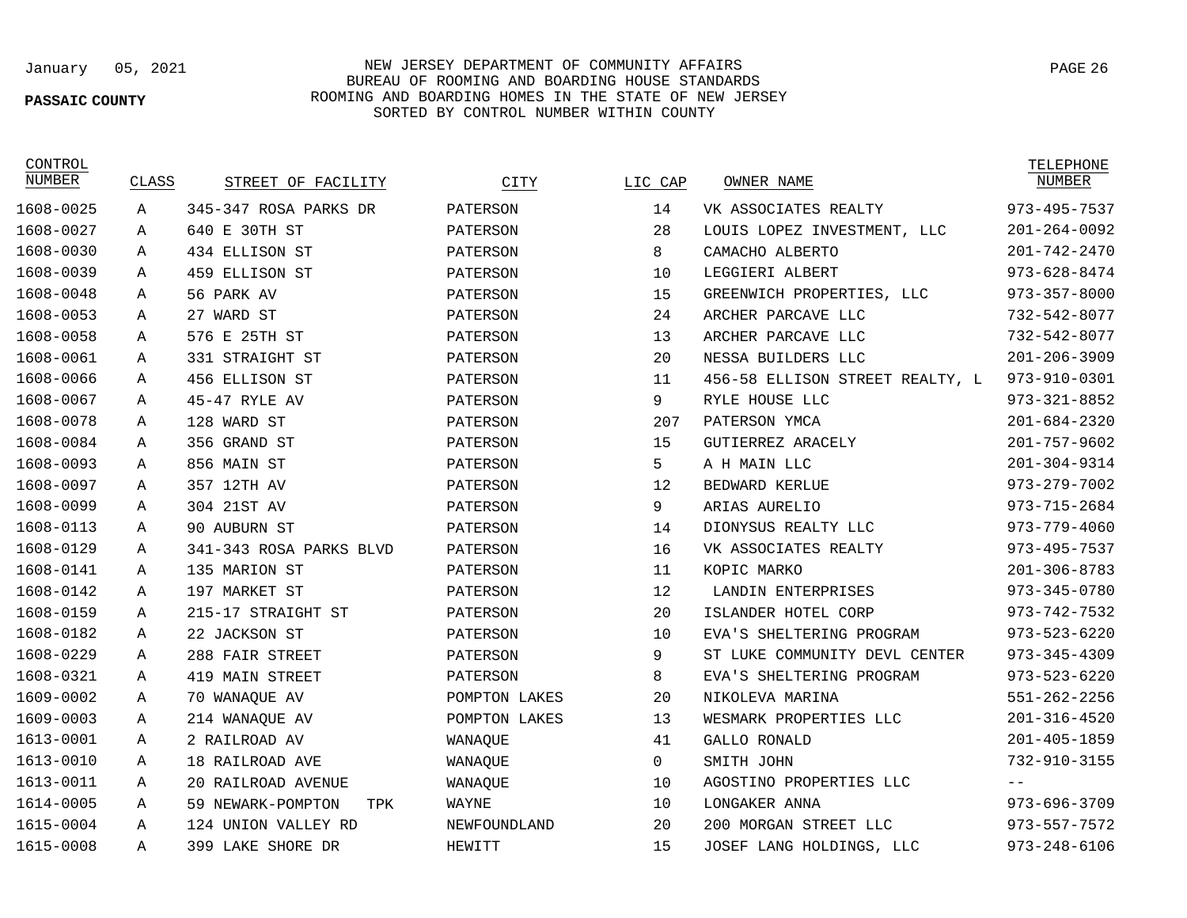### **PASSAIC COUNTY**

## January 05, 2021 NEW JERSEY DEPARTMENT OF COMMUNITY AFFAIRS BUREAU OF ROOMING AND BOARDING HOUSE STANDARDS ROOMING AND BOARDING HOMES IN THE STATE OF NEW JERSEY SORTED BY CONTROL NUMBER WITHIN COUNTY

CONTROL

| NUMBER    | CLASS | STREET OF FACILITY       | CITY          | LIC CAP      | OWNER NAME                      | NUMBER             |
|-----------|-------|--------------------------|---------------|--------------|---------------------------------|--------------------|
| 1608-0025 | Α     | 345-347 ROSA PARKS DR    | PATERSON      | 14           | VK ASSOCIATES REALTY            | 973-495-7537       |
| 1608-0027 | Α     | 640 E 30TH ST            | PATERSON      | 28           | LOUIS LOPEZ INVESTMENT, LLC     | $201 - 264 - 0092$ |
| 1608-0030 | Α     | 434 ELLISON ST           | PATERSON      | 8            | CAMACHO ALBERTO                 | $201 - 742 - 2470$ |
| 1608-0039 | Α     | 459 ELLISON ST           | PATERSON      | 10           | LEGGIERI ALBERT                 | $973 - 628 - 8474$ |
| 1608-0048 | Α     | 56 PARK AV               | PATERSON      | 15           | GREENWICH PROPERTIES, LLC       | $973 - 357 - 8000$ |
| 1608-0053 | Α     | 27 WARD ST               | PATERSON      | 24           | ARCHER PARCAVE LLC              | 732-542-8077       |
| 1608-0058 | Α     | 576 E 25TH ST            | PATERSON      | 13           | ARCHER PARCAVE LLC              | 732-542-8077       |
| 1608-0061 | Α     | 331 STRAIGHT ST          | PATERSON      | 20           | NESSA BUILDERS LLC              | $201 - 206 - 3909$ |
| 1608-0066 | Α     | 456 ELLISON ST           | PATERSON      | 11           | 456-58 ELLISON STREET REALTY, L | 973-910-0301       |
| 1608-0067 | Α     | 45-47 RYLE AV            | PATERSON      | 9            | RYLE HOUSE LLC                  | $973 - 321 - 8852$ |
| 1608-0078 | Α     | 128 WARD ST              | PATERSON      | 207          | PATERSON YMCA                   | $201 - 684 - 2320$ |
| 1608-0084 | Α     | 356 GRAND ST             | PATERSON      | 15           | GUTIERREZ ARACELY               | $201 - 757 - 9602$ |
| 1608-0093 | Α     | 856 MAIN ST              | PATERSON      | 5            | A H MAIN LLC                    | $201 - 304 - 9314$ |
| 1608-0097 | Α     | 357 12TH AV              | PATERSON      | 12           | BEDWARD KERLUE                  | 973-279-7002       |
| 1608-0099 | Α     | 304 21ST AV              | PATERSON      | 9            | ARIAS AURELIO                   | $973 - 715 - 2684$ |
| 1608-0113 | Α     | 90 AUBURN ST             | PATERSON      | 14           | DIONYSUS REALTY LLC             | $973 - 779 - 4060$ |
| 1608-0129 | Α     | 341-343 ROSA PARKS BLVD  | PATERSON      | 16           | VK ASSOCIATES REALTY            | $973 - 495 - 7537$ |
| 1608-0141 | Α     | 135 MARION ST            | PATERSON      | 11           | KOPIC MARKO                     | $201 - 306 - 8783$ |
| 1608-0142 | А     | 197 MARKET ST            | PATERSON      | 12           | LANDIN ENTERPRISES              | 973-345-0780       |
| 1608-0159 | Α     | 215-17 STRAIGHT ST       | PATERSON      | 20           | ISLANDER HOTEL CORP             | 973-742-7532       |
| 1608-0182 | Α     | 22 JACKSON ST            | PATERSON      | 10           | EVA'S SHELTERING PROGRAM        | $973 - 523 - 6220$ |
| 1608-0229 | А     | 288 FAIR STREET          | PATERSON      | 9            | ST LUKE COMMUNITY DEVL CENTER   | 973-345-4309       |
| 1608-0321 | A     | 419 MAIN STREET          | PATERSON      | 8            | EVA'S SHELTERING PROGRAM        | $973 - 523 - 6220$ |
| 1609-0002 | А     | 70 WANAQUE AV            | POMPTON LAKES | 20           | NIKOLEVA MARINA                 | $551 - 262 - 2256$ |
| 1609-0003 | Α     | 214 WANAQUE AV           | POMPTON LAKES | 13           | WESMARK PROPERTIES LLC          | $201 - 316 - 4520$ |
| 1613-0001 | Α     | 2 RAILROAD AV            | WANAQUE       | 41           | <b>GALLO RONALD</b>             | $201 - 405 - 1859$ |
| 1613-0010 | A     | 18 RAILROAD AVE          | WANAQUE       | $\mathbf{0}$ | SMITH JOHN                      | 732-910-3155       |
| 1613-0011 | Α     | 20 RAILROAD AVENUE       | WANAQUE       | 10           | AGOSTINO PROPERTIES LLC         |                    |
| 1614-0005 | Α     | 59 NEWARK-POMPTON<br>TPK | WAYNE         | 10           | LONGAKER ANNA                   | 973-696-3709       |
| 1615-0004 | Α     | 124 UNION VALLEY RD      | NEWFOUNDLAND  | 20           | 200 MORGAN STREET LLC           | $973 - 557 - 7572$ |
| 1615-0008 | Α     | 399 LAKE SHORE DR        | HEWITT        | 15           | JOSEF LANG HOLDINGS, LLC        | $973 - 248 - 6106$ |
|           |       |                          |               |              |                                 |                    |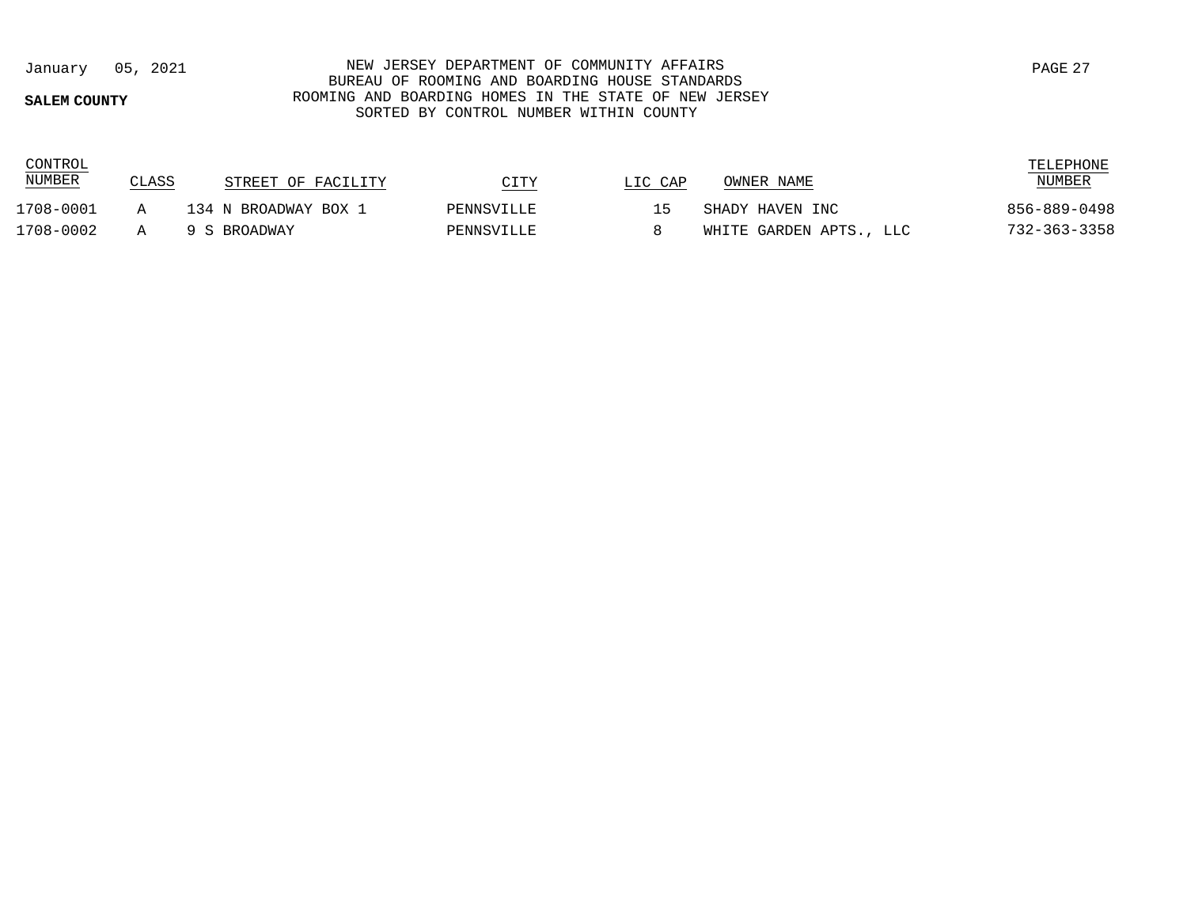## **SALEM COUNTY**

## January 05, 2021 NEW JERSEY DEPARTMENT OF COMMUNITY AFFAIRS BUREAU OF ROOMING AND BOARDING HOUSE STANDARDS ROOMING AND BOARDING HOMES IN THE STATE OF NEW JERSEY SORTED BY CONTROL NUMBER WITHIN COUNTY

| CONTROL<br><b>NUMBER</b> | CLASS | STREET OF FACILITY   | CITY       | LIC CAP                  | OWNER NAME              | TELEPHONE<br><b>NUMBER</b> |
|--------------------------|-------|----------------------|------------|--------------------------|-------------------------|----------------------------|
| 1708-0001                |       | 134 N BROADWAY BOX 1 | PENNSVILLE | $\overline{\phantom{a}}$ | SHADY HAVEN INC         | 856-889-0498               |
| 1708-0002                |       | 9 S BROADWAY         | PENNSVILLE |                          | WHITE GARDEN APTS., LLC | 732-363-3358               |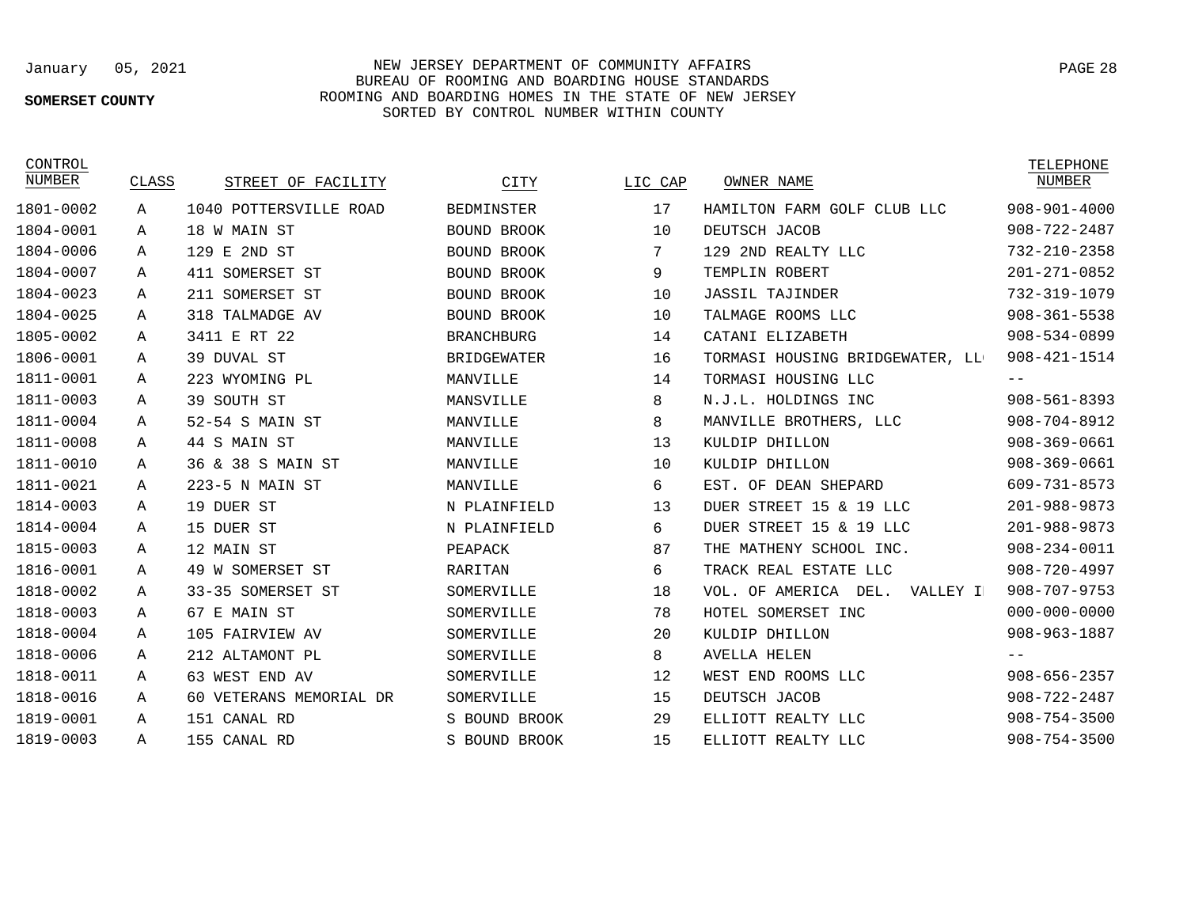# **SOMERSET COUNTY**

# January 05, 2021 NEW JERSEY DEPARTMENT OF COMMUNITY AFFAIRS BUREAU OF ROOMING AND BOARDING HOUSE STANDARDS ROOMING AND BOARDING HOMES IN THE STATE OF NEW JERSEY SORTED BY CONTROL NUMBER WITHIN COUNTY

| CONTROL<br>NUMBER | CLASS | STREET OF FACILITY      | CITY               | LIC CAP | OWNER NAME                       | TELEPHONE<br><b>NUMBER</b> |
|-------------------|-------|-------------------------|--------------------|---------|----------------------------------|----------------------------|
| 1801-0002         | Α     | 1040 POTTERSVILLE ROAD  | <b>BEDMINSTER</b>  | 17      | HAMILTON FARM GOLF CLUB LLC      | $908 - 901 - 4000$         |
| 1804-0001         | Α     | 18 W MAIN ST            | BOUND BROOK        | 10      | DEUTSCH JACOB                    | $908 - 722 - 2487$         |
| 1804-0006         | Α     | 129<br>E 2ND ST         | BOUND BROOK        | 7       | 129 2ND REALTY LLC               | 732-210-2358               |
| 1804-0007         | Α     | 411 SOMERSET ST         | BOUND BROOK        | 9       | TEMPLIN ROBERT                   | $201 - 271 - 0852$         |
| 1804-0023         | Α     | 211 SOMERSET ST         | BOUND BROOK        | 10      | <b>JASSIL TAJINDER</b>           | 732-319-1079               |
| 1804-0025         | Α     | 318 TALMADGE AV         | BOUND BROOK        | 10      | TALMAGE ROOMS LLC                | $908 - 361 - 5538$         |
| 1805-0002         | Α     | 3411 E RT 22            | <b>BRANCHBURG</b>  | 14      | CATANI ELIZABETH                 | $908 - 534 - 0899$         |
| 1806-0001         | Α     | 39 DUVAL ST             | <b>BRIDGEWATER</b> | 16      | TORMASI HOUSING BRIDGEWATER, LL  | $908 - 421 - 1514$         |
| 1811-0001         | Α     | 223 WYOMING PL          | MANVILLE           | 14      | TORMASI HOUSING LLC              | $- -$                      |
| 1811-0003         | Α     | 39 SOUTH ST             | MANSVILLE          | 8       | N.J.L. HOLDINGS INC              | $908 - 561 - 8393$         |
| 1811-0004         | Α     | 52-54 S MAIN ST         | MANVILLE           | 8       | MANVILLE BROTHERS, LLC           | $908 - 704 - 8912$         |
| 1811-0008         | Α     | 44 S MAIN ST            | MANVILLE           | 13      | KULDIP DHILLON                   | $908 - 369 - 0661$         |
| 1811-0010         | Α     | 36 & 38 S MAIN ST       | MANVILLE           | 10      | KULDIP DHILLON                   | $908 - 369 - 0661$         |
| 1811-0021         | Α     | 223-5 N MAIN ST         | MANVILLE           | 6       | EST. OF DEAN SHEPARD             | 609-731-8573               |
| 1814-0003         | Α     | 19 DUER ST              | N PLAINFIELD       | 13      | DUER STREET 15 & 19 LLC          | $201 - 988 - 9873$         |
| 1814-0004         | Α     | 15 DUER ST              | N PLAINFIELD       | 6       | DUER STREET 15 & 19 LLC          | $201 - 988 - 9873$         |
| 1815-0003         | Α     | 12 MAIN ST              | PEAPACK            | 87      | THE MATHENY SCHOOL INC.          | $908 - 234 - 0011$         |
| 1816-0001         | Α     | 49 W SOMERSET ST        | RARITAN            | 6       | TRACK REAL ESTATE LLC            | $908 - 720 - 4997$         |
| 1818-0002         | Α     | 33-35 SOMERSET ST       | SOMERVILLE         | 18      | VOL. OF AMERICA DEL.<br>VALLEY I | $908 - 707 - 9753$         |
| 1818-0003         | Α     | 67 E MAIN ST            | SOMERVILLE         | 78      | HOTEL SOMERSET INC               | $000 - 000 - 0000$         |
| 1818-0004         | Α     | 105 FAIRVIEW AV         | SOMERVILLE         | 20      | KULDIP DHILLON                   | 908-963-1887               |
| 1818-0006         | Α     | 212 ALTAMONT PL         | SOMERVILLE         | 8       | <b>AVELLA HELEN</b>              |                            |
| 1818-0011         | Α     | 63 WEST END AV          | SOMERVILLE         | 12      | WEST END ROOMS LLC               | $908 - 656 - 2357$         |
| 1818-0016         | Α     | 60 VETERANS MEMORIAL DR | SOMERVILLE         | 15      | DEUTSCH JACOB                    | $908 - 722 - 2487$         |
| 1819-0001         | Α     | 151 CANAL RD            | S BOUND BROOK      | 29      | ELLIOTT REALTY LLC               | $908 - 754 - 3500$         |
| 1819-0003         | Α     | 155 CANAL RD            | S BOUND BROOK      | 15      | ELLIOTT REALTY LLC               | $908 - 754 - 3500$         |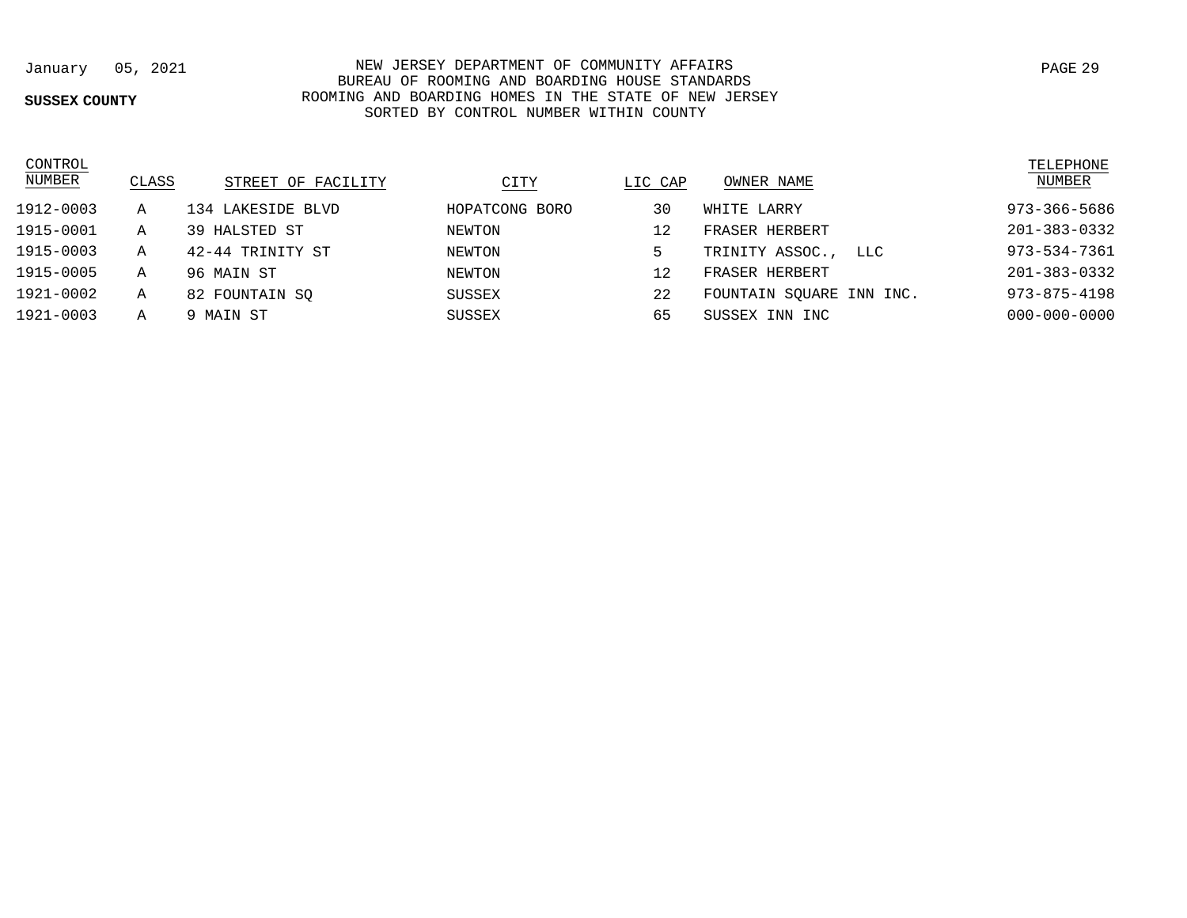### **SUSSEX COUNTY**

January 05, 2021 NEW JERSEY DEPARTMENT OF COMMUNITY AFFAIRS BUREAU OF ROOMING AND BOARDING HOUSE STANDARDS ROOMING AND BOARDING HOMES IN THE STATE OF NEW JERSEY SORTED BY CONTROL NUMBER WITHIN COUNTY

| CONTROL<br><b>NUMBER</b> | CLASS | STREET OF FACILITY | CITY           | LIC CAP | OWNER NAME               | TELEPHONE<br>NUMBER |
|--------------------------|-------|--------------------|----------------|---------|--------------------------|---------------------|
| 1912-0003                | A     | 134 LAKESIDE BLVD  | HOPATCONG BORO | 30      | WHITE LARRY              | 973-366-5686        |
| 1915-0001                | Α     | 39 HALSTED ST      | NEWTON         | 12      | FRASER HERBERT           | 201-383-0332        |
| 1915-0003                | Α     | 42-44 TRINITY ST   | NEWTON         | 5       | TRINITY ASSOC.,<br>LLC   | 973-534-7361        |
| 1915-0005                | Α     | 96 MAIN ST         | NEWTON         | 12      | FRASER HERBERT           | 201-383-0332        |
| 1921-0002                | Α     | 82 FOUNTAIN SO     | SUSSEX         | 22      | FOUNTAIN SOUARE INN INC. | $973 - 875 - 4198$  |
| 1921-0003                | Α     | 9 MAIN ST          | SUSSEX         | 65      | SUSSEX INN INC           | $000 - 000 - 0000$  |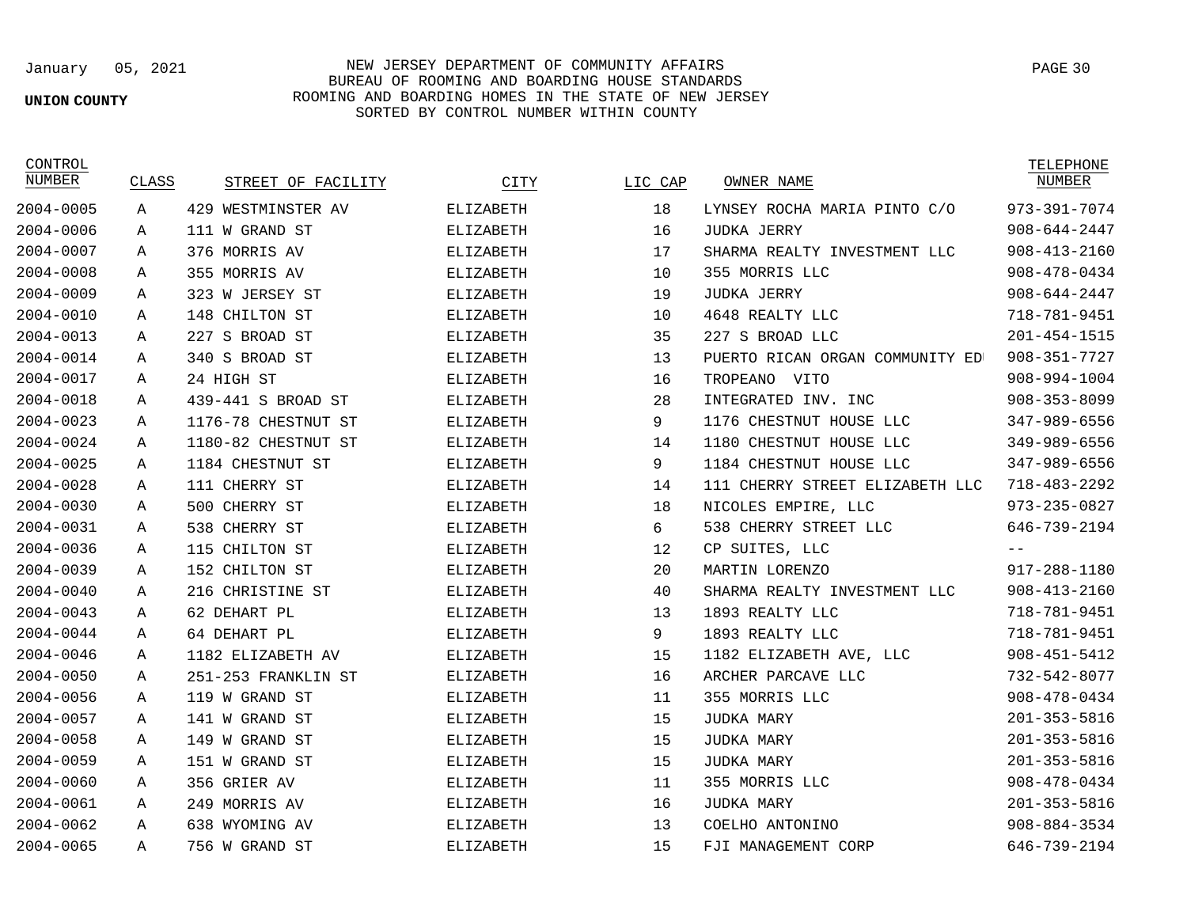### **UNION COUNTY**

## January 05, 2021 NEW JERSEY DEPARTMENT OF COMMUNITY AFFAIRS BUREAU OF ROOMING AND BOARDING HOUSE STANDARDS ROOMING AND BOARDING HOMES IN THE STATE OF NEW JERSEY SORTED BY CONTROL NUMBER WITHIN COUNTY

| CONTROL<br>NUMBER | CLASS | STREET OF FACILITY  | CITY      | LIC CAP | OWNER NAME                      | TELEPHONE<br>NUMBER |
|-------------------|-------|---------------------|-----------|---------|---------------------------------|---------------------|
| 2004-0005         | Α     | 429 WESTMINSTER AV  | ELIZABETH | 18      | LYNSEY ROCHA MARIA PINTO C/O    | 973-391-7074        |
| $2004 - 0006$     | Α     | 111 W GRAND ST      | ELIZABETH | 16      | JUDKA JERRY                     | $908 - 644 - 2447$  |
| 2004-0007         | Α     | 376 MORRIS AV       | ELIZABETH | 17      | SHARMA REALTY INVESTMENT LLC    | $908 - 413 - 2160$  |
| 2004-0008         | Α     | 355 MORRIS AV       | ELIZABETH | 10      | 355 MORRIS LLC                  | $908 - 478 - 0434$  |
| $2004 - 0009$     | Α     | 323 W JERSEY ST     | ELIZABETH | 19      | JUDKA JERRY                     | $908 - 644 - 2447$  |
| 2004-0010         | Α     | 148 CHILTON ST      | ELIZABETH | 10      | 4648 REALTY LLC                 | 718-781-9451        |
| $2004 - 0013$     | Α     | 227 S BROAD ST      | ELIZABETH | 35      | 227 S BROAD LLC                 | $201 - 454 - 1515$  |
| 2004-0014         | A     | 340 S BROAD ST      | ELIZABETH | 13      | PUERTO RICAN ORGAN COMMUNITY ED | $908 - 351 - 7727$  |
| 2004-0017         | Α     | 24 HIGH ST          | ELIZABETH | 16      | TROPEANO<br>VITO                | 908-994-1004        |
| 2004-0018         | Α     | 439-441 S BROAD ST  | ELIZABETH | 28      | INTEGRATED INV. INC             | $908 - 353 - 8099$  |
| $2004 - 0023$     | A     | 1176-78 CHESTNUT ST | ELIZABETH | 9       | 1176 CHESTNUT HOUSE LLC         | 347-989-6556        |
| $2004 - 0024$     | Α     | 1180-82 CHESTNUT ST | ELIZABETH | 14      | 1180 CHESTNUT HOUSE LLC         | 349-989-6556        |
| 2004-0025         | Α     | 1184 CHESTNUT ST    | ELIZABETH | 9       | 1184 CHESTNUT HOUSE LLC         | 347-989-6556        |
| 2004-0028         | Α     | 111 CHERRY ST       | ELIZABETH | 14      | 111 CHERRY STREET ELIZABETH LLC | $718 - 483 - 2292$  |
| $2004 - 0030$     | Α     | 500 CHERRY ST       | ELIZABETH | 18      | NICOLES EMPIRE, LLC             | $973 - 235 - 0827$  |
| 2004-0031         | Α     | 538 CHERRY ST       | ELIZABETH | 6       | 538 CHERRY STREET LLC           | 646-739-2194        |
| 2004-0036         | Α     | 115 CHILTON ST      | ELIZABETH | 12      | CP SUITES, LLC                  | $- -$               |
| $2004 - 0039$     | A     | 152 CHILTON ST      | ELIZABETH | 20      | MARTIN LORENZO                  | 917-288-1180        |
| 2004-0040         | Α     | 216 CHRISTINE ST    | ELIZABETH | 40      | SHARMA REALTY INVESTMENT LLC    | $908 - 413 - 2160$  |
| 2004-0043         | Α     | 62 DEHART PL        | ELIZABETH | 13      | 1893 REALTY LLC                 | 718-781-9451        |
| 2004-0044         | Α     | 64 DEHART PL        | ELIZABETH | 9       | 1893 REALTY LLC                 | 718-781-9451        |
| 2004-0046         | Α     | 1182 ELIZABETH AV   | ELIZABETH | 15      | 1182 ELIZABETH AVE, LLC         | $908 - 451 - 5412$  |
| $2004 - 0050$     | Α     | 251-253 FRANKLIN ST | ELIZABETH | 16      | ARCHER PARCAVE LLC              | 732-542-8077        |
| 2004-0056         | Α     | 119 W GRAND ST      | ELIZABETH | 11      | 355 MORRIS LLC                  | $908 - 478 - 0434$  |
| $2004 - 0057$     | Α     | 141 W GRAND ST      | ELIZABETH | 15      | <b>JUDKA MARY</b>               | $201 - 353 - 5816$  |
| 2004-0058         | Α     | 149 W GRAND ST      | ELIZABETH | 15      | JUDKA MARY                      | $201 - 353 - 5816$  |
| $2004 - 0059$     | A     | 151 W GRAND ST      | ELIZABETH | 15      | <b>JUDKA MARY</b>               | $201 - 353 - 5816$  |
| $2004 - 0060$     | Α     | 356 GRIER AV        | ELIZABETH | 11      | 355 MORRIS LLC                  | $908 - 478 - 0434$  |
| 2004-0061         | Α     | 249 MORRIS AV       | ELIZABETH | 16      | JUDKA MARY                      | $201 - 353 - 5816$  |
| $2004 - 0062$     | Α     | 638 WYOMING AV      | ELIZABETH | 13      | COELHO ANTONINO                 | $908 - 884 - 3534$  |
| $2004 - 0065$     | A     | 756 W GRAND ST      | ELIZABETH | 15      | FJI MANAGEMENT CORP             | 646-739-2194        |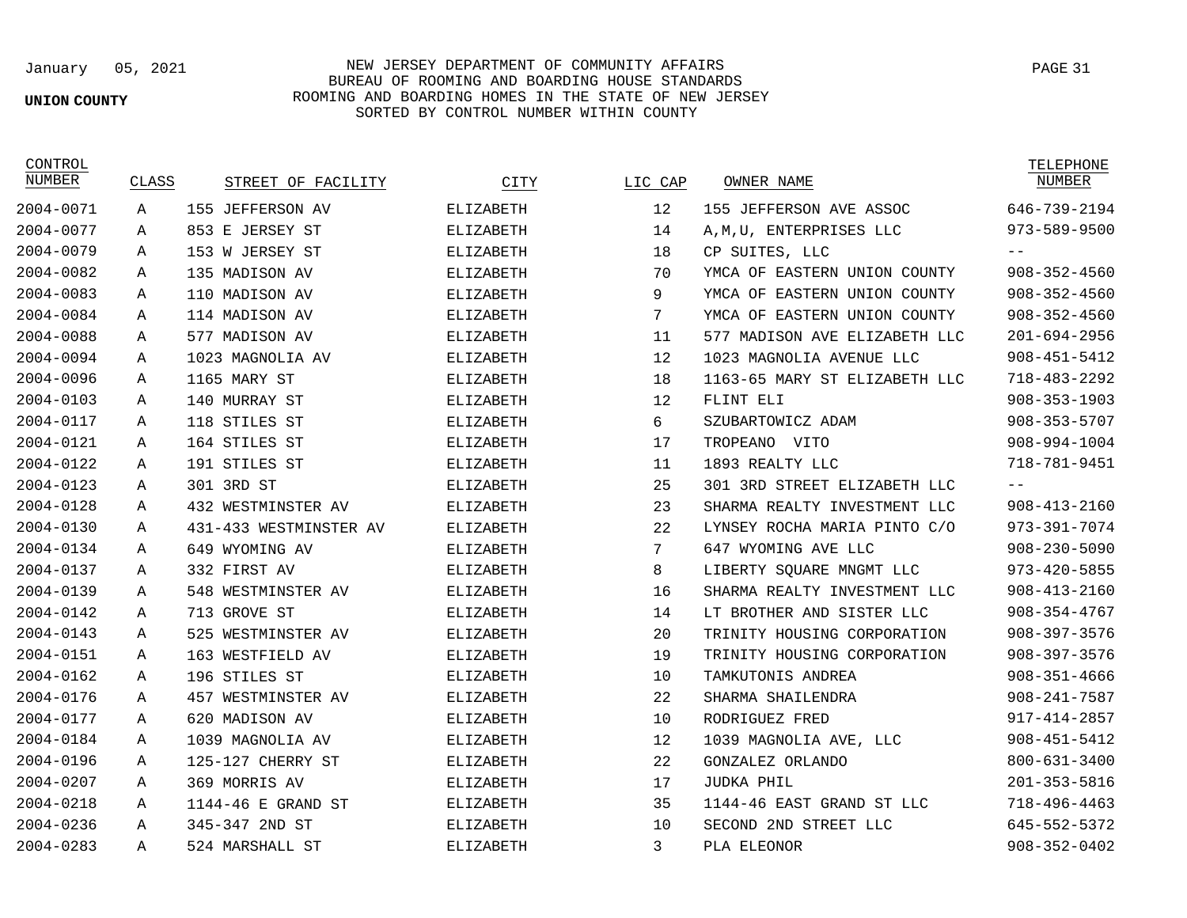# **UNION COUNTY**

January 05, 2021 NEW JERSEY DEPARTMENT OF COMMUNITY AFFAIRS BUREAU OF ROOMING AND BOARDING HOUSE STANDARDS ROOMING AND BOARDING HOMES IN THE STATE OF NEW JERSEY SORTED BY CONTROL NUMBER WITHIN COUNTY

CONTROL

| NUMBER    | CLASS | STREET OF FACILITY     | CITY             | LIC CAP | OWNER NAME                    | NUMBER             |
|-----------|-------|------------------------|------------------|---------|-------------------------------|--------------------|
| 2004-0071 | Α     | 155 JEFFERSON AV       | ELIZABETH        | 12      | 155 JEFFERSON AVE ASSOC       | 646-739-2194       |
| 2004-0077 | А     | 853 E JERSEY ST        | ELIZABETH        | 14      | A, M, U, ENTERPRISES LLC      | 973-589-9500       |
| 2004-0079 | Α     | 153 W JERSEY ST        | <b>ELIZABETH</b> | 18      | CP SUITES, LLC                | $- -$              |
| 2004-0082 | Α     | 135 MADISON AV         | <b>ELIZABETH</b> | 70      | YMCA OF EASTERN UNION COUNTY  | $908 - 352 - 4560$ |
| 2004-0083 | Α     | 110 MADISON AV         | ELIZABETH        | 9       | YMCA OF EASTERN UNION COUNTY  | $908 - 352 - 4560$ |
| 2004-0084 | A     | 114 MADISON AV         | <b>ELIZABETH</b> | 7       | YMCA OF EASTERN UNION COUNTY  | $908 - 352 - 4560$ |
| 2004-0088 | Α     | 577 MADISON AV         | ELIZABETH        | 11      | 577 MADISON AVE ELIZABETH LLC | $201 - 694 - 2956$ |
| 2004-0094 | Α     | 1023 MAGNOLIA AV       | <b>ELIZABETH</b> | 12      | 1023 MAGNOLIA AVENUE LLC      | $908 - 451 - 5412$ |
| 2004-0096 | Α     | 1165 MARY ST           | <b>ELIZABETH</b> | 18      | 1163-65 MARY ST ELIZABETH LLC | $718 - 483 - 2292$ |
| 2004-0103 | A     | 140 MURRAY ST          | ELIZABETH        | 12      | FLINT ELI                     | $908 - 353 - 1903$ |
| 2004-0117 | Α     | 118 STILES ST          | <b>ELIZABETH</b> | 6       | SZUBARTOWICZ ADAM             | $908 - 353 - 5707$ |
| 2004-0121 | Α     | 164 STILES ST          | ELIZABETH        | 17      | TROPEANO VITO                 | 908-994-1004       |
| 2004-0122 | Α     | 191 STILES ST          | ELIZABETH        | 11      | 1893 REALTY LLC               | 718-781-9451       |
| 2004-0123 | Α     | 301 3RD ST             | <b>ELIZABETH</b> | 25      | 301 3RD STREET ELIZABETH LLC  |                    |
| 2004-0128 | Α     | 432 WESTMINSTER AV     | ELIZABETH        | 23      | SHARMA REALTY INVESTMENT LLC  | $908 - 413 - 2160$ |
| 2004-0130 | Α     | 431-433 WESTMINSTER AV | <b>ELIZABETH</b> | 22      | LYNSEY ROCHA MARIA PINTO C/O  | 973-391-7074       |
| 2004-0134 | A     | 649 WYOMING AV         | <b>ELIZABETH</b> | 7       | 647 WYOMING AVE LLC           | $908 - 230 - 5090$ |
| 2004-0137 | Α     | 332 FIRST AV           | ELIZABETH        | 8       | LIBERTY SOUARE MNGMT LLC      | $973 - 420 - 5855$ |
| 2004-0139 | Α     | 548 WESTMINSTER AV     | <b>ELIZABETH</b> | 16      | SHARMA REALTY INVESTMENT LLC  | $908 - 413 - 2160$ |
| 2004-0142 | Α     | 713 GROVE ST           | <b>ELIZABETH</b> | 14      | LT BROTHER AND SISTER LLC     | $908 - 354 - 4767$ |
| 2004-0143 | Α     | 525 WESTMINSTER AV     | <b>ELIZABETH</b> | 20      | TRINITY HOUSING CORPORATION   | $908 - 397 - 3576$ |
| 2004-0151 | Α     | 163 WESTFIELD AV       | ELIZABETH        | 19      | TRINITY HOUSING CORPORATION   | $908 - 397 - 3576$ |
| 2004-0162 | Α     | 196 STILES ST          | <b>ELIZABETH</b> | 10      | TAMKUTONIS ANDREA             | $908 - 351 - 4666$ |
| 2004-0176 | Α     | 457 WESTMINSTER AV     | <b>ELIZABETH</b> | 22      | SHARMA SHAILENDRA             | $908 - 241 - 7587$ |
| 2004-0177 | A     | 620 MADISON AV         | ELIZABETH        | 10      | RODRIGUEZ FRED                | 917-414-2857       |
| 2004-0184 | Α     | 1039 MAGNOLIA AV       | <b>ELIZABETH</b> | 12      | 1039 MAGNOLIA AVE, LLC        | $908 - 451 - 5412$ |
| 2004-0196 | A     | 125-127 CHERRY ST      | ELIZABETH        | 22      | GONZALEZ ORLANDO              | $800 - 631 - 3400$ |
| 2004-0207 | Α     | 369 MORRIS AV          | ELIZABETH        | 17      | JUDKA PHIL                    | $201 - 353 - 5816$ |
| 2004-0218 | Α     | 1144-46 E GRAND ST     | <b>ELIZABETH</b> | 35      | 1144-46 EAST GRAND ST LLC     | $718 - 496 - 4463$ |
| 2004-0236 | А     | 345-347 2ND ST         | ELIZABETH        | 10      | SECOND 2ND STREET LLC         | 645-552-5372       |
| 2004-0283 | A     | 524 MARSHALL ST        | <b>ELIZABETH</b> | 3       | PLA ELEONOR                   | $908 - 352 - 0402$ |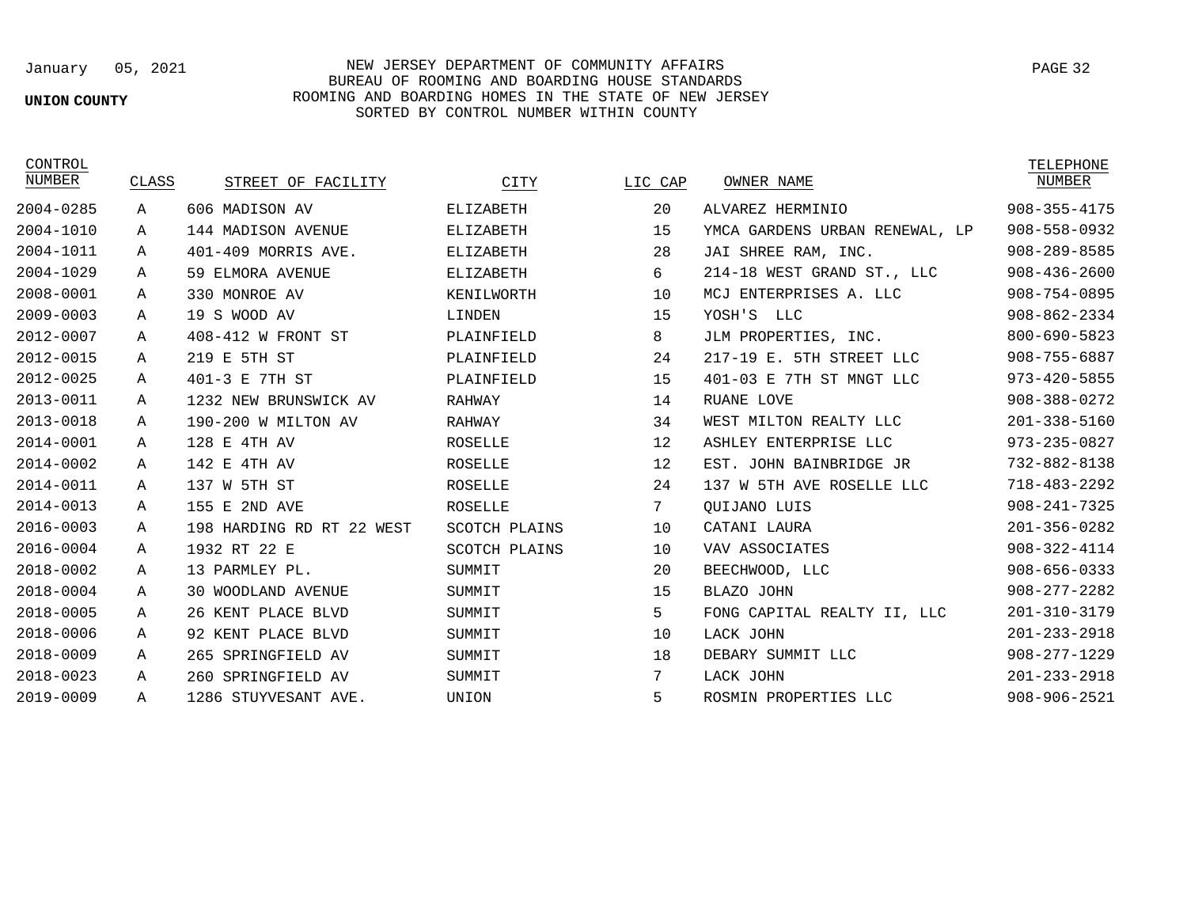### **UNION COUNTY**

January 05, 2021 NEW JERSEY DEPARTMENT OF COMMUNITY AFFAIRS BUREAU OF ROOMING AND BOARDING HOUSE STANDARDS ROOMING AND BOARDING HOMES IN THE STATE OF NEW JERSEY SORTED BY CONTROL NUMBER WITHIN COUNTY

| CONTROL   |             |                           |                |         |                                | TELEPHONE          |
|-----------|-------------|---------------------------|----------------|---------|--------------------------------|--------------------|
| NUMBER    | CLASS       | STREET OF FACILITY        | CITY           | LIC CAP | OWNER NAME                     | NUMBER             |
| 2004-0285 | Α           | 606 MADISON AV            | ELIZABETH      | 20      | ALVAREZ HERMINIO               | $908 - 355 - 4175$ |
| 2004-1010 | А           | 144 MADISON AVENUE        | ELIZABETH      | 15      | YMCA GARDENS URBAN RENEWAL, LP | $908 - 558 - 0932$ |
| 2004-1011 | Α           | 401-409 MORRIS AVE.       | ELIZABETH      | 28      | JAI SHREE RAM, INC.            | $908 - 289 - 8585$ |
| 2004-1029 | Α           | 59 ELMORA AVENUE          | ELIZABETH      | 6       | 214-18 WEST GRAND ST., LLC     | $908 - 436 - 2600$ |
| 2008-0001 | A           | 330 MONROE AV             | KENILWORTH     | 10      | MCJ ENTERPRISES A. LLC         | 908-754-0895       |
| 2009-0003 | Α           | 19 S WOOD AV              | LINDEN         | 15      | YOSH'S<br>LLC                  | $908 - 862 - 2334$ |
| 2012-0007 | $\mathbb A$ | 408-412 W FRONT ST        | PLAINFIELD     | 8       | JLM PROPERTIES, INC.           | 800-690-5823       |
| 2012-0015 | А           | 219 E 5TH ST              | PLAINFIELD     | 24      | 217-19 E. 5TH STREET LLC       | 908-755-6887       |
| 2012-0025 | Α           | 401-3 E 7TH ST            | PLAINFIELD     | 15      | 401-03 E 7TH ST MNGT LLC       | $973 - 420 - 5855$ |
| 2013-0011 | А           | 1232 NEW BRUNSWICK AV     | RAHWAY         | 14      | RUANE LOVE                     | 908-388-0272       |
| 2013-0018 | A           | 190-200 W MILTON AV       | RAHWAY         | 34      | WEST MILTON REALTY LLC         | $201 - 338 - 5160$ |
| 2014-0001 | Α           | 128 E 4TH AV              | ROSELLE        | 12      | ASHLEY ENTERPRISE LLC          | 973-235-0827       |
| 2014-0002 | Α           | 142 E<br>4TH AV           | ROSELLE        | 12      | EST. JOHN BAINBRIDGE JR        | 732-882-8138       |
| 2014-0011 | Α           | 137 W 5TH ST              | <b>ROSELLE</b> | 24      | 137 W 5TH AVE ROSELLE LLC      | 718-483-2292       |
| 2014-0013 | Α           | 155 E<br>2ND AVE          | ROSELLE        | 7       | OUIJANO LUIS                   | $908 - 241 - 7325$ |
| 2016-0003 | A           | 198 HARDING RD RT 22 WEST | SCOTCH PLAINS  | 10      | CATANI LAURA                   | $201 - 356 - 0282$ |
| 2016-0004 | Α           | 1932 RT 22 E              | SCOTCH PLAINS  | 10      | VAV ASSOCIATES                 | $908 - 322 - 4114$ |
| 2018-0002 | Α           | 13 PARMLEY PL.            | SUMMIT         | 20      | BEECHWOOD, LLC                 | $908 - 656 - 0333$ |
| 2018-0004 | Α           | <b>30 WOODLAND AVENUE</b> | SUMMIT         | 15      | BLAZO JOHN                     | $908 - 277 - 2282$ |
| 2018-0005 | A           | 26 KENT PLACE BLVD        | SUMMIT         | 5       | FONG CAPITAL REALTY II, LLC    | 201-310-3179       |
| 2018-0006 | $\mathbb A$ | 92 KENT PLACE BLVD        | SUMMIT         | 10      | LACK JOHN                      | $201 - 233 - 2918$ |
| 2018-0009 | Α           | 265 SPRINGFIELD AV        | SUMMIT         | 18      | DEBARY SUMMIT LLC              | $908 - 277 - 1229$ |
| 2018-0023 | $\mathbb A$ | 260 SPRINGFIELD AV        | SUMMIT         | 7       | LACK JOHN                      | $201 - 233 - 2918$ |
| 2019-0009 | А           | 1286 STUYVESANT AVE.      | UNION          | 5       | ROSMIN PROPERTIES LLC          | 908-906-2521       |
|           |             |                           |                |         |                                |                    |